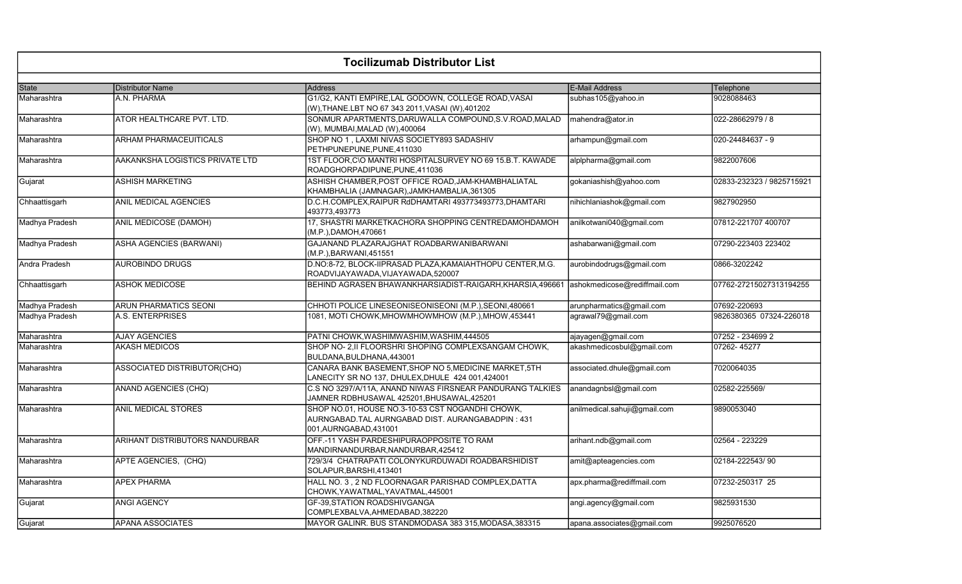| <b>Tocilizumab Distributor List</b> |                                    |                                                                                                                                 |                              |                           |
|-------------------------------------|------------------------------------|---------------------------------------------------------------------------------------------------------------------------------|------------------------------|---------------------------|
| State                               | Distributor Name                   | <b>Address</b>                                                                                                                  | <b>E-Mail Address</b>        | Telephone                 |
| Maharashtra                         | A.N. PHARMA                        | G1/G2, KANTI EMPIRE, LAL GODOWN, COLLEGE ROAD, VASAI<br>(W), THANE.LBT NO 67 343 2011, VASAI (W), 401202                        | subhas105@yahoo.in           | 9028088463                |
| Maharashtra                         | ATOR HEALTHCARE PVT. LTD.          | SONMUR APARTMENTS, DARUWALLA COMPOUND, S.V. ROAD, MALAD<br>(W), MUMBAI, MALAD (W), 400064                                       | mahendra@ator.in             | 022-28662979 / 8          |
| Maharashtra                         | ARHAM PHARMACEUITICALS             | SHOP NO 1, LAXMI NIVAS SOCIETY893 SADASHIV<br>PETHPUNEPUNE, PUNE, 411030                                                        | arhampun@gmail.com           | 020-24484637 - 9          |
| Maharashtra                         | AAKANKSHA LOGISTICS PRIVATE LTD    | 1ST FLOOR, C\O MANTRI HOSPITALSURVEY NO 69 15.B.T. KAWADE<br>ROADGHORPADIPUNE, PUNE, 411036                                     | alplpharma@gmail.com         | 9822007606                |
| Gujarat                             | ASHISH MARKETING                   | ASHISH CHAMBER, POST OFFICE ROAD, JAM-KHAMBHALIATAL<br>KHAMBHALIA (JAMNAGAR), JAMKHAMBALIA, 361305                              | gokaniashish@yahoo.com       | 02833-232323 / 9825715921 |
| Chhaattisgarh                       | ANIL MEDICAL AGENCIES              | D.C.H.COMPLEX, RAIPUR RdDHAMTARI 493773493773, DHAMTARI<br>493773,493773                                                        | nihichlaniashok@gmail.com    | 9827902950                |
| Madhya Pradesh                      | <b>ANIL MEDICOSE (DAMOH)</b>       | 17, SHASTRI MARKETKACHORA SHOPPING CENTREDAMOHDAMOH<br>(M.P.), DAMOH, 470661                                                    | anilkotwani040@gmail.com     | 07812-221707 400707       |
| Madhya Pradesh                      | <b>ASHA AGENCIES (BARWANI)</b>     | GAJANAND PLAZARAJGHAT ROADBARWANIBARWANI<br>(M.P.), BARWANI, 451551                                                             | ashabarwani@gmail.com        | 07290-223403 223402       |
| Andra Pradesh                       | <b>AUROBINDO DRUGS</b>             | D.NO:8-72, BLOCK-IIPRASAD PLAZA, KAMAIAHTHOPU CENTER, M.G.<br>ROADVIJAYAWADA, VIJAYAWADA, 520007                                | aurobindodrugs@gmail.com     | 0866-3202242              |
| Chhaattisgarh                       | <b>ASHOK MEDICOSE</b>              | BEHIND AGRASEN BHAWANKHARSIADIST-RAIGARH, KHARSIA, 496661                                                                       | ashokmedicose@rediffmail.com | 07762-27215027313194255   |
| Madhya Pradesh                      | ARUN PHARMATICS SEONI              | CHHOTI POLICE LINESEONISEONISEONI (M.P.), SEONI, 480661                                                                         | arunpharmatics@gmail.com     | 07692-220693              |
| Madhya Pradesh                      | A.S. ENTERPRISES                   | 1081, MOTI CHOWK, MHOWMHOWMHOW (M.P.), MHOW, 453441                                                                             | agrawal79@gmail.com          | 9826380365 07324-226018   |
| Maharashtra                         | <b>AJAY AGENCIES</b>               | PATNI CHOWK, WASHIMWASHIM, WASHIM, 444505                                                                                       | ajayagen@gmail.com           | 07252 - 234699 2          |
| Maharashtra                         | <b>AKASH MEDICOS</b>               | SHOP NO- 2, II FLOORSHRI SHOPING COMPLEXSANGAM CHOWK,<br>BULDANA, BULDHANA, 443001                                              | akashmedicosbul@gmail.com    | 07262-45277               |
| Maharashtra                         | <b>ASSOCIATED DISTRIBUTOR(CHQ)</b> | CANARA BANK BASEMENT, SHOP NO 5, MEDICINE MARKET, 5TH<br>LANECITY SR NO 137, DHULEX, DHULE 424 001, 424001                      | associated.dhule@gmail.com   | 7020064035                |
| Maharashtra                         | <b>ANAND AGENCIES (CHQ)</b>        | C.S NO 3297/A/11A, ANAND NIWAS FIRSNEAR PANDURANG TALKIES<br>JAMNER RDBHUSAWAL 425201, BHUSAWAL, 425201                         | anandagnbsl@gmail.com        | 02582-225569/             |
| Maharashtra                         | ANIL MEDICAL STORES                | SHOP NO.01, HOUSE NO.3-10-53 CST NOGANDHI CHOWK,<br>AURNGABAD. TAL AURNGABAD DIST. AURANGABADPIN: 431<br>001, AURNGABAD, 431001 | anilmedical.sahuji@gmail.com | 9890053040                |
| Maharashtra                         | ARIHANT DISTRIBUTORS NANDURBAR     | OFF.-11 YASH PARDESHIPURAOPPOSITE TO RAM<br>MANDIRNANDURBAR, NANDURBAR, 425412                                                  | arihant.ndb@gmail.com        | 02564 - 223229            |
| Maharashtra                         | APTE AGENCIES, (CHQ)               | 729/3/4 CHATRAPATI COLONYKURDUWADI ROADBARSHIDIST<br>SOLAPUR, BARSHI, 413401                                                    | amit@apteagencies.com        | 02184-222543/90           |
| Maharashtra                         | APEX PHARMA                        | HALL NO. 3, 2 ND FLOORNAGAR PARISHAD COMPLEX, DATTA<br>CHOWK, YAWATMAL, YAVATMAL, 445001                                        | apx.pharma@rediffmail.com    | 07232-250317 25           |
| Gujarat                             | <b>ANGI AGENCY</b>                 | GF-39, STATION ROADSHIVGANGA<br>COMPLEXBALVA, AHMEDABAD, 382220                                                                 | angi.agency@gmail.com        | 9825931530                |
| Gujarat                             | <b>APANA ASSOCIATES</b>            | MAYOR GALINR. BUS STANDMODASA 383 315,MODASA,383315                                                                             | apana.associates@gmail.com   | 9925076520                |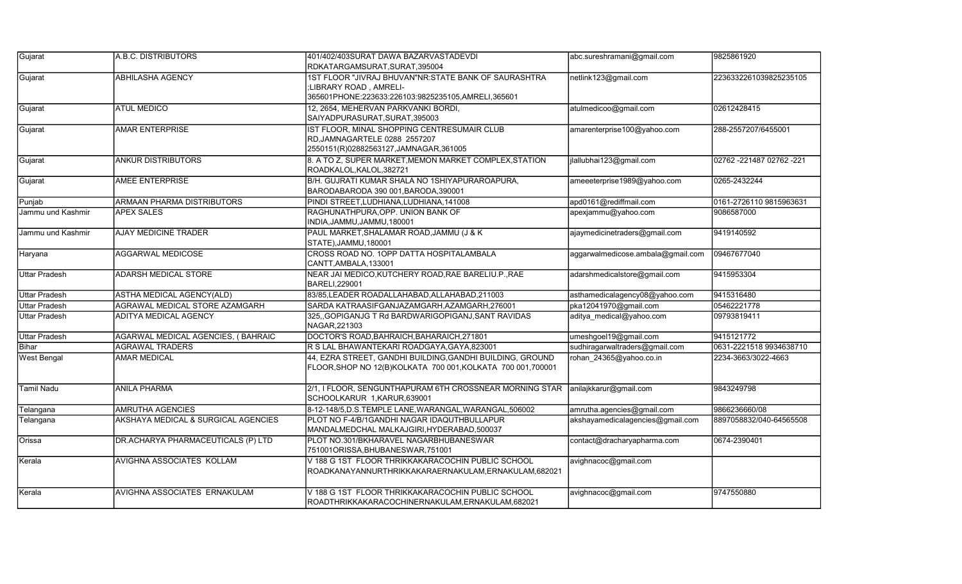| Gujarat              | A.B.C. DISTRIBUTORS                 | 401/402/403SURAT DAWA BAZARVASTADEVDI<br>RDKATARGAMSURAT, SURAT, 395004                                                               | abc.sureshramani@gmail.com        | 9825861920                 |
|----------------------|-------------------------------------|---------------------------------------------------------------------------------------------------------------------------------------|-----------------------------------|----------------------------|
| Gujarat              | <b>ABHILASHA AGENCY</b>             | 1ST FLOOR "JIVRAJ BHUVAN"NR: STATE BANK OF SAURASHTRA<br>;LIBRARY ROAD, AMRELI-<br>365601PHONE:223633:226103:9825235105,AMRELI,365601 | netlink123@gmail.com              | 2236332261039825235105     |
| Gujarat              | <b>ATUL MEDICO</b>                  | 12, 2654, MEHERVAN PARKVANKI BORDI,<br>SAIYADPURASURAT, SURAT, 395003                                                                 | atulmedicoo@gmail.com             | 02612428415                |
| Gujarat              | <b>AMAR ENTERPRISE</b>              | IST FLOOR, MINAL SHOPPING CENTRESUMAIR CLUB<br>RD, JAMNAGARTELE 0288 2557207<br>2550151(R)02882563127, JAMNAGAR, 361005               | amarenterprise100@yahoo.com       | 288-2557207/6455001        |
| Gujarat              | <b>ANKUR DISTRIBUTORS</b>           | 8. A TO Z, SUPER MARKET, MEMON MARKET COMPLEX, STATION<br>ROADKALOL, KALOL, 382721                                                    | jlallubhai123@gmail.com           | 02762 - 221487 02762 - 221 |
| Gujarat              | AMEE ENTERPRISE                     | B/H. GUJRATI KUMAR SHALA NO 1SHIYAPURAROAPURA,<br>BARODABARODA 390 001, BARODA, 390001                                                | ameeeterprise1989@yahoo.com       | 0265-2432244               |
| Punjab               | ARMAAN PHARMA DISTRIBUTORS          | PINDI STREET, LUDHIANA, LUDHIANA, 141008                                                                                              | apd0161@rediffmail.com            | 0161-2726110 9815963631    |
| Jammu und Kashmir    | <b>APEX SALES</b>                   | RAGHUNATHPURA, OPP. UNION BANK OF<br>INDIA, JAMMU, JAMMU, 180001                                                                      | apexjammu@yahoo.com               | 9086587000                 |
| Jammu und Kashmir    | <b>AJAY MEDICINE TRADER</b>         | PAUL MARKET, SHALAMAR ROAD, JAMMU (J & K<br>STATE), JAMMU, 180001                                                                     | ajaymedicinetraders@gmail.com     | 9419140592                 |
| Haryana              | <b>AGGARWAL MEDICOSE</b>            | CROSS ROAD NO. 10PP DATTA HOSPITALAMBALA<br>CANTT, AMBALA, 133001                                                                     | aggarwalmedicose.ambala@gmail.com | 09467677040                |
| <b>Uttar Pradesh</b> | ADARSH MEDICAL STORE                | NEAR JAI MEDICO, KUTCHERY ROAD, RAE BARELIU.P., RAE<br>BARELI, 229001                                                                 | adarshmedicalstore@gmail.com      | 9415953304                 |
| <b>Uttar Pradesh</b> | ASTHA MEDICAL AGENCY(ALD)           | 83/85, LEADER ROADALLAHABAD, ALLAHABAD, 211003                                                                                        | asthamedicalagency08@yahoo.com    | 9415316480                 |
| <b>Uttar Pradesh</b> | AGRAWAL MEDICAL STORE AZAMGARH      | SARDA KATRAASIFGANJAZAMGARH,AZAMGARH,276001                                                                                           | pka12041970@gmail.com             | 05462221778                |
| <b>Uttar Pradesh</b> | <b>ADITYA MEDICAL AGENCY</b>        | 325, GOPIGANJG T Rd BARDWARIGOPIGANJ, SANT RAVIDAS<br>NAGAR, 221303                                                                   | aditya medical@yahoo.com          | 09793819411                |
| <b>Uttar Pradesh</b> | AGARWAL MEDICAL AGENCIES, (BAHRAIC  | DOCTOR'S ROAD, BAHRAICH, BAHARAICH, 271801                                                                                            | umeshgoel19@gmail.com             | 9415121772                 |
| Bihar                | <b>AGRAWAL TRADERS</b>              | R S LAL BHAWANTEKARI ROADGAYA, GAYA, 823001                                                                                           | sudhiragarwaltraders@gmail.com    | 0631-2221518 9934638710    |
| <b>West Bengal</b>   | <b>AMAR MEDICAL</b>                 | 44, EZRA STREET, GANDHI BUILDING, GANDHI BUILDING, GROUND<br>FLOOR, SHOP NO 12(B) KOLKATA 700 001, KOLKATA 700 001, 700001            | rohan 24365@yahoo.co.in           | 2234-3663/3022-4663        |
| <b>Tamil Nadu</b>    | <b>ANILA PHARMA</b>                 | 2/1, I FLOOR, SENGUNTHAPURAM 6TH CROSSNEAR MORNING STAR<br>SCHOOLKARUR 1, KARUR, 639001                                               | anilajkkarur@gmail.com            | 9843249798                 |
| Telangana            | <b>AMRUTHA AGENCIES</b>             | 8-12-148/5, D.S. TEMPLE LANE, WARANGAL, WARANGAL, 506002                                                                              | amrutha.agencies@gmail.com        | 9866236660/08              |
| Telangana            | AKSHAYA MEDICAL & SURGICAL AGENCIES | PLOT NO F-4/B/1GANDHI NAGAR IDAQUTHBULLAPUR<br>MANDALMEDCHAL MALKAJGIRI, HYDERABAD, 500037                                            | akshayamedicalagencies@gmail.com  | 8897058832/040-64565508    |
| Orissa               | DR.ACHARYA PHARMACEUTICALS (P) LTD  | PLOT NO.301/BKHARAVEL NAGARBHUBANESWAR<br>751001ORISSA, BHUBANESWAR, 751001                                                           | contact@dracharyapharma.com       | 0674-2390401               |
| Kerala               | AVIGHNA ASSOCIATES KOLLAM           | V 188 G 1ST FLOOR THRIKKAKARACOCHIN PUBLIC SCHOOL<br>ROADKANAYANNURTHRIKKAKARAERNAKULAM,ERNAKULAM,682021                              | avighnacoc@gmail.com              |                            |
| Kerala               | AVIGHNA ASSOCIATES ERNAKULAM        | V 188 G 1ST FLOOR THRIKKAKARACOCHIN PUBLIC SCHOOL<br>ROADTHRIKKAKARACOCHINERNAKULAM,ERNAKULAM,682021                                  | avighnacoc@gmail.com              | 9747550880                 |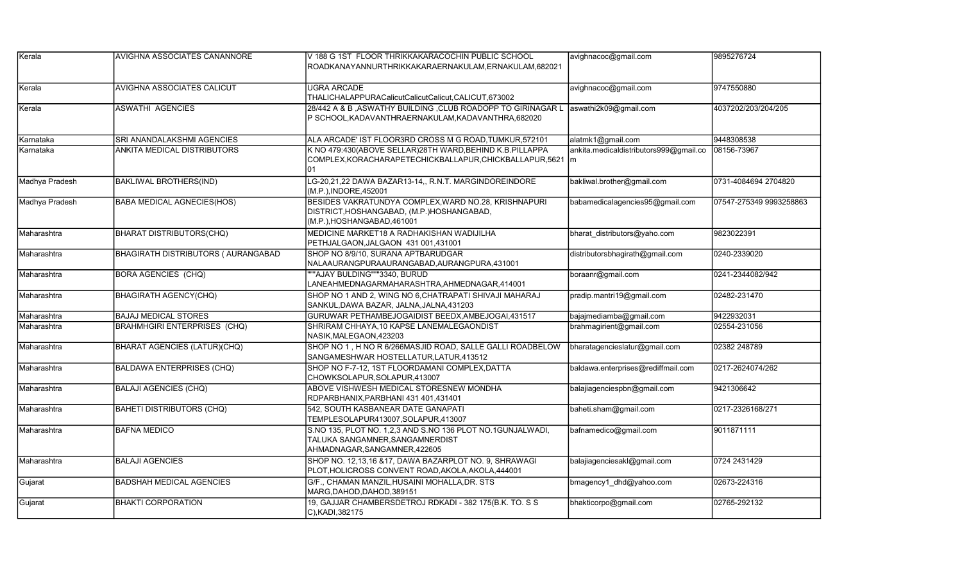| Kerala         | <b>AVIGHNA ASSOCIATES CANANNORE</b>        | V 188 G 1ST FLOOR THRIKKAKARACOCHIN PUBLIC SCHOOL<br>ROADKANAYANNURTHRIKKAKARAERNAKULAM,ERNAKULAM,682021                          | avighnacoc@gmail.com                   | 9895276724              |
|----------------|--------------------------------------------|-----------------------------------------------------------------------------------------------------------------------------------|----------------------------------------|-------------------------|
| Kerala         | <b>AVIGHNA ASSOCIATES CALICUT</b>          | <b>UGRA ARCADE</b><br>THALICHALAPPURACalicutCalicutCalicut,CALICUT,673002                                                         | avighnacoc@gmail.com                   | 9747550880              |
| Kerala         | <b>ASWATHI AGENCIES</b>                    | 28/442 A & B , ASWATHY BUILDING , CLUB ROADOPP TO GIRINAGAR L<br>P SCHOOL, KADAVANTHRAERNAKULAM, KADAVANTHRA, 682020              | aswathi2k09@gmail.com                  | 4037202/203/204/205     |
| Karnataka      | SRI ANANDALAKSHMI AGENCIES                 | ALA ARCADE' IST FLOOR3RD CROSS M G ROAD, TUMKUR, 572101                                                                           | alatmk1@gmail.com                      | 9448308538              |
| Karnataka      | <b>ANKITA MEDICAL DISTRIBUTORS</b>         | K NO 479:430(ABOVE SELLAR)28TH WARD, BEHIND K.B.PILLAPPA<br>COMPLEX, KORACHARAPETECHICKBALLAPUR, CHICKBALLAPUR, 5621 m<br>101     | ankita.medicaldistributors999@gmail.co | 08156-73967             |
| Madhya Pradesh | <b>BAKLIWAL BROTHERS(IND)</b>              | LG-20,21,22 DAWA BAZAR13-14,, R.N.T. MARGINDOREINDORE<br>(M.P.), INDORE, 452001                                                   | bakliwal.brother@gmail.com             | 0731-4084694 2704820    |
| Madhya Pradesh | <b>BABA MEDICAL AGNECIES(HOS)</b>          | BESIDES VAKRATUNDYA COMPLEX, WARD NO.28, KRISHNAPURI<br>DISTRICT, HOSHANGABAD, (M.P.) HOSHANGABAD,<br>(M.P.), HOSHANGABAD, 461001 | babamedicalagencies95@gmail.com        | 07547-275349 9993258863 |
| Maharashtra    | <b>BHARAT DISTRIBUTORS(CHQ)</b>            | MEDICINE MARKET18 A RADHAKISHAN WADIJILHA<br>PETHJALGAON, JALGAON 431 001, 431001                                                 | bharat distributors@yaho.com           | 9823022391              |
| Maharashtra    | <b>BHAGIRATH DISTRIBUTORS ( AURANGABAD</b> | SHOP NO 8/9/10, SURANA APTBARUDGAR<br>NALAAURANGPURAAURANGABAD, AURANGPURA, 431001                                                | distributorsbhagirath@gmail.com        | 0240-2339020            |
| Maharashtra    | <b>BORA AGENCIES (CHQ)</b>                 | ""AJAY BULDING"""3340, BURUD<br>LANEAHMEDNAGARMAHARASHTRA, AHMEDNAGAR, 414001                                                     | boraanr@gmail.com                      | 0241-2344082/942        |
| Maharashtra    | <b>BHAGIRATH AGENCY(CHQ)</b>               | SHOP NO 1 AND 2, WING NO 6, CHATRAPATI SHIVAJI MAHARAJ<br>SANKUL, DAWA BAZAR, JALNA, JALNA, 431203                                | pradip.mantri19@gmail.com              | 02482-231470            |
| Maharashtra    | <b>BAJAJ MEDICAL STORES</b>                | GURUWAR PETHAMBEJOGAIDIST BEEDX, AMBEJOGAI, 431517                                                                                | bajajmediamba@gmail.com                | 9422932031              |
| lMaharashtra   | <b>BRAHMHGIRI ENTERPRISES (CHQ)</b>        | SHRIRAM CHHAYA, 10 KAPSE LANEMALEGAONDIST<br>NASIK, MALEGAON, 423203                                                              | brahmagirient@gmail.com                | 02554-231056            |
| Maharashtra    | <b>BHARAT AGENCIES (LATUR)(CHQ)</b>        | SHOP NO 1, H NO R 6/266MASJID ROAD, SALLE GALLI ROADBELOW<br>SANGAMESHWAR HOSTELLATUR, LATUR, 413512                              | bharatagencieslatur@gmail.com          | 02382 248789            |
| Maharashtra    | <b>BALDAWA ENTERPRISES (CHQ)</b>           | SHOP NO F-7-12, 1ST FLOORDAMANI COMPLEX, DATTA<br>CHOWKSOLAPUR, SOLAPUR, 413007                                                   | baldawa.enterprises@rediffmail.com     | 0217-2624074/262        |
| Maharashtra    | <b>BALAJI AGENCIES (CHQ)</b>               | ABOVE VISHWESH MEDICAL STORESNEW MONDHA<br>RDPARBHANIX, PARBHANI 431 401, 431401                                                  | balajiagenciespbn@gmail.com            | 9421306642              |
| Maharashtra    | <b>BAHETI DISTRIBUTORS (CHQ)</b>           | 542. SOUTH KASBANEAR DATE GANAPATI<br>TEMPLESOLAPUR413007,SOLAPUR,413007                                                          | baheti.sham@gmail.com                  | 0217-2326168/271        |
| Maharashtra    | <b>BAFNA MEDICO</b>                        | S.NO 135, PLOT NO. 1,2,3 AND S.NO 136 PLOT NO.1GUNJALWADI,<br>TALUKA SANGAMNER, SANGAMNERDIST<br>AHMADNAGAR, SANGAMNER, 422605    | bafnamedico@gmail.com                  | 9011871111              |
| Maharashtra    | <b>BALAJI AGENCIES</b>                     | SHOP NO. 12,13,16 &17, DAWA BAZARPLOT NO. 9, SHRAWAGI<br>PLOT,HOLICROSS CONVENT ROAD,AKOLA,AKOLA,444001                           | balajiagenciesakl@gmail.com            | 0724 2431429            |
| Gujarat        | <b>BADSHAH MEDICAL AGENCIES</b>            | G/F., CHAMAN MANZIL, HUSAINI MOHALLA, DR. STS<br>MARG, DAHOD, DAHOD, 389151                                                       | bmagency1_dhd@yahoo.com                | 02673-224316            |
| Gujarat        | <b>BHAKTI CORPORATION</b>                  | 19, GAJJAR CHAMBERSDETROJ RDKADI - 382 175(B.K. TO. S S<br>C), KADI, 382175                                                       | bhakticorpo@gmail.com                  | 02765-292132            |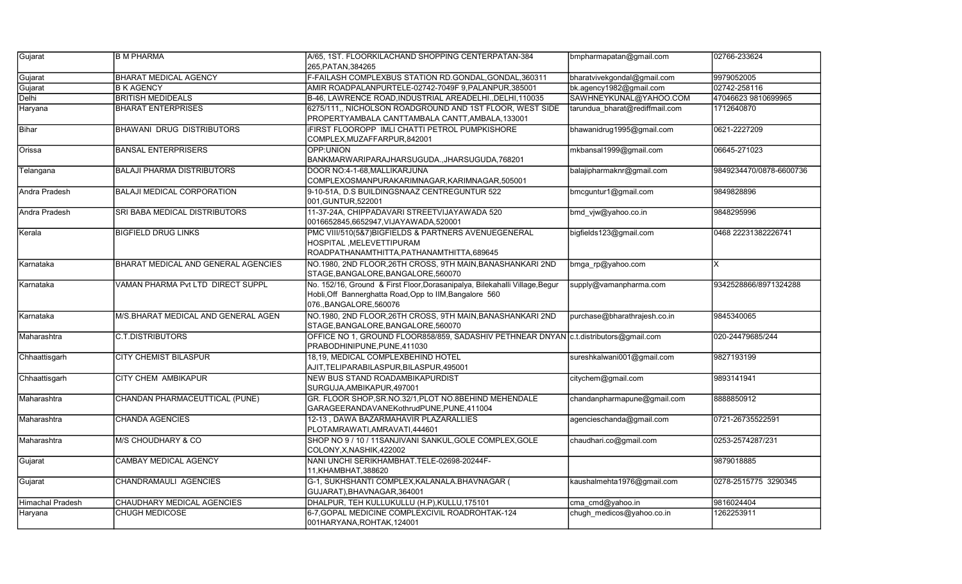| Gujarat                 | <b>B M PHARMA</b>                   | A/65, 1ST. FLOORKILACHAND SHOPPING CENTERPATAN-384                                                                                                                | bmpharmapatan@gmail.com        | 02766-233624            |
|-------------------------|-------------------------------------|-------------------------------------------------------------------------------------------------------------------------------------------------------------------|--------------------------------|-------------------------|
|                         |                                     | 265, PATAN, 384265                                                                                                                                                |                                |                         |
| Gujarat                 | <b>BHARAT MEDICAL AGENCY</b>        | F-FAILASH COMPLEXBUS STATION RD.GONDAL,GONDAL,360311                                                                                                              | bharatvivekgondal@gmail.com    | 9979052005              |
| Gujarat                 | <b>B K AGENCY</b>                   | AMIR ROADPALANPURTELE-02742-7049F 9, PALANPUR, 385001                                                                                                             | bk.agency1982@gmail.com        | 02742-258116            |
| Delhi                   | <b>BRITISH MEDIDEALS</b>            | B-46, LAWRENCE ROAD, INDUSTRIAL AREADELHI., DELHI, 110035                                                                                                         | SAWHNEYKUNAL@YAHOO.COM         | 47046623 9810699965     |
| Haryana                 | <b>BHARAT ENTERPRISES</b>           | 6275/111, NICHOLSON ROADGROUND AND 1ST FLOOR, WEST SIDE<br>PROPERTYAMBALA CANTTAMBALA CANTT,AMBALA,133001                                                         | tarundua bharat@rediffmail.com | 1712640870              |
| Bihar                   | <b>BHAWANI DRUG DISTRIBUTORS</b>    | <b>IFIRST FLOOROPP IMLI CHATTI PETROL PUMPKISHORE</b><br>COMPLEX, MUZAFFARPUR, 842001                                                                             | bhawanidrug1995@gmail.com      | 0621-2227209            |
| Orissa                  | <b>BANSAL ENTERPRISERS</b>          | OPP:UNION<br>BANKMARWARIPARAJHARSUGUDA.,JHARSUGUDA,768201                                                                                                         | mkbansal1999@gmail.com         | 06645-271023            |
| Telangana               | <b>BALAJI PHARMA DISTRIBUTORS</b>   | DOOR NO:4-1-68, MALLIKARJUNA<br>COMPLEXOSMANPURAKARIMNAGAR,KARIMNAGAR,505001                                                                                      | balajipharmaknr@gmail.com      | 9849234470/0878-6600736 |
| Andra Pradesh           | <b>BALAJI MEDICAL CORPORATION</b>   | 9-10-51A, D.S BUILDINGSNAAZ CENTREGUNTUR 522<br>001.GUNTUR,522001                                                                                                 | bmcguntur1@gmail.com           | 9849828896              |
| Andra Pradesh           | SRI BABA MEDICAL DISTRIBUTORS       | 11-37-24A, CHIPPADAVARI STREETVIJAYAWADA 520<br>0016652845,6652947, VIJAYAWADA, 520001                                                                            | bmd_vjw@yahoo.co.in            | 9848295996              |
| Kerala                  | <b>BIGFIELD DRUG LINKS</b>          | PMC VIII/510(5&7)BIGFIELDS & PARTNERS AVENUEGENERAL<br>HOSPITAL ,MELEVETTIPURAM<br>ROADPATHANAMTHITTA, PATHANAMTHITTA, 689645                                     | bigfields123@gmail.com         | 0468 22231382226741     |
| Karnataka               | BHARAT MEDICAL AND GENERAL AGENCIES | NO.1980, 2ND FLOOR, 26TH CROSS, 9TH MAIN, BANASHANKARI 2ND<br>STAGE, BANGALORE, BANGALORE, 560070                                                                 | bmga_rp@yahoo.com              | ΙX                      |
| Karnataka               | VAMAN PHARMA Pvt LTD DIRECT SUPPL   | No. 152/16, Ground & First Floor, Dorasanipalya, Bilekahalli Village, Begur<br>Hobli, Off Bannerghatta Road, Opp to IIM, Bangalore 560<br>076., BANGALORE, 560076 | supply@vamanpharma.com         | 9342528866/8971324288   |
| Karnataka               | M/S.BHARAT MEDICAL AND GENERAL AGEN | NO.1980, 2ND FLOOR, 26TH CROSS, 9TH MAIN, BANASHANKARI 2ND<br>STAGE, BANGALORE, BANGALORE, 560070                                                                 | purchase@bharathrajesh.co.in   | 9845340065              |
| Maharashtra             | <b>C.T.DISTRIBUTORS</b>             | OFFICE NO 1, GROUND FLOOR858/859, SADASHIV PETHNEAR DNYAN   c.t.distributors@gmail.com<br>PRABODHINIPUNE,PUNE,411030                                              |                                | 020-24479685/244        |
| Chhaattisgarh           | <b>CITY CHEMIST BILASPUR</b>        | 18,19, MEDICAL COMPLEXBEHIND HOTEL<br>AJIT,TELIPARABILASPUR,BILASPUR,495001                                                                                       | sureshkalwani001@gmail.com     | 9827193199              |
| Chhaattisgarh           | <b>CITY CHEM AMBIKAPUR</b>          | NEW BUS STAND ROADAMBIKAPURDIST<br>SURGUJA, AMBIKAPUR, 497001                                                                                                     | citychem@gmail.com             | 9893141941              |
| Maharashtra             | CHANDAN PHARMACEUTTICAL (PUNE)      | GR. FLOOR SHOP, SR.NO.32/1, PLOT NO.8BEHIND MEHENDALE<br>GARAGEERANDAVANEKothrudPUNE,PUNE,411004                                                                  | chandanpharmapune@gmail.com    | 8888850912              |
| Maharashtra             | <b>CHANDA AGENCIES</b>              | 12-13, DAWA BAZARMAHAVIR PLAZARALLIES<br>PLOTAMRAWATI,AMRAVATI,444601                                                                                             | agencieschanda@gmail.com       | 0721-26735522591        |
| Maharashtra             | M/S CHOUDHARY & CO                  | SHOP NO 9 / 10 / 11SANJIVANI SANKUL, GOLE COMPLEX, GOLE<br>COLONY,X,NASHIK,422002                                                                                 | chaudhari.co@gmail.com         | 0253-2574287/231        |
| Gujarat                 | <b>CAMBAY MEDICAL AGENCY</b>        | NANI UNCHI SERIKHAMBHAT.TELE-02698-20244F-<br>11, KHAMBHAT, 388620                                                                                                |                                | 9879018885              |
| Gujarat                 | <b>CHANDRAMAULI AGENCIES</b>        | G-1, SUKHSHANTI COMPLEX, KALANALA. BHAVNAGAR (<br>GUJARAT), BHAVNAGAR, 364001                                                                                     | kaushalmehta1976@gmail.com     | 0278-2515775 3290345    |
| <b>Himachal Pradesh</b> | CHAUDHARY MEDICAL AGENCIES          | DHALPUR, TEH KULLUKULLU (H.P), KULLU, 175101                                                                                                                      | cma_cmd@yahoo.in               | 9816024404              |
| Haryana                 | CHUGH MEDICOSE                      | 6-7, GOPAL MEDICINE COMPLEXCIVIL ROADROHTAK-124<br>001HARYANA, ROHTAK, 124001                                                                                     | chugh medicos@yahoo.co.in      | 1262253911              |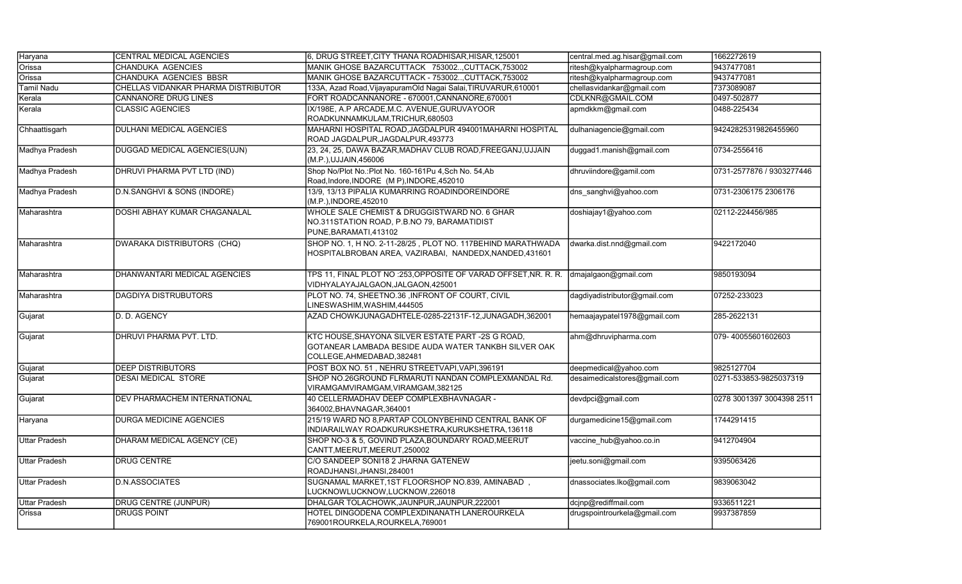| Haryana              | CENTRAL MEDICAL AGENCIES            | 6, DRUG STREET, CITY THANA ROADHISAR, HISAR, 125001                                                                                    | central.med.ag.hisar@gmail.com | 1662272619                |
|----------------------|-------------------------------------|----------------------------------------------------------------------------------------------------------------------------------------|--------------------------------|---------------------------|
| Orissa               | CHANDUKA AGENCIES                   | MANIK GHOSE BAZARCUTTACK 753002CUTTACK, 753002                                                                                         | ritesh@kyalpharmagroup.com     | 9437477081                |
| Orissa               | CHANDUKA AGENCIES BBSR              | MANIK GHOSE BAZARCUTTACK - 753002CUTTACK, 753002                                                                                       | ritesh@kyalpharmagroup.com     | 9437477081                |
| Tamil Nadu           | CHELLAS VIDANKAR PHARMA DISTRIBUTOR | 133A, Azad Road, VijayapuramOld Nagai Salai, TIRUVARUR, 610001                                                                         | chellasvidankar@gmail.com      | 7373089087                |
| Kerala               | CANNANORE DRUG LINES                | FORT ROADCANNANORE - 670001, CANNANORE, 670001                                                                                         | CDLKNR@GMAIL.COM               | 0497-502877               |
| Kerala               | <b>CLASSIC AGENCIES</b>             | IX/198E, A.P ARCADE, M.C. AVENUE, GURUVAYOOR<br>ROADKUNNAMKULAM,TRICHUR,680503                                                         | apmdkkm@gmail.com              | 0488-225434               |
| Chhaattisgarh        | DULHANI MEDICAL AGENCIES            | MAHARNI HOSPITAL ROAD, JAGDALPUR 494001MAHARNI HOSPITAL<br>ROAD JAGDALPUR, JAGDALPUR, 493773                                           | dulhaniagencie@gmail.com       | 94242825319826455960      |
| Madhya Pradesh       | DUGGAD MEDICAL AGENCIES(UJN)        | 23, 24, 25, DAWA BAZAR, MADHAV CLUB ROAD, FREEGANJ, UJJAIN<br>(M.P.), UJJAIN, 456006                                                   | duggad1.manish@gmail.com       | 0734-2556416              |
| Madhya Pradesh       | DHRUVI PHARMA PVT LTD (IND)         | Shop No/Plot No.: Plot No. 160-161Pu 4, Sch No. 54, Ab<br>Road, Indore, INDORE (M P), INDORE, 452010                                   | dhruviindore@gamil.com         | 0731-2577876 / 9303277446 |
| Madhya Pradesh       | D.N.SANGHVI & SONS (INDORE)         | 13/9, 13/13 PIPALIA KUMARRING ROADINDOREINDORE<br>(M.P.), INDORE, 452010                                                               | dns_sanghvi@yahoo.com          | 0731-2306175 2306176      |
| Maharashtra          | DOSHI ABHAY KUMAR CHAGANALAL        | WHOLE SALE CHEMIST & DRUGGISTWARD NO. 6 GHAR<br>NO.311STATION ROAD, P.B.NO 79, BARAMATIDIST<br>PUNE, BARAMATI, 413102                  | doshiajay1@yahoo.com           | 02112-224456/985          |
| Maharashtra          | DWARAKA DISTRIBUTORS (CHQ)          | SHOP NO. 1, H NO. 2-11-28/25, PLOT NO. 117BEHIND MARATHWADA<br>HOSPITALBROBAN AREA, VAZIRABAI, NANDEDX, NANDED, 431601                 | dwarka.dist.nnd@gmail.com      | 9422172040                |
| Maharashtra          | DHANWANTARI MEDICAL AGENCIES        | TPS 11, FINAL PLOT NO :253,OPPOSITE OF VARAD OFFSET, NR. R. R.<br>VIDHYALAYAJALGAON, JALGAON, 425001                                   | dmajalgaon@gmail.com           | 9850193094                |
| Maharashtra          | DAGDIYA DISTRUBUTORS                | PLOT NO. 74, SHEETNO.36 , INFRONT OF COURT, CIVIL<br>LINESWASHIM,WASHIM,444505                                                         | dagdiyadistributor@gmail.com   | 07252-233023              |
| Gujarat              | D. D. AGENCY                        | AZAD CHOWKJUNAGADHTELE-0285-22131F-12,JUNAGADH,362001                                                                                  | hemaajaypatel1978@gmail.com    | 285-2622131               |
| Gujarat              | DHRUVI PHARMA PVT. LTD.             | KTC HOUSE,SHAYONA SILVER ESTATE PART -2S G ROAD,<br>GOTANEAR LAMBADA BESIDE AUDA WATER TANKBH SILVER OAK<br>COLLEGE, AHMEDABAD, 382481 | ahm@dhruvipharma.com           | 079-40055601602603        |
| Gujarat              | <b>DEEP DISTRIBUTORS</b>            | POST BOX NO. 51, NEHRU STREETVAPI, VAPI, 396191                                                                                        | deepmedical@yahoo.com          | 9825127704                |
| Gujarat              | DESAI MEDICAL STORE                 | SHOP NO.26GROUND FLRMARUTI NANDAN COMPLEXMANDAL Rd.<br>VIRAMGAMVIRAMGAM, VIRAMGAM, 382125                                              | desaimedicalstores@gmail.com   | 0271-533853-9825037319    |
| Gujarat              | DEV PHARMACHEM INTERNATIONAL        | 40 CELLERMADHAV DEEP COMPLEXBHAVNAGAR -<br>364002, BHAVNAGAR, 364001                                                                   | devdpci@gmail.com              | 0278 3001397 3004398 2511 |
| Haryana              | <b>DURGA MEDICINE AGENCIES</b>      | 215/19 WARD NO 8, PARTAP COLONYBEHIND CENTRAL BANK OF<br>INDIARAILWAY ROADKURUKSHETRA, KURUKSHETRA, 136118                             | durgamedicine15@gmail.com      | 1744291415                |
| <b>Uttar Pradesh</b> | DHARAM MEDICAL AGENCY (CE)          | SHOP NO-3 & 5, GOVIND PLAZA, BOUNDARY ROAD, MEERUT<br>CANTT, MEERUT, MEERUT, 250002                                                    | vaccine hub@yahoo.co.in        | 9412704904                |
| <b>Uttar Pradesh</b> | <b>DRUG CENTRE</b>                  | C/O SANDEEP SONI18 2 JHARNA GATENEW<br>ROADJHANSI, JHANSI, 284001                                                                      | jeetu.soni@gmail.com           | 9395063426                |
| <b>Uttar Pradesh</b> | <b>D.N.ASSOCIATES</b>               | SUGNAMAL MARKET, 1ST FLOORSHOP NO.839, AMINABAD,<br>LUCKNOWLUCKNOW,LUCKNOW,226018                                                      | dnassociates.lko@gmail.com     | 9839063042                |
| <b>Uttar Pradesh</b> | <b>DRUG CENTRE (JUNPUR)</b>         | DHALGAR TOLACHOWK, JAUNPUR, JAUNPUR, 222001                                                                                            | dcjnp@rediffmail.com           | 9336511221                |
| Orissa               | <b>DRUGS POINT</b>                  | HOTEL DINGODENA COMPLEXDINANATH LANEROURKELA<br>769001ROURKELA, ROURKELA, 769001                                                       | drugspointrourkela@gmail.com   | 9937387859                |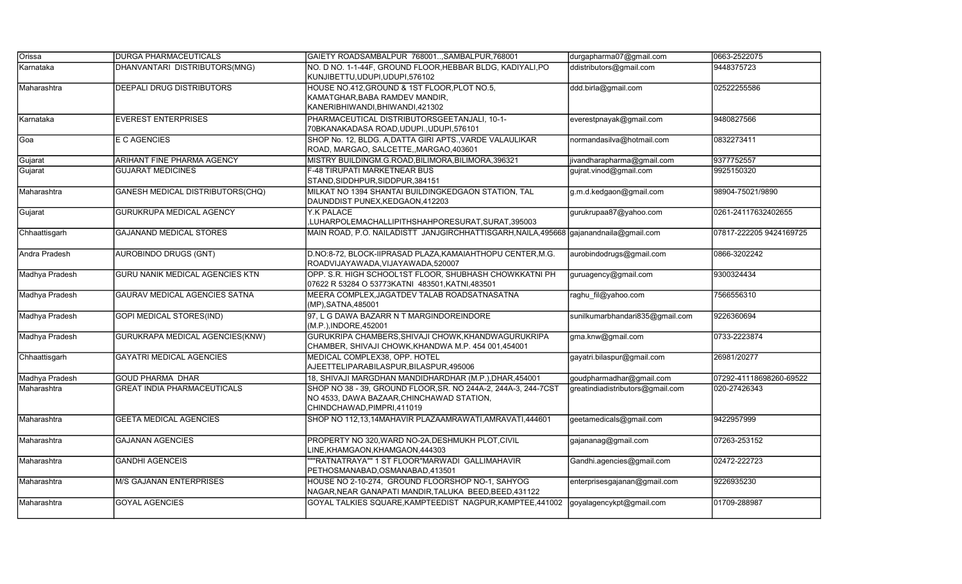| Orissa         | <b>IDURGA PHARMACEUTICALS</b>          | GAIETY ROADSAMBALPUR 768001, SAMBALPUR, 768001                                                                                             | durgapharma07@gmail.com          | 0663-2522075            |
|----------------|----------------------------------------|--------------------------------------------------------------------------------------------------------------------------------------------|----------------------------------|-------------------------|
| Karnataka      | DHANVANTARI DISTRIBUTORS(MNG)          | NO. D NO. 1-1-44F, GROUND FLOOR, HEBBAR BLDG, KADIYALI, PO<br>KUNJIBETTU,UDUPI,UDUPI,576102                                                | ddistributors@gmail.com          | 9448375723              |
| Maharashtra    | <b>DEEPALI DRUG DISTRIBUTORS</b>       | HOUSE NO.412, GROUND & 1ST FLOOR, PLOT NO.5,<br>KAMATGHAR, BABA RAMDEV MANDIR,<br>KANERIBHIWANDI, BHIWANDI, 421302                         | ddd.birla@gmail.com              | 02522255586             |
| Karnataka      | <b>EVEREST ENTERPRISES</b>             | PHARMACEUTICAL DISTRIBUTORSGEETANJALI, 10-1-<br>70BKANAKADASA ROAD, UDUPI., UDUPI, 576101                                                  | everestpnayak@gmail.com          | 9480827566              |
| Goa            | E C AGENCIES                           | SHOP No. 12, BLDG. A, DATTA GIRI APTS., VARDE VALAULIKAR<br>ROAD, MARGAO, SALCETTE, MARGAO, 403601                                         | normandasilva@hotmail.com        | 0832273411              |
| Gujarat        | <b>ARIHANT FINE PHARMA AGENCY</b>      | MISTRY BUILDINGM.G.ROAD, BILIMORA, BILIMORA, 396321                                                                                        | jivandharapharma@gmail.com       | 9377752557              |
| Gujarat        | <b>GUJARAT MEDICINES</b>               | F-48 TIRUPATI MARKETNEAR BUS<br>STAND, SIDDHPUR, SIDDPUR, 384151                                                                           | gujrat.vinod@gmail.com           | 9925150320              |
| Maharashtra    | GANESH MEDICAL DISTRIBUTORS(CHQ)       | MILKAT NO 1394 SHANTAI BUILDINGKEDGAON STATION, TAL<br>DAUNDDIST PUNEX, KEDGAON, 412203                                                    | g.m.d.kedgaon@gmail.com          | 98904-75021/9890        |
| Gujarat        | <b>GURUKRUPA MEDICAL AGENCY</b>        | Y.K PALACE<br>,LUHARPOLEMACHALLIPITHSHAHPORESURAT,SURAT,395003                                                                             | gurukrupaa87@yahoo.com           | 0261-24117632402655     |
| Chhaattisgarh  | <b>GAJANAND MEDICAL STORES</b>         | MAIN ROAD, P.O. NAILADISTT JANJGIRCHHATTISGARH, NAILA, 495668 gajanandnaila@gmail.com                                                      |                                  | 07817-222205 9424169725 |
| Andra Pradesh  | <b>AUROBINDO DRUGS (GNT)</b>           | D.NO:8-72, BLOCK-IIPRASAD PLAZA, KAMAIAHTHOPU CENTER, M.G.<br>ROADVIJAYAWADA,VIJAYAWADA,520007                                             | aurobindodrugs@gmail.com         | 0866-3202242            |
| Madhya Pradesh | <b>GURU NANIK MEDICAL AGENCIES KTN</b> | OPP. S.R. HIGH SCHOOL1ST FLOOR, SHUBHASH CHOWKKATNI PH<br>07622 R 53284 O 53773KATNI 483501, KATNI, 483501                                 | guruagency@gmail.com             | 9300324434              |
| Madhya Pradesh | <b>GAURAV MEDICAL AGENCIES SATNA</b>   | MEERA COMPLEX, JAGATDEV TALAB ROADSATNASATNA<br>(MP), SATNA, 485001                                                                        | raghu_fil@yahoo.com              | 7566556310              |
| Madhya Pradesh | <b>GOPI MEDICAL STORES(IND)</b>        | 97, L G DAWA BAZARR N T MARGINDOREINDORE<br>(M.P.), INDORE, 452001                                                                         | sunilkumarbhandari835@gmail.com  | 9226360694              |
| Madhya Pradesh | GURUKRAPA MEDICAL AGENCIES(KNW)        | GURUKRIPA CHAMBERS, SHIVAJI CHOWK, KHANDWAGURUKRIPA<br>CHAMBER, SHIVAJI CHOWK, KHANDWA M.P. 454 001, 454001                                | gma.knw@gmail.com                | 0733-2223874            |
| Chhaattisgarh  | <b>GAYATRI MEDICAL AGENCIES</b>        | MEDICAL COMPLEX38, OPP, HOTEL<br>AJEETTELIPARABILASPUR, BILASPUR, 495006                                                                   | gayatri.bilaspur@gmail.com       | 26981/20277             |
| Madhya Pradesh | <b>GOUD PHARMA DHAR</b>                | 18, SHIVAJI MARGDHAN MANDIDHARDHAR (M.P.), DHAR, 454001                                                                                    | goudpharmadhar@gmail.com         | 07292-41118698260-69522 |
| Maharashtra    | <b>GREAT INDIA PHARMACEUTICALS</b>     | SHOP NO 38 - 39, GROUND FLOOR, SR. NO 244A-2, 244A-3, 244-7CST<br>NO 4533, DAWA BAZAAR, CHINCHAWAD STATION,<br>CHINDCHAWAD, PIMPRI, 411019 | greatindiadistributors@gmail.com | 020-27426343            |
| Maharashtra    | <b>GEETA MEDICAL AGENCIES</b>          | SHOP NO 112,13,14MAHAVIR PLAZAAMRAWATI,AMRAVATI,444601                                                                                     | geetamedicals@gmail.com          | 9422957999              |
| Maharashtra    | <b>GAJANAN AGENCIES</b>                | PROPERTY NO 320, WARD NO-2A, DESHMUKH PLOT, CIVIL<br>LINE, KHAMGAON, KHAMGAON, 444303                                                      | gajananag@gmail.com              | 07263-253152            |
| Maharashtra    | <b>GANDHI AGENCEIS</b>                 | ""RATNATRAYA"" 1 ST FLOOR"MARWADI GALLIMAHAVIR<br>PETHOSMANABAD,OSMANABAD,413501                                                           | Gandhi.agencies@gmail.com        | 02472-222723            |
| Maharashtra    | <b>M/S GAJANAN ENTERPRISES</b>         | HOUSE NO 2-10-274, GROUND FLOORSHOP NO-1, SAHYOG<br>NAGAR, NEAR GANAPATI MANDIR, TALUKA BEED, BEED, 431122                                 | enterprisesgajanan@gmail.com     | 9226935230              |
| Maharashtra    | <b>GOYAL AGENCIES</b>                  | GOYAL TALKIES SQUARE, KAMPTEEDIST NAGPUR, KAMPTEE, 441002                                                                                  | goyalagencykpt@gmail.com         | 01709-288987            |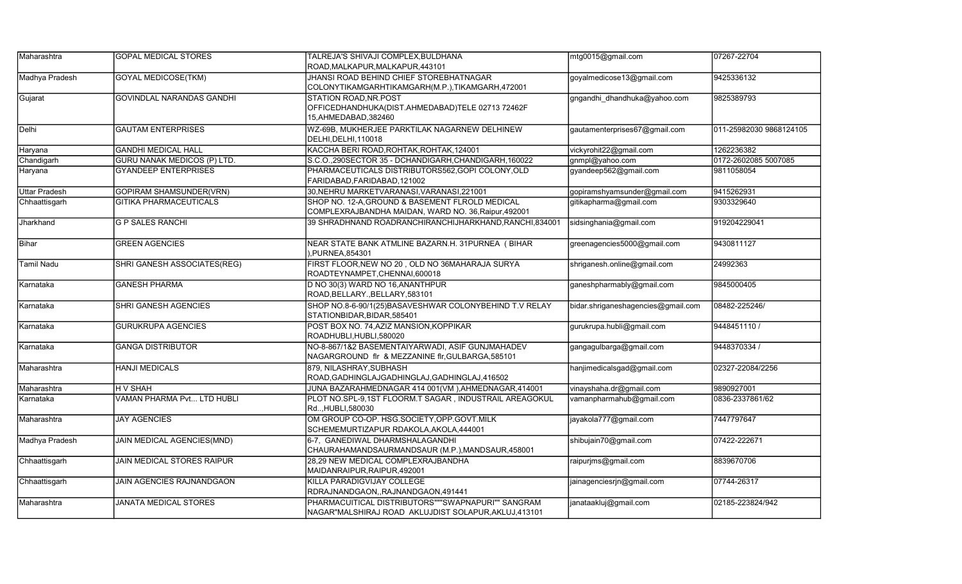| Maharashtra          | <b>GOPAL MEDICAL STORES</b>      | TALREJA'S SHIVAJI COMPLEX, BULDHANA                                                                         | mtg0015@gmail.com                  | 07267-22704             |
|----------------------|----------------------------------|-------------------------------------------------------------------------------------------------------------|------------------------------------|-------------------------|
|                      |                                  | ROAD, MALKAPUR, MALKAPUR, 443101                                                                            |                                    |                         |
| Madhya Pradesh       | <b>GOYAL MEDICOSE(TKM)</b>       | JHANSI ROAD BEHIND CHIEF STOREBHATNAGAR<br>COLONYTIKAMGARHTIKAMGARH(M.P.),TIKAMGARH,472001                  | goyalmedicose13@gmail.com          | 9425336132              |
| Gujarat              | <b>GOVINDLAL NARANDAS GANDHI</b> | STATION ROAD, NR. POST<br>OFFICEDHANDHUKA(DIST.AHMEDABAD)TELE 02713 72462F<br>15, AHMEDABAD, 382460         | gngandhi dhandhuka@yahoo.com       | 9825389793              |
| Delhi                | <b>GAUTAM ENTERPRISES</b>        | WZ-69B, MUKHERJEE PARKTILAK NAGARNEW DELHINEW<br>DELHI, DELHI, 110018                                       | gautamenterprises67@gmail.com      | 011-25982030 9868124105 |
| Haryana              | <b>GANDHI MEDICAL HALL</b>       | KACCHA BERI ROAD, ROHTAK, ROHTAK, 124001                                                                    | vickyrohit22@gmail.com             | 1262236382              |
| Chandigarh           | GURU NANAK MEDICOS (P) LTD.      | S.C.O., 290SECTOR 35 - DCHANDIGARH, CHANDIGARH, 160022                                                      | gnmpl@yahoo.com                    | 0172-2602085 5007085    |
| Haryana              | <b>GYANDEEP ENTERPRISES</b>      | PHARMACEUTICALS DISTRIBUTORS562, GOPI COLONY, OLD<br>FARIDABAD, FARIDABAD, 121002                           | gyandeep562@gmail.com              | 9811058054              |
| <b>Uttar Pradesh</b> | <b>GOPIRAM SHAMSUNDER(VRN)</b>   | 30, NEHRU MARKETVARANASI, VARANASI, 221001                                                                  | gopiramshyamsunder@gmail.com       | 9415262931              |
| Chhaattisgarh        | <b>GITIKA PHARMACEUTICALS</b>    | SHOP NO. 12-A, GROUND & BASEMENT FLROLD MEDICAL<br>COMPLEXRAJBANDHA MAIDAN, WARD NO. 36, Raipur, 492001     | gitikapharma@gmail.com             | 9303329640              |
| Jharkhand            | <b>G P SALES RANCHI</b>          | 39 SHRADHNAND ROADRANCHIRANCHIJHARKHAND, RANCHI, 834001                                                     | sidsinghania@gmail.com             | 919204229041            |
| Bihar                | <b>GREEN AGENCIES</b>            | NEAR STATE BANK ATMLINE BAZARN.H. 31PURNEA (BIHAR<br>), PURNEA, 854301                                      | greenagencies5000@gmail.com        | 9430811127              |
| Tamil Nadu           | SHRI GANESH ASSOCIATES(REG)      | FIRST FLOOR, NEW NO 20, OLD NO 36MAHARAJA SURYA<br>ROADTEYNAMPET,CHENNAI,600018                             | shriganesh.online@gmail.com        | 24992363                |
| Karnataka            | <b>GANESH PHARMA</b>             | D NO 30(3) WARD NO 16, ANANTHPUR<br>ROAD, BELLARY., BELLARY, 583101                                         | ganeshpharmably@gmail.com          | 9845000405              |
| Karnataka            | <b>SHRI GANESH AGENCIES</b>      | SHOP NO.8-6-90/1(25)BASAVESHWAR COLONYBEHIND T.V RELAY<br>STATIONBIDAR, BIDAR, 585401                       | bidar.shriganeshagencies@gmail.com | 08482-225246/           |
| Karnataka            | <b>GURUKRUPA AGENCIES</b>        | POST BOX NO. 74, AZIZ MANSION, KOPPIKAR<br>ROADHUBLI,HUBLI,580020                                           | gurukrupa.hubli@gmail.com          | 9448451110 /            |
| Karnataka            | <b>GANGA DISTRIBUTOR</b>         | NO-8-867/1&2 BASEMENTAIYARWADI, ASIF GUNJMAHADEV<br>NAGARGROUND fir & MEZZANINE fir, GULBARGA, 585101       | gangagulbarga@gmail.com            | 9448370334 /            |
| Maharashtra          | <b>HANJI MEDICALS</b>            | 879, NILASHRAY, SUBHASH<br>ROAD, GADHINGLAJ GADHINGLAJ, GADHINGLAJ, 416502                                  | hanjimedicalsgad@gmail.com         | 02327-22084/2256        |
| Maharashtra          | H V SHAH                         | JUNA BAZARAHMEDNAGAR 414 001(VM),AHMEDNAGAR,414001                                                          | vinayshaha.dr@gmail.com            | 9890927001              |
| Karnataka            | VAMAN PHARMA Pvt LTD HUBLI       | PLOT NO.SPL-9,1ST FLOORM.T SAGAR, INDUSTRAIL AREAGOKUL<br>Rd, HUBLI, 580030                                 | vamanpharmahub@gmail.com           | 0836-2337861/62         |
| Maharashtra          | <b>JAY AGENCIES</b>              | OM GROUP CO-OP. HSG.SOCIETY, OPP.GOVT.MILK<br>SCHEMEMURTIZAPUR RDAKOLA, AKOLA, 444001                       | jayakola777@gmail.com              | 7447797647              |
| Madhya Pradesh       | JAIN MEDICAL AGENCIES(MND)       | 6-7, GANEDIWAL DHARMSHALAGANDHI<br>CHAURAHAMANDSAURMANDSAUR (M.P.), MANDSAUR, 458001                        | shibujain70@gmail.com              | 07422-222671            |
| Chhaattisgarh        | JAIN MEDICAL STORES RAIPUR       | 28.29 NEW MEDICAL COMPLEXRAJBANDHA<br>MAIDANRAIPUR, RAIPUR, 492001                                          | raipurjms@gmail.com                | 8839670706              |
| Chhaattisgarh        | JAIN AGENCIES RAJNANDGAON        | KILLA PARADIGVIJAY COLLEGE<br>RDRAJNANDGAON,,RAJNANDGAON,491441                                             | jainagenciesrjn@gmail.com          | 07744-26317             |
| Maharashtra          | <b>JANATA MEDICAL STORES</b>     | PHARMACUITICAL DISTRIBUTORS"""SWAPNAPURI"" SANGRAM<br>NAGAR"MALSHIRAJ ROAD AKLUJDIST SOLAPUR, AKLUJ, 413101 | janataakluj@gmail.com              | 02185-223824/942        |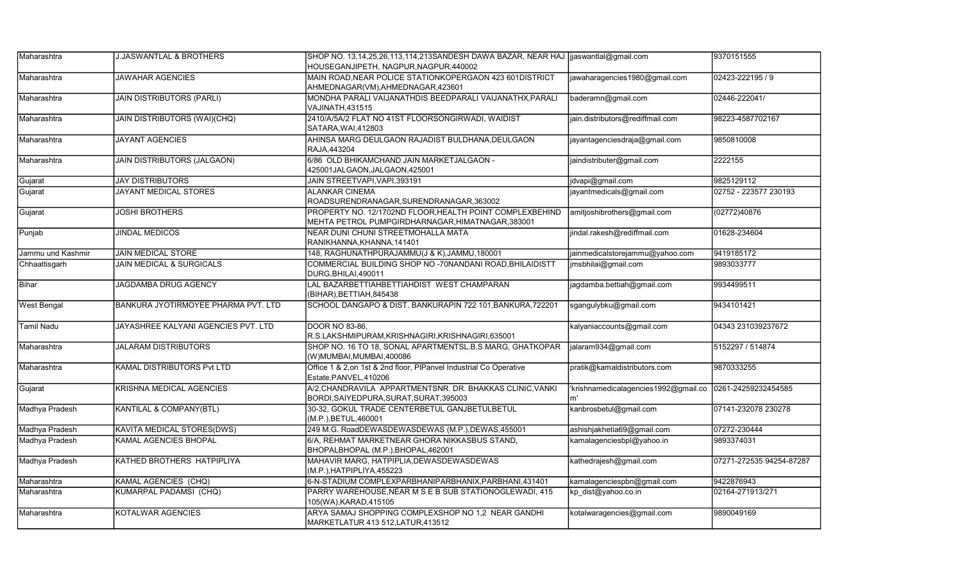| Maharashtra        | J.JASWANTLAL & BROTHERS             | SHOP NO. 13,14,25,26,113,114,213SANDESH DAWA BAZAR, NEAR HAJ  jjaswantlal@gmail.com                           |                                             | 9370151555               |
|--------------------|-------------------------------------|---------------------------------------------------------------------------------------------------------------|---------------------------------------------|--------------------------|
|                    |                                     | HOUSEGANJIPETH, NAGPUR,NAGPUR,440002                                                                          |                                             |                          |
| Maharashtra        | <b>JAWAHAR AGENCIES</b>             | MAIN ROAD, NEAR POLICE STATIONKOPERGAON 423 601DISTRICT<br>AHMEDNAGAR(VM),AHMEDNAGAR,423601                   | jawaharagencies1980@gmail.com               | 02423-222195 / 9         |
| Maharashtra        | <b>JAIN DISTRIBUTORS (PARLI)</b>    | MONDHA PARALI VAIJANATHDIS BEEDPARALI VAIJANATHX,PARALI<br>VAJINATH,431515                                    | baderamn@gmail.com                          | 02446-222041/            |
| Maharashtra        | <b>JAIN DISTRIBUTORS (WAI)(CHQ)</b> | 2410/A/5A/2 FLAT NO 41ST FLOORSONGIRWADI, WAIDIST<br>SATARA, WAI, 412803                                      | jain.distributors@rediffmail.com            | 98223-4587702167         |
| Maharashtra        | <b>JAYANT AGENCIES</b>              | AHINSA MARG DEULGAON RAJADIST BULDHANA, DEULGAON<br>RAJA.443204                                               | jayantagenciesdraja@gmail.com               | 9850810008               |
| Maharashtra        | <b>JAIN DISTRIBUTORS (JALGAON)</b>  | 6/86 OLD BHIKAMCHAND JAIN MARKETJALGAON -<br>425001JALGAON,JALGAON,425001                                     | jaindistributer@gmail.com                   | 2222155                  |
| Gujarat            | <b>JAY DISTRIBUTORS</b>             | JAIN STREETVAPI, VAPI, 393191                                                                                 | jdvapi@gmail.com                            | 9825129112               |
| Gujarat            | JAYANT MEDICAL STORES               | ALANKAR CINEMA<br>ROADSURENDRANAGAR, SURENDRANAGAR, 363002                                                    | jayantmedicals@gmail.com                    | 02752 - 223577 230193    |
| Gujarat            | <b>JOSHI BROTHERS</b>               | PROPERTY NO. 12/1702ND FLOOR, HEALTH POINT COMPLEXBEHIND<br>MEHTA PETROL PUMPGIRDHARNAGAR, HIMATNAGAR, 383001 | amitjoshibrothers@gmail.com                 | (02772)40876             |
| Punjab             | <b>JINDAL MEDICOS</b>               | NEAR DUNI CHUNI STREETMOHALLA MATA<br>RANIKHANNA,KHANNA,141401                                                | jindal.rakesh@rediffmail.com                | 01628-234604             |
| Jammu und Kashmir  | <b>JAIN MEDICAL STORE</b>           | 148, RAGHUNATHPURAJAMMU(J & K), JAMMU, 180001                                                                 | jainmedicalstorejammu@yahoo.com             | 9419185172               |
| Chhaattisgarh      | <b>JAIN MEDICAL &amp; SURGICALS</b> | COMMERCIAL BUILDING SHOP NO -70NANDANI ROAD, BHILAIDISTT<br>DURG, BHILAI, 490011                              | jmsbhilai@gmail.com                         | 9893033777               |
| Bihar              | JAGDAMBA DRUG AGENCY                | LAL BAZARBETTIAHBETTIAHDIST WEST CHAMPARAN<br>(BIHAR), BETTIAH, 845438                                        | jagdamba.bettiah@gmail.com                  | 9934499511               |
| <b>West Bengal</b> | BANKURA JYOTIRMOYEE PHARMA PVT. LTD | SCHOOL DANGAPO & DIST. BANKURAPIN 722 101, BANKURA, 722201                                                    | sgangulybku@gmail.com                       | 9434101421               |
| <b>Tamil Nadu</b>  | JAYASHREE KALYANI AGENCIES PVT. LTD | DOOR NO 83-86.<br>R.S.LAKSHMIPURAM,KRISHNAGIRI,KRISHNAGIRI,635001                                             | kalyaniaccounts@gmail.com                   | 04343 231039237672       |
| Maharashtra        | <b>JALARAM DISTRIBUTORS</b>         | SHOP NO. 16 TO 18, SONAL APARTMENTSL.B.S MARG, GHATKOPAR<br>(W)MUMBAI,MUMBAI,400086                           | jalaram934@gmail.com                        | 5152297 / 514874         |
| Maharashtra        | <b>KAMAL DISTRIBUTORS Pvt LTD</b>   | Office 1 & 2, on 1st & 2nd floor, PIPanvel Industrial Co Operative<br>Estate, PANVEL, 410206                  | pratik@kamaldistributors.com                | 9870333255               |
| Gujarat            | KRISHNA MEDICAL AGENCIES            | A/2, CHANDRAVILA APPARTMENTSNR. DR. BHAKKAS CLINIC, VANKI<br>BORDI, SAIYEDPURA, SURAT, SURAT, 395003          | 'krishnamedicalagencies1992@gmail.co<br>lm' | 0261-24259232454585      |
| Madhya Pradesh     | <b>KANTILAL &amp; COMPANY(BTL)</b>  | 30-32, GOKUL TRADE CENTERBETUL GANJBETULBETUL<br>(M.P.), BETUL, 460001                                        | kanbrosbetul@gmail.com                      | 07141-232078 230278      |
| Madhya Pradesh     | KAVITA MEDICAL STORES(DWS)          | 249 M.G. RoadDEWASDEWASDEWAS (M.P.),DEWAS,455001                                                              | ashishjakhetia69@gmail.com                  | 07272-230444             |
| Madhya Pradesh     | <b>KAMAL AGENCIES BHOPAL</b>        | 6/A, REHMAT MARKETNEAR GHORA NIKKASBUS STAND,<br>BHOPALBHOPAL (M.P.), BHOPAL, 462001                          | kamalagenciesbpl@yahoo.in                   | 9893374031               |
| Madhya Pradesh     | KATHED BROTHERS HATPIPLIYA          | MAHAVIR MARG, HATPIPLIA, DEWASDEWASDEWAS<br>(M.P.), HATPIPLIYA, 455223                                        | kathedrajesh@gmail.com                      | 07271-272535 94254-87287 |
| Maharashtra        | <b>KAMAL AGENCIES (CHQ)</b>         | 6-N-STADIUM COMPLEXPARBHANIPARBHANIX, PARBHANI, 431401                                                        | kamalagenciespbn@gmail.com                  | 9422876943               |
| Maharashtra        | <b>KUMARPAL PADAMSI (CHQ)</b>       | PARRY WAREHOUSE, NEAR M S E B SUB STATIONOGLEWADI, 415<br>105(WA),KARAD,415105                                | kp dist@yahoo.co.in                         | 02164-271913/271         |
| Maharashtra        | KOTALWAR AGENCIES                   | ARYA SAMAJ SHOPPING COMPLEXSHOP NO 1,2 NEAR GANDHI<br>MARKETLATUR 413 512, LATUR, 413512                      | kotalwaragencies@gmail.com                  | 9890049169               |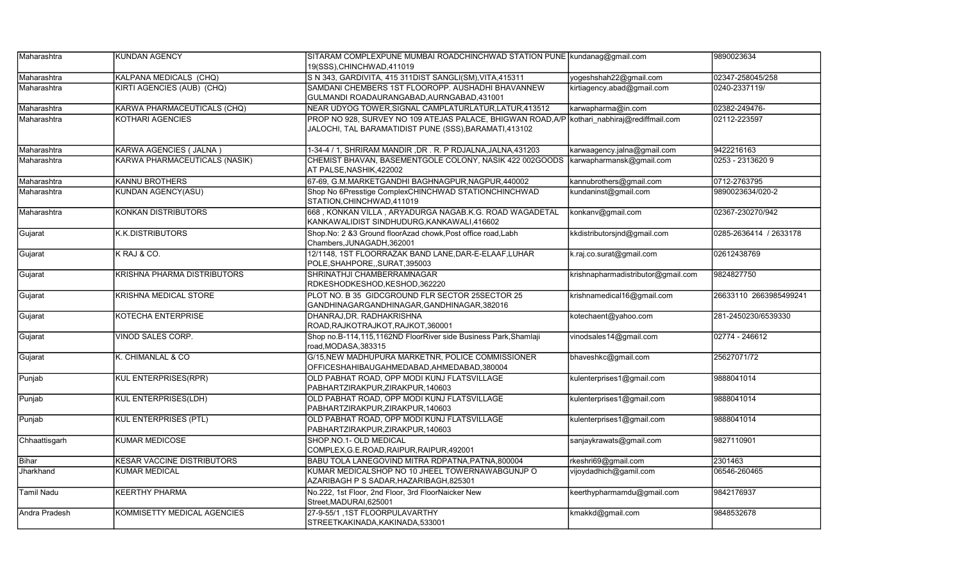| Maharashtra       | <b>KUNDAN AGENCY</b>              | SITARAM COMPLEXPUNE MUMBAI ROADCHINCHWAD STATION PUNE Kundanag@gmail.com<br>19(SSS), CHINCHWAD, 411019                                                |                                    | 9890023634             |
|-------------------|-----------------------------------|-------------------------------------------------------------------------------------------------------------------------------------------------------|------------------------------------|------------------------|
| Maharashtra       | KALPANA MEDICALS (CHQ)            | S N 343, GARDIVITA, 415 311DIST SANGLI(SM), VITA, 415311                                                                                              | yogeshshah22@gmail.com             | 02347-258045/258       |
| Maharashtra       | KIRTI AGENCIES (AUB) (CHQ)        | SAMDANI CHEMBERS 1ST FLOOROPP. AUSHADHI BHAVANNEW<br>GULMANDI ROADAURANGABAD, AURNGABAD, 431001                                                       | kirtiagency.abad@gmail.com         | 0240-2337119/          |
| Maharashtra       | KARWA PHARMACEUTICALS (CHQ)       | NEAR UDYOG TOWER, SIGNAL CAMPLATURLATUR, LATUR, 413512                                                                                                | karwapharma@in.com                 | 02382-249476-          |
| Maharashtra       | KOTHARI AGENCIES                  | PROP NO 928, SURVEY NO 109 ATEJAS PALACE, BHIGWAN ROAD,A/P kothari  nabhiraj@rediffmail.com<br>JALOCHI, TAL BARAMATIDIST PUNE (SSS), BARAMATI, 413102 |                                    | 02112-223597           |
| Maharashtra       | KARWA AGENCIES ( JALNA )          | 1-34-4 / 1, SHRIRAM MANDIR, DR. R. P RDJALNA, JALNA, 431203                                                                                           | karwaagency.jalna@gmail.com        | 9422216163             |
| Maharashtra       | KARWA PHARMACEUTICALS (NASIK)     | CHEMIST BHAVAN, BASEMENTGOLE COLONY, NASIK 422 002GOODS<br>AT PALSE, NASHIK, 422002                                                                   | karwapharmansk@gmail.com           | 0253 - 2313620 9       |
| Maharashtra       | <b>KANNU BROTHERS</b>             | 67-69, G.M.MARKETGANDHI BAGHNAGPUR, NAGPUR, 440002                                                                                                    | kannubrothers@gmail.com            | 0712-2763795           |
| Maharashtra       | <b>KUNDAN AGENCY(ASU)</b>         | Shop No 6Presstige ComplexCHINCHWAD STATIONCHINCHWAD<br>STATION, CHINCHWAD, 411019                                                                    | kundaninst@gmail.com               | 9890023634/020-2       |
| Maharashtra       | <b>KONKAN DISTRIBUTORS</b>        | 668, KONKAN VILLA, ARYADURGA NAGAB.K.G. ROAD WAGADETAL<br>KANKAWALIDIST SINDHUDURG,KANKAWALI,416602                                                   | konkanv@gmail.com                  | 02367-230270/942       |
| Gujarat           | K.K.DISTRIBUTORS                  | Shop.No: 2 &3 Ground floorAzad chowk,Post office road,Labh<br>Chambers, JUNAGADH, 362001                                                              | kkdistributorsjnd@gmail.com        | 0285-2636414 / 2633178 |
| Gujarat           | K RAJ & CO.                       | 12/1148, 1ST FLOORRAZAK BAND LANE, DAR-E-ELAAF, LUHAR<br>POLE, SHAHPORE, , SURAT, 395003                                                              | k.raj.co.surat@gmail.com           | 02612438769            |
| Gujarat           | KRISHNA PHARMA DISTRIBUTORS       | SHRINATHJI CHAMBERRAMNAGAR<br>RDKESHODKESHOD,KESHOD,362220                                                                                            | krishnapharmadistributor@gmail.com | 9824827750             |
| Gujarat           | <b>KRISHNA MEDICAL STORE</b>      | PLOT NO. B 35 GIDCGROUND FLR SECTOR 25SECTOR 25<br>GANDHINAGARGANDHINAGAR, GANDHINAGAR, 382016                                                        | krishnamedical16@gmail.com         | 26633110 2663985499241 |
| Gujarat           | <b>KOTECHA ENTERPRISE</b>         | DHANRAJ.DR. RADHAKRISHNA<br>ROAD, RAJKOTRAJKOT, RAJKOT, 360001                                                                                        | kotechaent@yahoo.com               | 281-2450230/6539330    |
| Gujarat           | VINOD SALES CORP.                 | Shop no.B-114,115,1162ND FloorRiver side Business Park, Shamlaji<br>road, MODASA, 383315                                                              | vinodsales14@gmail.com             | 02774 - 246612         |
| Gujarat           | K. CHIMANLAL & CO                 | G/15, NEW MADHUPURA MARKETNR, POLICE COMMISSIONER<br>OFFICESHAHIBAUGAHMEDABAD, AHMEDABAD, 380004                                                      | bhaveshkc@gmail.com                | 25627071/72            |
| Punjab            | <b>KUL ENTERPRISES(RPR)</b>       | OLD PABHAT ROAD, OPP MODI KUNJ FLATSVILLAGE<br>PABHARTZIRAKPUR, ZIRAKPUR, 140603                                                                      | kulenterprises1@gmail.com          | 9888041014             |
| Punjab            | <b>KUL ENTERPRISES(LDH)</b>       | OLD PABHAT ROAD, OPP MODI KUNJ FLATSVILLAGE<br>PABHARTZIRAKPUR,ZIRAKPUR,140603                                                                        | kulenterprises1@gmail.com          | 9888041014             |
| Punjab            | <b>KUL ENTERPRISES (PTL)</b>      | OLD PABHAT ROAD, OPP MODI KUNJ FLATSVILLAGE<br>PABHARTZIRAKPUR,ZIRAKPUR,140603                                                                        | kulenterprises1@gmail.com          | 9888041014             |
| Chhaattisgarh     | KUMAR MEDICOSE                    | SHOP.NO.1- OLD MEDICAL<br>COMPLEX, G.E.ROAD, RAIPUR, RAIPUR, 492001                                                                                   | sanjaykrawats@gmail.com            | 9827110901             |
| <b>Bihar</b>      | <b>KESAR VACCINE DISTRIBUTORS</b> | BABU TOLA LANEGOVIND MITRA RDPATNA.PATNA.800004                                                                                                       | rkeshri69@gmail.com                | 2301463                |
| <b>Jharkhand</b>  | <b>KUMAR MEDICAL</b>              | KUMAR MEDICALSHOP NO 10 JHEEL TOWERNAWABGUNJP O<br>AZARIBAGH P S SADAR, HAZARIBAGH, 825301                                                            | vijoydadhich@gamil.com             | 06546-260465           |
| <b>Tamil Nadu</b> | <b>KEERTHY PHARMA</b>             | No.222, 1st Floor, 2nd Floor, 3rd FloorNaicker New<br>Street, MADURAI, 625001                                                                         | keerthypharmamdu@gmail.com         | 9842176937             |
| Andra Pradesh     | KOMMISETTY MEDICAL AGENCIES       | 27-9-55/1, 1ST FLOORPULAVARTHY<br>STREETKAKINADA, KAKINADA, 533001                                                                                    | kmakkd@gmail.com                   | 9848532678             |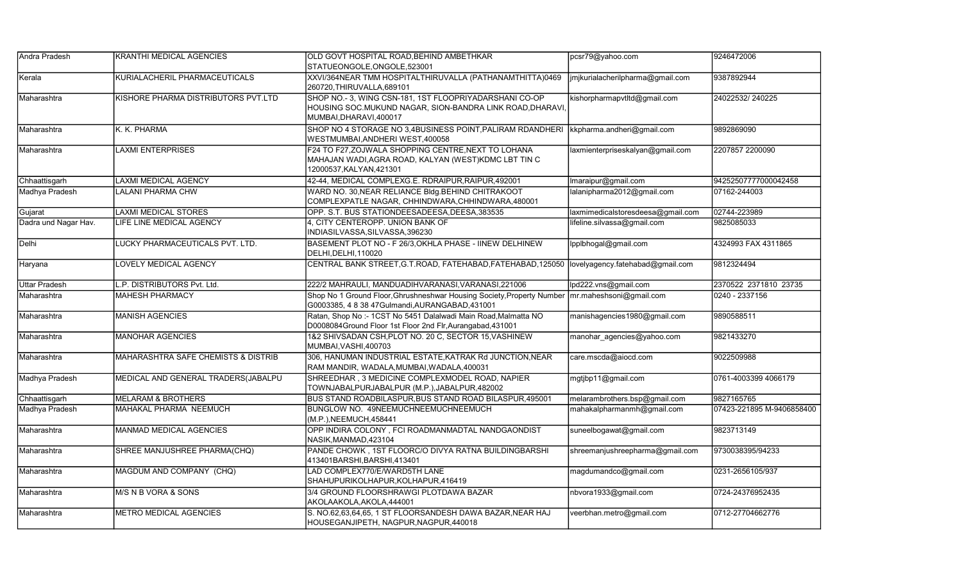| Andra Pradesh        | KRANTHI MEDICAL AGENCIES                       | OLD GOVT HOSPITAL ROAD, BEHIND AMBETHKAR                                                                                                       | pcsr79@yahoo.com                  | 9246472006                |
|----------------------|------------------------------------------------|------------------------------------------------------------------------------------------------------------------------------------------------|-----------------------------------|---------------------------|
|                      |                                                | STATUEONGOLE, ONGOLE, 523001                                                                                                                   |                                   |                           |
| Kerala               | KURIALACHERIL PHARMACEUTICALS                  | XXVI/364NEAR TMM HOSPITALTHIRUVALLA (PATHANAMTHITTA)0469<br>260720, THIRUVALLA, 689101                                                         | jmjkurialacherilpharma@gmail.com  | 9387892944                |
| Maharashtra          | KISHORE PHARMA DISTRIBUTORS PVT.LTD            | SHOP NO.- 3, WING CSN-181, 1ST FLOOPRIYADARSHANI CO-OP<br>HOUSING SOC MUKUND NAGAR, SION-BANDRA LINK ROAD, DHARAVI,<br>MUMBAI, DHARAVI, 400017 | kishorpharmapvtltd@gmail.com      | 24022532/240225           |
| Maharashtra          | K. K. PHARMA                                   | SHOP NO 4 STORAGE NO 3,4BUSINESS POINT, PALIRAM RDANDHERI   kkpharma.andheri@gmail.com<br>WESTMUMBAI, ANDHERI WEST, 400058                     |                                   | 9892869090                |
| Maharashtra          | <b>LAXMI ENTERPRISES</b>                       | F24 TO F27, ZOJWALA SHOPPING CENTRE, NEXT TO LOHANA<br>MAHAJAN WADI, AGRA ROAD, KALYAN (WEST) KDMC LBT TIN C<br>12000537, KALYAN, 421301       | laxmienterpriseskalyan@gmail.com  | 2207857 2200090           |
| Chhaattisgarh        | <b>LAXMI MEDICAL AGENCY</b>                    | 42-44, MEDICAL COMPLEXG.E. RDRAIPUR, RAIPUR, 492001                                                                                            | Imaraipur@gmail.com               | 94252507777000042458      |
| Madhya Pradesh       | LALANI PHARMA CHW                              | WARD NO. 30, NEAR RELIANCE BIdg. BEHIND CHITRAKOOT<br>COMPLEXPATLE NAGAR, CHHINDWARA, CHHINDWARA, 480001                                       | lalanipharma2012@gmail.com        | 07162-244003              |
| Gujarat              | <b>LAXMI MEDICAL STORES</b>                    | OPP. S.T. BUS STATIONDEESADEESA, DEESA, 383535                                                                                                 | laxmimedicalstoresdeesa@gmail.com | 02744-223989              |
| Dadra und Nagar Hav. | LIFE LINE MEDICAL AGENCY                       | 4. CITY CENTEROPP, UNION BANK OF<br>INDIASILVASSA, SILVASSA, 396230                                                                            | lifeline.silvassa@gmail.com       | 9825085033                |
| Delhi                | LUCKY PHARMACEUTICALS PVT. LTD.                | BASEMENT PLOT NO - F 26/3, OKHLA PHASE - IINEW DELHINEW<br>DELHI, DELHI, 110020                                                                | Ipplbhogal@gmail.com              | 4324993 FAX 4311865       |
| Haryana              | <b>LOVELY MEDICAL AGENCY</b>                   | CENTRAL BANK STREET, G.T.ROAD, FATEHABAD, FATEHABAD, 125050  lovelyagency.fatehabad@gmail.com                                                  |                                   | 9812324494                |
| <b>Uttar Pradesh</b> | L.P. DISTRIBUTORS Pvt. Ltd.                    | 222/2 MAHRAULI, MANDUADIHVARANASI, VARANASI, 221006                                                                                            | lpd222.vns@gmail.com              | 2370522 2371810 23735     |
| Maharashtra          | <b>MAHESH PHARMACY</b>                         | Shop No 1 Ground Floor, Ghrushneshwar Housing Society, Property Number<br>G0003385, 4 8 38 47Gulmandi, AURANGABAD, 431001                      | mr.maheshsoni@gmail.com           | 0240 - 2337156            |
| Maharashtra          | <b>MANISH AGENCIES</b>                         | Ratan, Shop No :- 1CST No 5451 Dalalwadi Main Road, Malmatta NO<br>D0008084Ground Floor 1st Floor 2nd Flr, Aurangabad, 431001                  | manishagencies1980@gmail.com      | 9890588511                |
| Maharashtra          | <b>MANOHAR AGENCIES</b>                        | 1&2 SHIVSADAN CSH, PLOT NO. 20 C, SECTOR 15, VASHINEW<br>MUMBAI, VASHI, 400703                                                                 | manohar agencies@yahoo.com        | 9821433270                |
| Maharashtra          | <b>MAHARASHTRA SAFE CHEMISTS &amp; DISTRIB</b> | 306, HANUMAN INDUSTRIAL ESTATE, KATRAK Rd JUNCTION, NEAR<br>RAM MANDIR, WADALA, MUMBAI, WADALA, 400031                                         | care.mscda@aiocd.com              | 9022509988                |
| Madhya Pradesh       | MEDICAL AND GENERAL TRADERS(JABALPU            | SHREEDHAR, 3 MEDICINE COMPLEXMODEL ROAD, NAPIER<br>TOWNJABALPURJABALPUR (M.P.), JABALPUR, 482002                                               | mgtjbp11@gmail.com                | 0761-4003399 4066179      |
| Chhaattisgarh        | <b>MELARAM &amp; BROTHERS</b>                  | BUS STAND ROADBILASPUR, BUS STAND ROAD BILASPUR, 495001                                                                                        | melarambrothers.bsp@gmail.com     | 9827165765                |
| Madhya Pradesh       | MAHAKAL PHARMA NEEMUCH                         | BUNGLOW NO. 49NEEMUCHNEEMUCHNEEMUCH<br>(M.P.), NEEMUCH, 458441                                                                                 | mahakalpharmanmh@gmail.com        | 07423-221895 M-9406858400 |
| Maharashtra          | <b>MANMAD MEDICAL AGENCIES</b>                 | OPP INDIRA COLONY, FCI ROADMANMADTAL NANDGAONDIST<br>NASIK, MANMAD, 423104                                                                     | suneelbogawat@gmail.com           | 9823713149                |
| Maharashtra          | SHREE MANJUSHREE PHARMA(CHQ)                   | PANDE CHOWK, 1ST FLOORC/O DIVYA RATNA BUILDINGBARSHI<br>413401BARSHI, BARSHI, 413401                                                           | shreemanjushreepharma@gmail.com   | 9730038395/94233          |
| Maharashtra          | MAGDUM AND COMPANY (CHQ)                       | LAD COMPLEX770/E/WARD5TH LANE<br>SHAHUPURIKOLHAPUR, KOLHAPUR, 416419                                                                           | magdumandco@gmail.com             | 0231-2656105/937          |
| Maharashtra          | M/S N B VORA & SONS                            | 3/4 GROUND FLOORSHRAWGI PLOTDAWA BAZAR<br>AKOLAAKOLA, AKOLA, 444001                                                                            | nbvora1933@gmail.com              | 0724-24376952435          |
| Maharashtra          | <b>METRO MEDICAL AGENCIES</b>                  | S. NO.62,63,64,65, 1 ST FLOORSANDESH DAWA BAZAR, NEAR HAJ<br>HOUSEGANJIPETH, NAGPUR, NAGPUR, 440018                                            | veerbhan.metro@gmail.com          | 0712-27704662776          |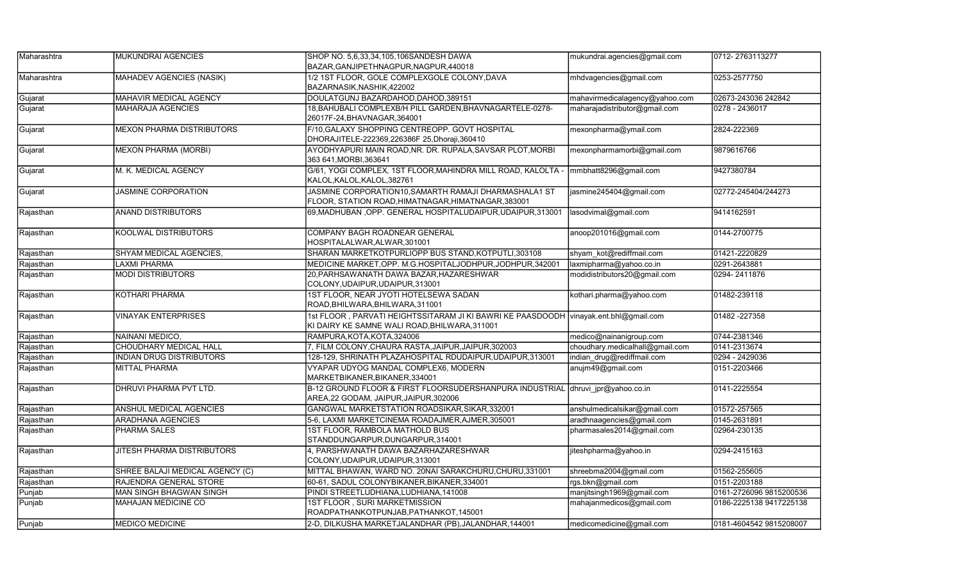| Maharashtra | MUKUNDRAI AGENCIES               | SHOP NO. 5.6.33.34.105.106SANDESH DAWA                                                                                  | mukundrai.agencies@gmail.com    | 0712-2763113277         |
|-------------|----------------------------------|-------------------------------------------------------------------------------------------------------------------------|---------------------------------|-------------------------|
|             |                                  | BAZAR, GANJIPETHNAGPUR, NAGPUR, 440018                                                                                  |                                 |                         |
| Maharashtra | MAHADEV AGENCIES (NASIK)         | 1/2 1ST FLOOR, GOLE COMPLEXGOLE COLONY, DAVA<br>BAZARNASIK, NASHIK, 422002                                              | mhdvagencies@gmail.com          | 0253-2577750            |
| Gujarat     | MAHAVIR MEDICAL AGENCY           | DOULATGUNJ BAZARDAHOD, DAHOD, 389151                                                                                    | mahavirmedicalagency@yahoo.com  | 02673-243036 242842     |
| Gujarat     | <b>MAHARAJA AGENCIES</b>         | 18, BAHUBALI COMPLEXB/H PILL GARDEN, BHAVNAGARTELE-0278-<br>26017F-24, BHAVNAGAR, 364001                                | maharajadistributor@gmail.com   | 0278 - 2436017          |
| Gujarat     | <b>MEXON PHARMA DISTRIBUTORS</b> | F/10, GALAXY SHOPPING CENTREOPP. GOVT HOSPITAL<br>DHORAJITELE-222369,226386F 25, Dhoraji, 360410                        | mexonpharma@ymail.com           | 2824-222369             |
| Gujarat     | <b>MEXON PHARMA (MORBI)</b>      | AYODHYAPURI MAIN ROAD, NR. DR. RUPALA, SAVSAR PLOT, MORBI<br>363 641, MORBI, 363641                                     | mexonpharmamorbi@gmail.com      | 9879616766              |
| Gujarat     | M. K. MEDICAL AGENCY             | G/61, YOGI COMPLEX, 1ST FLOOR, MAHINDRA MILL ROAD, KALOLTA -<br>KALOL, KALOL, KALOL, 382761                             | mmbhatt8296@gmail.com           | 9427380784              |
| Gujarat     | <b>JASMINE CORPORATION</b>       | JASMINE CORPORATION10,SAMARTH RAMAJI DHARMASHALA1 ST<br>FLOOR, STATION ROAD, HIMATNAGAR, HIMATNAGAR, 383001             | asmine245404@gmail.com          | 02772-245404/244273     |
| Rajasthan   | <b>ANAND DISTRIBUTORS</b>        | 69, MADHUBAN, OPP. GENERAL HOSPITALUDAIPUR, UDAIPUR, 313001                                                             | lasodvimal@gmail.com            | 9414162591              |
| Rajasthan   | <b>KOOLWAL DISTRIBUTORS</b>      | <b>COMPANY BAGH ROADNEAR GENERAL</b><br>HOSPITALALWAR,ALWAR,301001                                                      | anoop201016@gmail.com           | 0144-2700775            |
| Rajasthan   | SHYAM MEDICAL AGENCIES,          | SHARAN MARKETKOTPURLIOPP BUS STAND, KOTPUTLI, 303108                                                                    | shyam kot@rediffmail.com        | 01421-2220829           |
| Rajasthan   | <b>LAXMI PHARMA</b>              | MEDICINE MARKET, OPP. M.G.HOSPITALJODHPUR, JODHPUR, 342001                                                              | laxmipharma@yahoo.co.in         | 0291-2643881            |
| Rajasthan   | <b>MODI DISTRIBUTORS</b>         | 20, PARHSAWANATH DAWA BAZAR, HAZARESHWAR<br>COLONY, UDAIPUR, UDAIPUR, 313001                                            | modidistributors20@gmail.com    | 0294-2411876            |
| Rajasthan   | KOTHARI PHARMA                   | 1ST FLOOR, NEAR JYOTI HOTELSEWA SADAN<br>ROAD, BHILWARA, BHILWARA, 311001                                               | kothari.pharma@yahoo.com        | 01482-239118            |
| Rajasthan   | <b>VINAYAK ENTERPRISES</b>       | 1st FLOOR, PARVATI HEIGHTSSITARAM JI KI BAWRI KE PAASDOODH<br>KI DAIRY KE SAMNE WALI ROAD, BHILWARA, 311001             | vinayak.ent.bhl@gmail.com       | 01482 - 227358          |
| Rajasthan   | NAINANI MEDICO,                  | RAMPURA, KOTA, KOTA, 324006                                                                                             | medico@nainanigroup.com         | 0744-2381346            |
| Rajasthan   | <b>CHOUDHARY MEDICAL HALL</b>    | 7, FILM COLONY, CHAURA RASTA, JAIPUR, JAIPUR, 302003                                                                    | choudhary.medicalhall@gmail.com | 0141-2313674            |
| Rajasthan   | <b>INDIAN DRUG DISTRIBUTORS</b>  | 128-129, SHRINATH PLAZAHOSPITAL RDUDAIPUR UDAIPUR 313001                                                                | indian drug@rediffmail.com      | 0294 - 2429036          |
| Rajasthan   | <b>MITTAL PHARMA</b>             | VYAPAR UDYOG MANDAL COMPLEX6, MODERN<br>MARKETBIKANER, BIKANER, 334001                                                  | anujm49@gmail.com               | 0151-2203466            |
| Rajasthan   | DHRUVI PHARMA PVT LTD.           | B-12 GROUND FLOOR & FIRST FLOORSUDERSHANPURA INDUSTRIAL dhruvi jpr@yahoo.co.in<br>AREA,22 GODAM, JAIPUR, JAIPUR, 302006 |                                 | 0141-2225554            |
| Rajasthan   | ANSHUL MEDICAL AGENCIES          | GANGWAL MARKETSTATION ROADSIKAR, SIKAR, 332001                                                                          | anshulmedicalsikar@gmail.com    | 01572-257565            |
| Rajasthan   | <b>ARADHANA AGENCIES</b>         | 5-6, LAXMI MARKETCINEMA ROADAJMER, AJMER, 305001                                                                        | aradhnaagencies@gmail.com       | 0145-2631891            |
| Rajasthan   | PHARMA SALES                     | 1ST FLOOR, RAMBOLA MATHOLD BUS<br>STANDDUNGARPUR, DUNGARPUR, 314001                                                     | pharmasales2014@gmail.com       | 02964-230135            |
| Rajasthan   | JITESH PHARMA DISTRIBUTORS       | 4, PARSHWANATH DAWA BAZARHAZARESHWAR<br>COLONY, UDAIPUR, UDAIPUR, 313001                                                | jiteshpharma@yahoo.in           | 0294-2415163            |
| Rajasthan   | SHREE BALAJI MEDICAL AGENCY (C)  | MITTAL BHAWAN, WARD NO. 20NAI SARAKCHURU, CHURU, 331001                                                                 | shreebma2004@gmail.com          | 01562-255605            |
| Rajasthan   | RAJENDRA GENERAL STORE           | 60-61, SADUL COLONYBIKANER, BIKANER, 334001                                                                             | rgs.bkn@gmail.com               | 0151-2203188            |
| Punjab      | <b>MAN SINGH BHAGWAN SINGH</b>   | PINDI STREETLUDHIANA, LUDHIANA, 141008                                                                                  | manjitsingh1969@gmail.com       | 0161-2726096 9815200536 |
| Punjab      | <b>MAHAJAN MEDICINE CO</b>       | 1ST FLOOR, SURI MARKETMISSION<br>ROADPATHANKOTPUNJAB, PATHANKOT, 145001                                                 | mahajanmedicos@gmail.com        | 0186-2225138 9417225138 |
| Punjab      | <b>IMEDICO MEDICINE</b>          | 2-D, DILKUSHA MARKETJALANDHAR (PB), JALANDHAR, 144001                                                                   | medicomedicine@gmail.com        | 0181-4604542 9815208007 |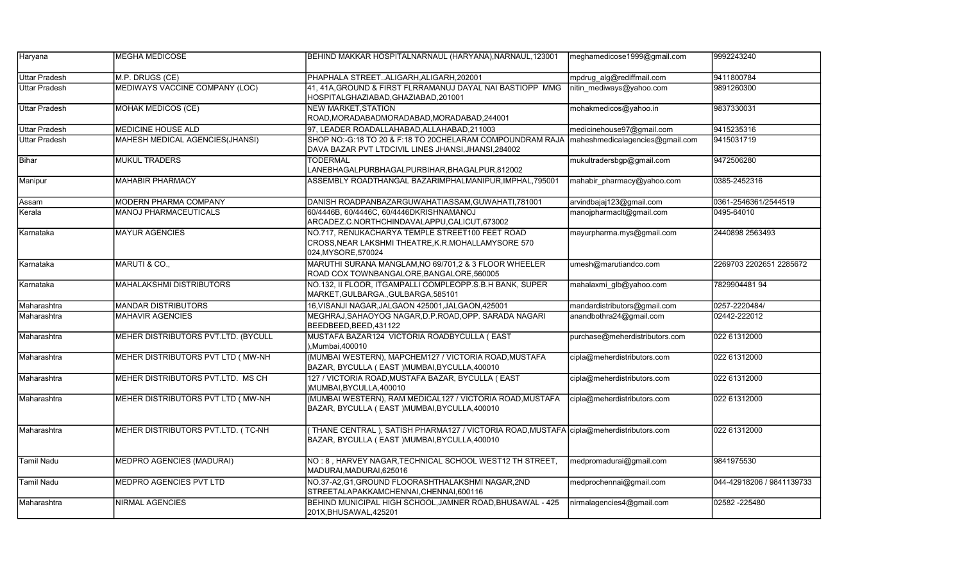| Haryana              | <b>MEGHA MEDICOSE</b>               | BEHIND MAKKAR HOSPITALNARNAUL (HARYANA), NARNAUL, 123001                                                                                | meghamedicose1999@gmail.com     | 9992243240                |
|----------------------|-------------------------------------|-----------------------------------------------------------------------------------------------------------------------------------------|---------------------------------|---------------------------|
| <b>Uttar Pradesh</b> | M.P. DRUGS (CE)                     | PHAPHALA STREETALIGARH, ALIGARH, 202001                                                                                                 | mpdrug_alg@rediffmail.com       | 9411800784                |
| <b>Uttar Pradesh</b> | MEDIWAYS VACCINE COMPANY (LOC)      | 41, 41A, GROUND & FIRST FLRRAMANUJ DAYAL NAI BASTIOPP MMG<br>HOSPITALGHAZIABAD, GHAZIABAD, 201001                                       | nitin mediways@yahoo.com        | 9891260300                |
| <b>Uttar Pradesh</b> | <b>MOHAK MEDICOS (CE)</b>           | <b>NEW MARKET, STATION</b><br>ROAD, MORADABADMORADABAD, MORADABAD, 244001                                                               | mohakmedicos@yahoo.in           | 9837330031                |
| <b>Uttar Pradesh</b> | <b>MEDICINE HOUSE ALD</b>           | 97, LEADER ROADALLAHABAD, ALLAHABAD, 211003                                                                                             | medicinehouse97@gmail.com       | 9415235316                |
| <b>Uttar Pradesh</b> | MAHESH MEDICAL AGENCIES(JHANSI)     | SHOP NO:-G:18 TO 20 & F:18 TO 20CHELARAM COMPOUNDRAM RAJA<br>DAVA BAZAR PVT LTDCIVIL LINES JHANSI, JHANSI, 284002                       | maheshmedicalagencies@gmail.com | 9415031719                |
| Bihar                | <b>MUKUL TRADERS</b>                | <b>TODERMAL</b><br>LANEBHAGALPURBHAGALPURBIHAR, BHAGALPUR, 812002                                                                       | mukultradersbgp@gmail.com       | 9472506280                |
| Manipur              | <b>MAHABIR PHARMACY</b>             | ASSEMBLY ROADTHANGAL BAZARIMPHALMANIPUR, IMPHAL, 795001                                                                                 | mahabir pharmacy@yahoo.com      | 0385-2452316              |
| Assam                | MODERN PHARMA COMPANY               | DANISH ROADPANBAZARGUWAHATIASSAM, GUWAHATI, 781001                                                                                      | arvindbajaj123@gmail.com        | 0361-2546361/2544519      |
| Kerala               | <b>MANOJ PHARMACEUTICALS</b>        | 60/4446B, 60/4446C, 60/4446DKRISHNAMANOJ<br>ARCADEZ.C.NORTHCHINDAVALAPPU,CALICUT,673002                                                 | manojpharmacit@gmail.com        | 0495-64010                |
| Karnataka            | <b>MAYUR AGENCIES</b>               | NO.717, RENUKACHARYA TEMPLE STREET100 FEET ROAD<br>CROSS, NEAR LAKSHMI THEATRE, K.R.MOHALLAMYSORE 570<br>024, MYSORE, 570024            | mayurpharma.mys@gmail.com       | 2440898 2563493           |
| Karnataka            | MARUTI & CO.,                       | MARUTHI SURANA MANGLAM, NO 69/701,2 & 3 FLOOR WHEELER<br>ROAD COX TOWNBANGALORE, BANGALORE, 560005                                      | umesh@marutiandco.com           | 2269703 2202651 2285672   |
| Karnataka            | <b>MAHALAKSHMI DISTRIBUTORS</b>     | NO.132, II FLOOR, ITGAMPALLI COMPLEOPP.S.B.H BANK, SUPER<br>MARKET, GULBARGA., GULBARGA, 585101                                         | mahalaxmi glb@yahoo.com         | 7829904481 94             |
| Maharashtra          | <b>MANDAR DISTRIBUTORS</b>          | 16, VISANJI NAGAR, JALGAON 425001, JALGAON, 425001                                                                                      | mandardistributors@gmail.com    | 0257-2220484/             |
| Maharashtra          | <b>MAHAVIR AGENCIES</b>             | MEGHRAJ, SAHAOYOG NAGAR, D.P.ROAD, OPP. SARADA NAGARI<br>BEEDBEED, BEED, 431122                                                         | anandbothra24@gmail.com         | 02442-222012              |
| Maharashtra          | MEHER DISTRIBUTORS PVT.LTD. (BYCULL | MUSTAFA BAZAR124 VICTORIA ROADBYCULLA ( EAST<br>),Mumbai,400010                                                                         | purchase@meherdistributors.com  | 022 61312000              |
| Maharashtra          | MEHER DISTRIBUTORS PVT LTD (MW-NH   | (MUMBAI WESTERN), MAPCHEM127 / VICTORIA ROAD, MUSTAFA<br>BAZAR, BYCULLA (EAST) MUMBAI, BYCULLA, 400010                                  | cipla@meherdistributors.com     | 022 61312000              |
| Maharashtra          | MEHER DISTRIBUTORS PVT.LTD. MS CH   | 127 / VICTORIA ROAD, MUSTAFA BAZAR, BYCULLA (EAST<br>)MUMBAI, BYCULLA, 400010                                                           | cipla@meherdistributors.com     | 022 61312000              |
| Maharashtra          | MEHER DISTRIBUTORS PVT LTD ( MW-NH  | (MUMBAI WESTERN), RAM MEDICAL127 / VICTORIA ROAD, MUSTAFA<br>BAZAR, BYCULLA ( EAST )MUMBAI, BYCULLA, 400010                             | cipla@meherdistributors.com     | 022 61312000              |
| Maharashtra          | MEHER DISTRIBUTORS PVT.LTD. (TC-NH  | THANE CENTRAL), SATISH PHARMA127 / VICTORIA ROAD, MUSTAFA cipla@meherdistributors.com<br>BAZAR, BYCULLA ( EAST )MUMBAI, BYCULLA, 400010 |                                 | 022 61312000              |
| <b>Tamil Nadu</b>    | <b>MEDPRO AGENCIES (MADURAI)</b>    | NO: 8, HARVEY NAGAR, TECHNICAL SCHOOL WEST12 TH STREET,<br>MADURAI, MADURAI, 625016                                                     | medpromadurai@gmail.com         | 9841975530                |
| Tamil Nadu           | <b>MEDPRO AGENCIES PVT LTD</b>      | NO.37-A2,G1,GROUND FLOORASHTHALAKSHMI NAGAR,2ND<br>STREETALAPAKKAMCHENNAI,CHENNAI,600116                                                | medprochennai@gmail.com         | 044-42918206 / 9841139733 |
| Maharashtra          | <b>NIRMAL AGENCIES</b>              | BEHIND MUNICIPAL HIGH SCHOOL, JAMNER ROAD, BHUSAWAL - 425<br>201X, BHUSAWAL, 425201                                                     | nirmalagencies4@gmail.com       | 02582 - 225480            |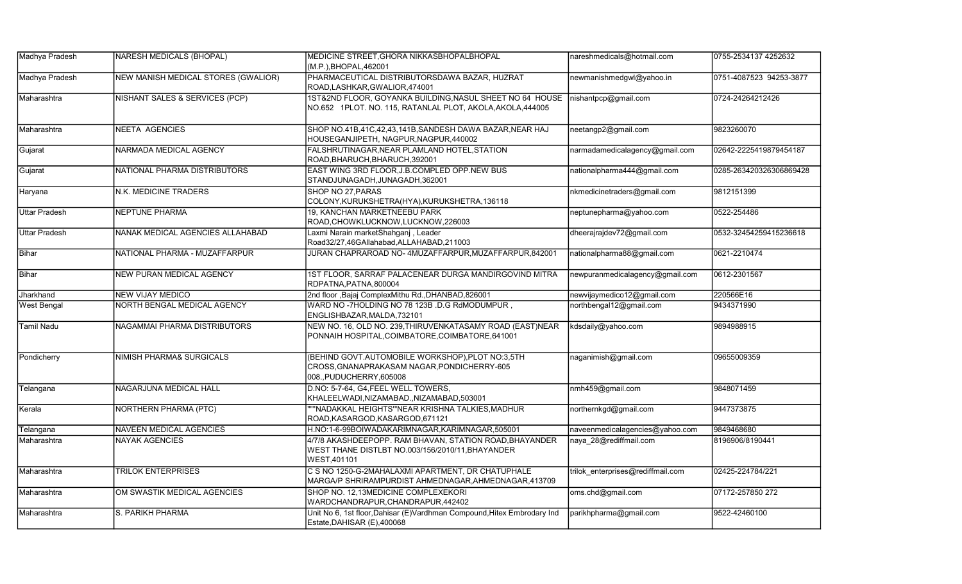| Madhya Pradesh       | NARESH MEDICALS (BHOPAL)            | MEDICINE STREET, GHORA NIKKASBHOPALBHOPAL                                                                                   | nareshmedicals@hotmail.com        | 0755-2534137 4252632    |
|----------------------|-------------------------------------|-----------------------------------------------------------------------------------------------------------------------------|-----------------------------------|-------------------------|
|                      |                                     | (M.P.), BHOPAL, 462001                                                                                                      |                                   |                         |
| Madhya Pradesh       | NEW MANISH MEDICAL STORES (GWALIOR) | PHARMACEUTICAL DISTRIBUTORSDAWA BAZAR, HUZRAT<br>ROAD, LASHKAR, GWALIOR, 474001                                             | newmanishmedgwl@yahoo.in          | 0751-4087523 94253-3877 |
| Maharashtra          | NISHANT SALES & SERVICES (PCP)      | 1ST&2ND FLOOR, GOYANKA BUILDING, NASUL SHEET NO 64 HOUSE<br>NO.652 1PLOT. NO. 115, RATANLAL PLOT, AKOLA, AKOLA, 444005      | nishantpcp@gmail.com              | 0724-24264212426        |
| Maharashtra          | NEETA AGENCIES                      | SHOP NO.41B,41C,42,43,141B,SANDESH DAWA BAZAR,NEAR HAJ<br>HOUSEGANJIPETH, NAGPUR, NAGPUR, 440002                            | neetangp2@gmail.com               | 9823260070              |
| Gujarat              | NARMADA MEDICAL AGENCY              | FALSHRUTINAGAR, NEAR PLAMLAND HOTEL, STATION<br>ROAD, BHARUCH, BHARUCH, 392001                                              | narmadamedicalagency@gmail.com    | 02642-2225419879454187  |
| Gujarat              | NATIONAL PHARMA DISTRIBUTORS        | EAST WING 3RD FLOOR, J.B.COMPLED OPP.NEW BUS<br>STANDJUNAGADH, JUNAGADH, 362001                                             | nationalpharma444@gmail.com       | 0285-263420326306869428 |
| Haryana              | N.K. MEDICINE TRADERS               | SHOP NO 27.PARAS<br>COLONY, KURUKSHETRA(HYA), KURUKSHETRA, 136118                                                           | nkmedicinetraders@gmail.com       | 9812151399              |
| <b>Uttar Pradesh</b> | <b>NEPTUNE PHARMA</b>               | <b>19. KANCHAN MARKETNEEBU PARK</b><br>ROAD, CHOWKLUCKNOW, LUCKNOW, 226003                                                  | neptunepharma@yahoo.com           | 0522-254486             |
| <b>Uttar Pradesh</b> | NANAK MEDICAL AGENCIES ALLAHABAD    | Laxmi Narain marketShahganj, Leader<br>Road32/27,46GAllahabad,ALLAHABAD,211003                                              | dheerajrajdev72@gmail.com         | 0532-32454259415236618  |
| Bihar                | NATIONAL PHARMA - MUZAFFARPUR       | JURAN CHAPRAROAD NO-4MUZAFFARPUR, MUZAFFARPUR, 842001                                                                       | nationalpharma88@gmail.com        | 0621-2210474            |
| Bihar                | NEW PURAN MEDICAL AGENCY            | 1ST FLOOR, SARRAF PALACENEAR DURGA MANDIRGOVIND MITRA<br>RDPATNA, PATNA, 800004                                             | newpuranmedicalagency@gmail.com   | 0612-2301567            |
| Jharkhand            | <b>NEW VIJAY MEDICO</b>             | 2nd floor , Bajaj ComplexMithu Rd., DHANBAD, 826001                                                                         | newvijaymedico12@gmail.com        | 220566E16               |
| <b>West Bengal</b>   | NORTH BENGAL MEDICAL AGENCY         | WARD NO-7HOLDING NO 78 123B .D.G RdMODUMPUR,<br>ENGLISHBAZAR, MALDA, 732101                                                 | northbengal12@gmail.com           | 9434371990              |
| Tamil Nadu           | NAGAMMAI PHARMA DISTRIBUTORS        | NEW NO. 16, OLD NO. 239, THIRUVENKATASAMY ROAD (EAST)NEAR<br>PONNAIH HOSPITAL, COIMBATORE, COIMBATORE, 641001               | kdsdaily@yahoo.com                | 9894988915              |
| Pondicherry          | NIMISH PHARMA& SURGICALS            | (BEHIND GOVT.AUTOMOBILE WORKSHOP), PLOT NO:3,5TH<br>CROSS, GNANAPRAKASAM NAGAR, PONDICHERRY-605<br>008., PUDUCHERRY, 605008 | naganimish@gmail.com              | 09655009359             |
| Telangana            | NAGARJUNA MEDICAL HALL              | D.NO: 5-7-64, G4, FEEL WELL TOWERS,<br>KHALEELWADI,NIZAMABAD.,NIZAMABAD,503001                                              | nmh459@gmail.com                  | 9848071459              |
| Kerala               | NORTHERN PHARMA (PTC)               | ""NADAKKAL HEIGHTS"'NEAR KRISHNA TALKIES.MADHUR<br>ROAD, KASARGOD, KASARGOD, 671121                                         | northernkgd@gmail.com             | 9447373875              |
| Telangana            | <b>NAVEEN MEDICAL AGENCIES</b>      | H.NO:1-6-99BOIWADAKARIMNAGAR,KARIMNAGAR,505001                                                                              | naveenmedicalagencies@yahoo.com   | 9849468680              |
| Maharashtra          | <b>NAYAK AGENCIES</b>               | 4/7/8 AKASHDEEPOPP. RAM BHAVAN, STATION ROAD, BHAYANDER<br>WEST THANE DISTLBT NO.003/156/2010/11, BHAYANDER<br>WEST, 401101 | naya 28@rediffmail.com            | 8196906/8190441         |
| Maharashtra          | <b>TRILOK ENTERPRISES</b>           | C S NO 1250-G-2MAHALAXMI APARTMENT, DR CHATUPHALE<br>MARGA/P SHRIRAMPURDIST AHMEDNAGAR, AHMEDNAGAR, 413709                  | trilok enterprises@rediffmail.com | 02425-224784/221        |
| Maharashtra          | OM SWASTIK MEDICAL AGENCIES         | SHOP NO. 12.13MEDICINE COMPLEXEKORI<br>WARDCHANDRAPUR, CHANDRAPUR, 442402                                                   | oms.chd@gmail.com                 | 07172-257850 272        |
| Maharashtra          | S. PARIKH PHARMA                    | Unit No 6, 1st floor, Dahisar (E) Vardhman Compound, Hitex Embrodary Ind<br>Estate, DAHISAR (E), 400068                     | parikhpharma@gmail.com            | 9522-42460100           |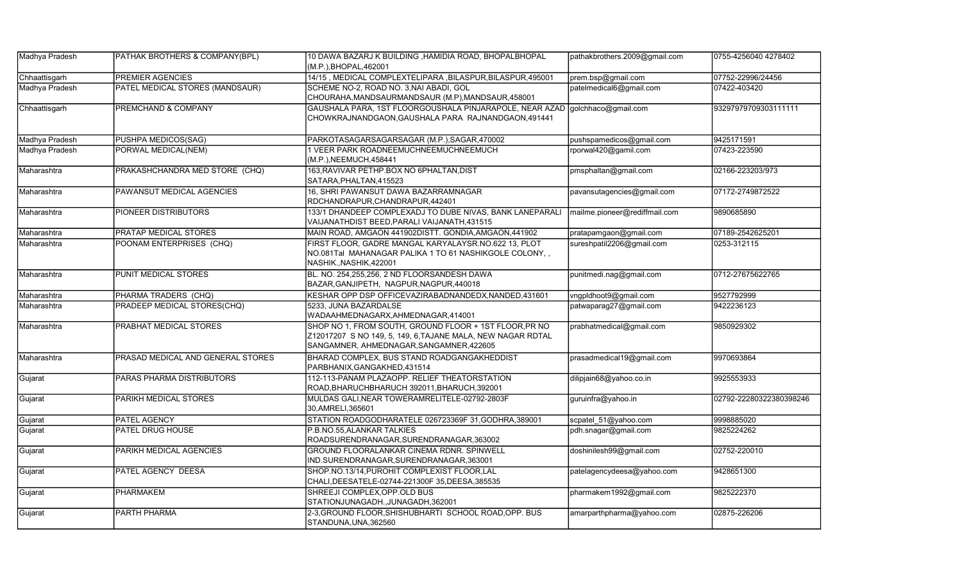| Madhya Pradesh | <b>PATHAK BROTHERS &amp; COMPANY(BPL)</b> | 10 DAWA BAZARJ K BUILDING , HAMIDIA ROAD, BHOPALBHOPAL<br>(M.P.), BHOPAL, 462001                                                                                  | pathakbrothers.2009@gmail.com | 0755-4256040 4278402    |
|----------------|-------------------------------------------|-------------------------------------------------------------------------------------------------------------------------------------------------------------------|-------------------------------|-------------------------|
| Chhaattisgarh  | PREMIER AGENCIES                          | 14/15, MEDICAL COMPLEXTELIPARA, BILASPUR, BILASPUR, 495001                                                                                                        | prem.bsp@gmail.com            | 07752-22996/24456       |
| Madhya Pradesh | PATEL MEDICAL STORES (MANDSAUR)           | SCHEME NO-2, ROAD NO. 3, NAI ABADI, GOL<br>CHOURAHA, MANDSAURMANDSAUR (M.P), MANDSAUR, 458001                                                                     | patelmedical6@gmail.com       | 07422-403420            |
| Chhaattisgarh  | PREMCHAND & COMPANY                       | GAUSHALA PARA, 1ST FLOORGOUSHALA PINJARAPOLE, NEAR AZAD golchhaco@gmail.com<br>CHOWKRAJNANDGAON, GAUSHALA PARA RAJNANDGAON, 491441                                |                               | 93297979709303111111    |
| Madhya Pradesh | PUSHPA MEDICOS(SAG)                       | PARKOTASAGARSAGARSAGAR (M.P.), SAGAR, 470002                                                                                                                      | pushspamedicos@gmail.com      | 9425171591              |
| Madhya Pradesh | PORWAL MEDICAL(NEM)                       | 1 VEER PARK ROADNEEMUCHNEEMUCHNEEMUCH<br>(M.P.), NEEMUCH, 458441                                                                                                  | rporwal420@gamil.com          | 07423-223590            |
| Maharashtra    | PRAKASHCHANDRA MED STORE (CHQ)            | 163, RAVIVAR PETHP. BOX NO 6PHALTAN, DIST<br>SATARA, PHALTAN, 415523                                                                                              | pmsphaltan@gmail.com          | 02166-223203/973        |
| Maharashtra    | PAWANSUT MEDICAL AGENCIES                 | 16, SHRI PAWANSUT DAWA BAZARRAMNAGAR<br>RDCHANDRAPUR, CHANDRAPUR, 442401                                                                                          | pavansutagencies@gmail.com    | 07172-2749872522        |
| Maharashtra    | PIONEER DISTRIBUTORS                      | 133/1 DHANDEEP COMPLEXADJ TO DUBE NIVAS, BANK LANEPARALI<br>VAIJANATHDIST BEED, PARALI VAIJANATH, 431515                                                          | mailme.pioneer@rediffmail.com | 9890685890              |
| Maharashtra    | <b>PRATAP MEDICAL STORES</b>              | MAIN ROAD, AMGAON 441902DISTT. GONDIA, AMGAON, 441902                                                                                                             | pratapamgaon@gmail.com        | 07189-2542625201        |
| Maharashtra    | POONAM ENTERPRISES (CHQ)                  | FIRST FLOOR, GADRE MANGAL KARYALAYSR.NO.622 13, PLOT<br>NO.081Tal MAHANAGAR PALIKA 1 TO 61 NASHIKGOLE COLONY,,<br>NASHIK., NASHIK, 422001                         | sureshpatil2206@gmail.com     | 0253-312115             |
| Maharashtra    | PUNIT MEDICAL STORES                      | BL. NO. 254,255,256, 2 ND FLOORSANDESH DAWA<br>BAZAR, GANJIPETH, NAGPUR, NAGPUR, 440018                                                                           | punitmedi.nag@gmail.com       | 0712-27675622765        |
| Maharashtra    | PHARMA TRADERS (CHQ)                      | KESHAR OPP DSP OFFICEVAZIRABADNANDEDX, NANDED, 431601                                                                                                             | vngpldhoot9@gmail.com         | 9527792999              |
| Maharashtra    | PRADEEP MEDICAL STORES(CHQ)               | 5233, JUNA BAZARDALSE<br>WADAAHMEDNAGARX,AHMEDNAGAR,414001                                                                                                        | patwaparag27@gmail.com        | 9422236123              |
| Maharashtra    | PRABHAT MEDICAL STORES                    | SHOP NO 1, FROM SOUTH, GROUND FLOOR + 1ST FLOOR, PR NO<br>Z12017207 S NO 149, 5, 149, 6, TAJANE MALA, NEW NAGAR RDTAL<br>SANGAMNER, AHMEDNAGAR, SANGAMNER, 422605 | prabhatmedical@gmail.com      | 9850929302              |
| Maharashtra    | PRASAD MEDICAL AND GENERAL STORES         | BHARAD COMPLEX, BUS STAND ROADGANGAKHEDDIST<br>PARBHANIX, GANGAKHED, 431514                                                                                       | prasadmedical19@gmail.com     | 9970693864              |
| Gujarat        | PARAS PHARMA DISTRIBUTORS                 | 112-113-PANAM PLAZAOPP. RELIEF THEATORSTATION<br>ROAD, BHARUCHBHARUCH 392011, BHARUCH, 392001                                                                     | dilipjain68@yahoo.co.in       | 9925553933              |
| Gujarat        | PARIKH MEDICAL STORES                     | MULDAS GALI, NEAR TOWERAMRELITELE-02792-2803F<br>30, AMRELI, 365601                                                                                               | guruinfra@yahoo.in            | 02792-22280322380398246 |
| Gujarat        | PATEL AGENCY                              | STATION ROADGODHARATELE 026723369F 31, GODHRA, 389001                                                                                                             | scpatel_51@yahoo.com          | 9998885020              |
| Gujarat        | PATEL DRUG HOUSE                          | P.B.NO.55, ALANKAR TALKIES<br>ROADSURENDRANAGAR, SURENDRANAGAR, 363002                                                                                            | pdh.snagar@gmail.com          | 9825224262              |
| Gujarat        | PARIKH MEDICAL AGENCIES                   | <b>GROUND FLOORALANKAR CINEMA RDNR. SPINWELL</b><br>IND.SURENDRANAGAR, SURENDRANAGAR, 363001                                                                      | doshinilesh99@gmail.com       | 02752-220010            |
| Gujarat        | PATEL AGENCY DEESA                        | SHOP.NO.13/14, PUROHIT COMPLEXIST FLOOR, LAL<br>CHALI, DEESATELE-02744-221300F 35, DEESA, 385535                                                                  | patelagencydeesa@yahoo.com    | 9428651300              |
| Gujarat        | PHARMAKEM                                 | SHREEJI COMPLEX, OPP. OLD BUS<br>STATIONJUNAGADH., JUNAGADH, 362001                                                                                               | pharmakem1992@gmail.com       | 9825222370              |
| Gujarat        | PARTH PHARMA                              | 2-3, GROUND FLOOR, SHISHUBHARTI SCHOOL ROAD, OPP. BUS<br>STANDUNA, UNA, 362560                                                                                    | amarparthpharma@yahoo.com     | 02875-226206            |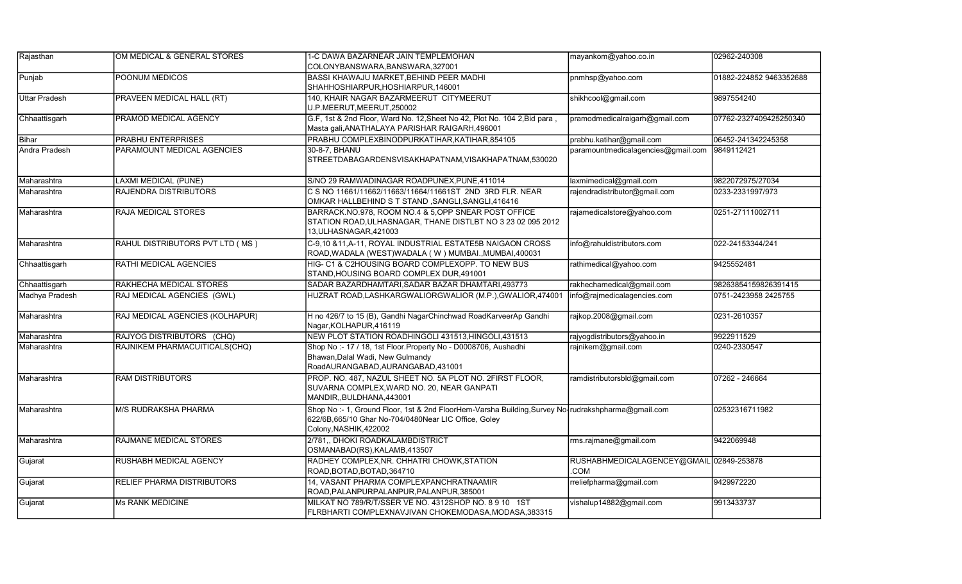| Rajasthan            | OM MEDICAL & GENERAL STORES     | 1-C DAWA BAZARNEAR JAIN TEMPLEMOHAN<br>COLONYBANSWARA, BANSWARA, 327001                                                                                                            | mayankom@yahoo.co.in                                   | 02962-240308            |
|----------------------|---------------------------------|------------------------------------------------------------------------------------------------------------------------------------------------------------------------------------|--------------------------------------------------------|-------------------------|
| Punjab               | POONUM MEDICOS                  | BASSI KHAWAJU MARKET, BEHIND PEER MADHI<br>SHAHHOSHIARPUR,HOSHIARPUR,146001                                                                                                        | pnmhsp@yahoo.com                                       | 01882-224852 9463352688 |
| <b>Uttar Pradesh</b> | PRAVEEN MEDICAL HALL (RT)       | 140, KHAIR NAGAR BAZARMEERUT CITYMEERUT<br>U.P.MEERUT,MEERUT,250002                                                                                                                | shikhcool@gmail.com                                    | 9897554240              |
| Chhaattisgarh        | PRAMOD MEDICAL AGENCY           | G.F, 1st & 2nd Floor, Ward No. 12, Sheet No 42, Plot No. 104 2, Bid para,<br>Masta gali, ANATHALAYA PARISHAR RAIGARH, 496001                                                       | pramodmedicalraigarh@gmail.com                         | 07762-2327409425250340  |
| Bihar                | <b>PRABHU ENTERPRISES</b>       | PRABHU COMPLEXBINODPURKATIHAR, KATIHAR, 854105                                                                                                                                     | prabhu.katihar@gmail.com                               | 06452-241342245358      |
| <b>Andra Pradesh</b> | PARAMOUNT MEDICAL AGENCIES      | 30-8-7, BHANU<br>STREETDABAGARDENSVISAKHAPATNAM, VISAKHAPATNAM, 530020                                                                                                             | paramountmedicalagencies@gmail.com                     | 9849112421              |
| Maharashtra          | <b>LAXMI MEDICAL (PUNE)</b>     | S/NO 29 RAMWADINAGAR ROADPUNEX, PUNE, 411014                                                                                                                                       | laxmimedical@gmail.com                                 | 9822072975/27034        |
| Maharashtra          | RAJENDRA DISTRIBUTORS           | C S NO 11661/11662/11663/11664/11661ST 2ND 3RD FLR. NEAR<br>OMKAR HALLBEHIND S T STAND ,SANGLI,SANGLI,416416                                                                       | rajendradistributor@gmail.com                          | 0233-2331997/973        |
| Maharashtra          | RAJA MEDICAL STORES             | BARRACK.NO.978, ROOM NO.4 & 5, OPP SNEAR POST OFFICE<br>STATION ROAD, ULHASNAGAR, THANE DISTLBT NO 3 23 02 095 2012<br>13, ULHASNAGAR, 421003                                      | rajamedicalstore@yahoo.com                             | 0251-27111002711        |
| Maharashtra          | RAHUL DISTRIBUTORS PVT LTD (MS) | C-9,10 &11, A-11, ROYAL INDUSTRIAL ESTATE5B NAIGAON CROSS<br>ROAD,WADALA (WEST)WADALA (W) MUMBAI.,MUMBAI,400031                                                                    | info@rahuldistributors.com                             | 022-24153344/241        |
| Chhaattisgarh        | RATHI MEDICAL AGENCIES          | HIG- C1 & C2HOUSING BOARD COMPLEXOPP. TO NEW BUS<br>STAND,HOUSING BOARD COMPLEX DUR,491001                                                                                         | rathimedical@yahoo.com                                 | 9425552481              |
| Chhaattisgarh        | RAKHECHA MEDICAL STORES         | SADAR BAZARDHAMTARI, SADAR BAZAR DHAMTARI, 493773                                                                                                                                  | rakhechamedical@gmail.com                              | 98263854159826391415    |
| Madhya Pradesh       | RAJ MEDICAL AGENCIES (GWL)      | HUZRAT ROAD, LASHKARGWALIORGWALIOR (M.P.), GWALIOR, 474001                                                                                                                         | info@rajmedicalagencies.com                            | 0751-2423958 2425755    |
| Maharashtra          | RAJ MEDICAL AGENCIES (KOLHAPUR) | H no 426/7 to 15 (B), Gandhi NagarChinchwad RoadKarveerAp Gandhi<br>Nagar, KOLHAPUR, 416119                                                                                        | rajkop.2008@gmail.com                                  | 0231-2610357            |
| Maharashtra          | RAJYOG DISTRIBUTORS (CHQ)       | NEW PLOT STATION ROADHINGOLI 431513, HINGOLI, 431513                                                                                                                               | rajyogdistributors@yahoo.in                            | 9922911529              |
| Maharashtra          | RAJNIKEM PHARMACUITICALS(CHQ)   | Shop No:- 17 / 18, 1st Floor. Property No - D0008706, Aushadhi<br>Bhawan, Dalal Wadi, New Gulmandy<br>RoadAURANGABAD, AURANGABAD, 431001                                           | rajnikem@gmail.com                                     | 0240-2330547            |
| Maharashtra          | <b>RAM DISTRIBUTORS</b>         | PROP. NO. 487, NAZUL SHEET NO. 5A PLOT NO. 2FIRST FLOOR,<br>SUVARNA COMPLEX, WARD NO. 20, NEAR GANPATI<br>MANDIR,, BULDHANA, 443001                                                | ramdistributorsbld@gmail.com                           | 07262 - 246664          |
| Maharashtra          | M/S RUDRAKSHA PHARMA            | Shop No:-1, Ground Floor, 1st & 2nd FloorHem-Varsha Building, Survey No-rudrakshpharma@gmail.com<br>622/6B,665/10 Ghar No-704/0480Near LIC Office, Goley<br>Colony, NASHIK, 422002 |                                                        | 02532316711982          |
| Maharashtra          | RAJMANE MEDICAL STORES          | 2/781, DHOKI ROADKALAMBDISTRICT<br>OSMANABAD(RS), KALAMB, 413507                                                                                                                   | rms.rajmane@gmail.com                                  | 9422069948              |
| Gujarat              | <b>RUSHABH MEDICAL AGENCY</b>   | RADHEY COMPLEX, NR. CHHATRI CHOWK, STATION<br>ROAD, BOTAD, BOTAD, 364710                                                                                                           | RUSHABHMEDICALAGENCEY@GMAIL 02849-253878<br><b>COM</b> |                         |
| Gujarat              | RELIEF PHARMA DISTRIBUTORS      | 14, VASANT PHARMA COMPLEXPANCHRATNAAMIR<br>ROAD, PALANPURPALANPUR, PALANPUR, 385001                                                                                                | rreliefpharma@gmail.com                                | 9429972220              |
| Gujarat              | <b>Ms RANK MEDICINE</b>         | MILKAT NO 789/R/T/SSER VE NO. 4312SHOP NO. 8 9 10 1ST<br>FLRBHARTI COMPLEXNAVJIVAN CHOKEMODASA, MODASA, 383315                                                                     | vishalup14882@gmail.com                                | 9913433737              |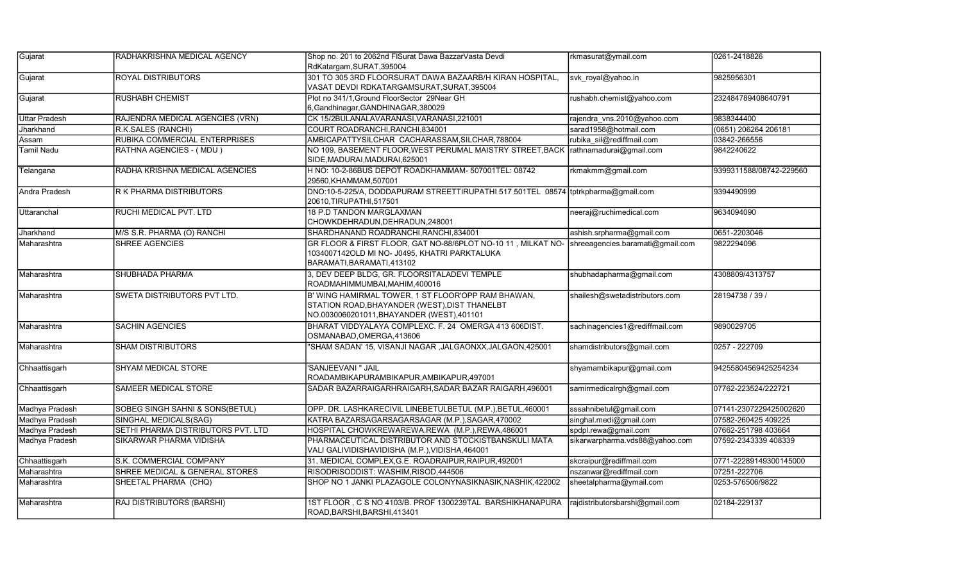| Gujarat              | RADHAKRISHNA MEDICAL AGENCY        | Shop no. 201 to 2062nd FISurat Dawa BazzarVasta Devdi                                                                                                                      | rkmasurat@ymail.com             | 0261-2418826            |
|----------------------|------------------------------------|----------------------------------------------------------------------------------------------------------------------------------------------------------------------------|---------------------------------|-------------------------|
|                      |                                    | RdKatargam, SURAT, 395004                                                                                                                                                  |                                 |                         |
| Gujarat              | <b>ROYAL DISTRIBUTORS</b>          | 301 TO 305 3RD FLOORSURAT DAWA BAZAARB/H KIRAN HOSPITAL,<br>VASAT DEVDI RDKATARGAMSURAT,SURAT,395004                                                                       | svk royal@yahoo.in              | 9825956301              |
| Gujarat              | <b>RUSHABH CHEMIST</b>             | Plot no 341/1, Ground FloorSector 29Near GH<br>6, Gandhinagar, GANDHINAGAR, 380029                                                                                         | rushabh.chemist@yahoo.com       | 232484789408640791      |
| <b>Uttar Pradesh</b> | RAJENDRA MEDICAL AGENCIES (VRN)    | CK 15/2BULANALAVARANASI, VARANASI, 221001                                                                                                                                  | rajendra_vns.2010@yahoo.com     | 9838344400              |
| Jharkhand            | R.K.SALES (RANCHI)                 | COURT ROADRANCHI, RANCHI, 834001                                                                                                                                           | sarad1958@hotmail.com           | (0651) 206264 206181    |
| Assam                | RUBIKA COMMERCIAL ENTERPRISES      | AMBICAPATTYSILCHAR CACHARASSAM, SILCHAR, 788004                                                                                                                            | rubika sil@rediffmail.com       | 03842-266556            |
| Tamil Nadu           | RATHNA AGENCIES - (MDU)            | NO 109, BASEMENT FLOOR, WEST PERUMAL MAISTRY STREET, BACK  rathnamadurai@gmail.com<br>SIDE, MADURAI, MADURAI, 625001                                                       |                                 | 9842240622              |
| Telangana            | RADHA KRISHNA MEDICAL AGENCIES     | H NO: 10-2-86BUS DEPOT ROADKHAMMAM- 507001TEL: 08742<br>29560,KHAMMAM,507001                                                                                               | rkmakmm@gmail.com               | 9399311588/08742-229560 |
| Andra Pradesh        | R K PHARMA DISTRIBUTORS            | DNO:10-5-225/A, DODDAPURAM STREETTIRUPATHI 517 501TEL 08574 tptrkpharma@gmail.com<br>20610, TIRUPATHI, 517501                                                              |                                 | 9394490999              |
| Uttaranchal          | RUCHI MEDICAL PVT. LTD             | <b>18 P.D TANDON MARGLAXMAN</b><br>CHOWKDEHRADUN,DEHRADUN,248001                                                                                                           | neeraj@ruchimedical.com         | 9634094090              |
| Jharkhand            | M/S S.R. PHARMA (O) RANCHI         | SHARDHANAND ROADRANCHI.RANCHI.834001                                                                                                                                       | ashish.srpharma@gmail.com       | 0651-2203046            |
| Maharashtra          | <b>SHREE AGENCIES</b>              | GR FLOOR & FIRST FLOOR, GAT NO-88/6PLOT NO-10 11, MILKAT NO- Shreeagencies.baramati@gmail.com<br>1034007142OLD MI NO- J0495, KHATRI PARKTALUKA<br>BARAMATI,BARAMATI,413102 |                                 | 9822294096              |
| Maharashtra          | <b>SHUBHADA PHARMA</b>             | 3, DEV DEEP BLDG, GR. FLOORSITALADEVI TEMPLE<br>ROADMAHIMMUMBAI, MAHIM, 400016                                                                                             | shubhadapharma@gmail.com        | 4308809/4313757         |
| Maharashtra          | <b>SWETA DISTRIBUTORS PVT LTD.</b> | B' WING HAMIRMAL TOWER. 1 ST FLOOR'OPP RAM BHAWAN.<br>STATION ROAD, BHAYANDER (WEST), DIST THANELBT<br>NO.0030060201011, BHAYANDER (WEST), 401101                          | shailesh@swetadistributors.com  | 28194738 / 39 /         |
| Maharashtra          | <b>SACHIN AGENCIES</b>             | BHARAT VIDDYALAYA COMPLEXC. F. 24 OMERGA 413 606DIST.<br>OSMANABAD,OMERGA,413606                                                                                           | sachinagencies1@rediffmail.com  | 9890029705              |
| Maharashtra          | <b>SHAM DISTRIBUTORS</b>           | 'SHAM SADAN' 15, VISANJI NAGAR ,JALGAONXX,JALGAON,425001                                                                                                                   | shamdistributors@gmail.com      | 0257 - 222709           |
| Chhaattisgarh        | SHYAM MEDICAL STORE                | 'SANJEEVANI " JAIL<br>ROADAMBIKAPURAMBIKAPUR, AMBIKAPUR, 497001                                                                                                            | shyamambikapur@gmail.com        | 94255804569425254234    |
| Chhaattisgarh        | SAMEER MEDICAL STORE               | SADAR BAZARRAIGARHRAIGARH, SADAR BAZAR RAIGARH, 496001                                                                                                                     | samirmedicalrgh@gmail.com       | 07762-223524/222721     |
| Madhya Pradesh       | SOBEG SINGH SAHNI & SONS(BETUL)    | OPP. DR. LASHKARECIVIL LINEBETULBETUL (M.P.), BETUL, 460001                                                                                                                | sssahnibetul@gmail.com          | 07141-2307229425002620  |
| Madhya Pradesh       | SINGHAL MEDICALS(SAG)              | KATRA BAZARSAGARSAGARSAGAR (M.P.), SAGAR, 470002                                                                                                                           | singhal.medi@gmail.com          | 07582-260425 409225     |
| Madhya Pradesh       | SETHI PHARMA DISTRIBUTORS PVT. LTD | HOSPITAL CHOWKREWAREWA.REWA (M.P.),REWA,486001                                                                                                                             | spdpl.rewa@gmail.com            | 07662-251798 403664     |
| Madhya Pradesh       | SIKARWAR PHARMA VIDISHA            | PHARMACEUTICAL DISTRIBUTOR AND STOCKISTBANSKULI MATA<br>VALI GALIVIDISHAVIDISHA (M.P.), VIDISHA, 464001                                                                    | sikarwarpharma.vds88@yahoo.com  | 07592-2343339 408339    |
| Chhaattisgarh        | S.K. COMMERCIAL COMPANY            | 31, MEDICAL COMPLEX, G.E. ROADRAIPUR, RAIPUR, 492001                                                                                                                       | skcraipur@rediffmail.com        | 0771-22289149300145000  |
| Maharashtra          | SHREE MEDICAL & GENERAL STORES     | RISODRISODDIST: WASHIM, RISOD, 444506                                                                                                                                      | nszanwar@rediffmail.com         | 07251-222706            |
| Maharashtra          | SHEETAL PHARMA (CHQ)               | SHOP NO 1 JANKI PLAZAGOLE COLONYNASIKNASIK, NASHIK, 422002                                                                                                                 | sheetalpharma@ymail.com         | 0253-576506/9822        |
| Maharashtra          | RAJ DISTRIBUTORS (BARSHI)          | 1ST FLOOR, C S NO 4103/B. PROF 1300239TAL BARSHIKHANAPURA<br>ROAD, BARSHI, BARSHI, 413401                                                                                  | rajdistributorsbarshi@gmail.com | 02184-229137            |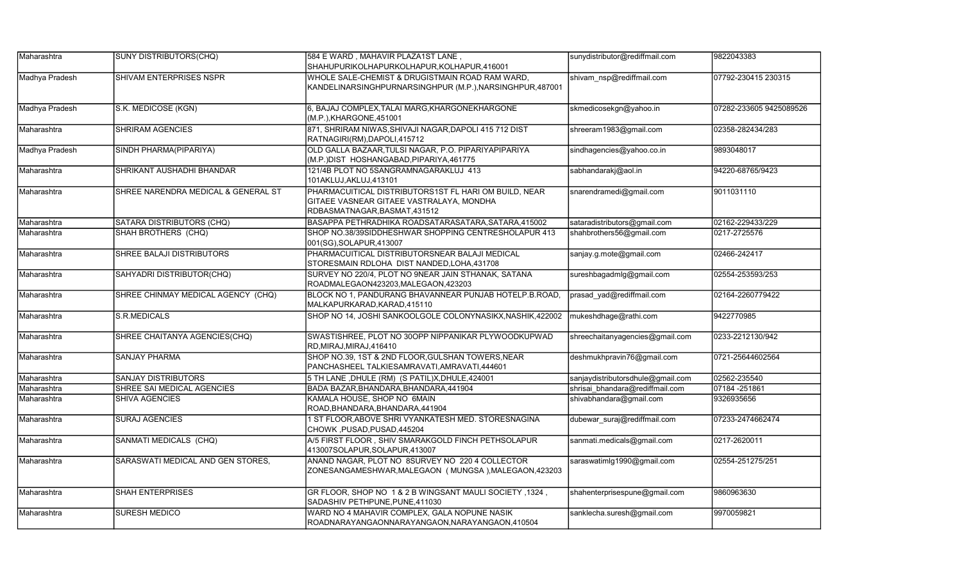| Maharashtra    | SUNY DISTRIBUTORS(CHQ)              | 584 E WARD, MAHAVIR PLAZA1ST LANE,                                                                                                 | sunydistributor@rediffmail.com    | 9822043383              |
|----------------|-------------------------------------|------------------------------------------------------------------------------------------------------------------------------------|-----------------------------------|-------------------------|
|                |                                     | SHAHUPURIKOLHAPURKOLHAPUR, KOLHAPUR, 416001                                                                                        |                                   |                         |
| Madhya Pradesh | SHIVAM ENTERPRISES NSPR             | WHOLE SALE-CHEMIST & DRUGISTMAIN ROAD RAM WARD,<br>KANDELINARSINGHPURNARSINGHPUR (M.P.), NARSINGHPUR, 487001                       | shivam nsp@rediffmail.com         | 07792-230415 230315     |
| Madhya Pradesh | S.K. MEDICOSE (KGN)                 | 6, BAJAJ COMPLEX, TALAI MARG, KHARGONEKHARGONE<br>(M.P.), KHARGONE, 451001                                                         | skmedicosekgn@yahoo.in            | 07282-233605 9425089526 |
| Maharashtra    | <b>SHRIRAM AGENCIES</b>             | 871, SHRIRAM NIWAS, SHIVAJI NAGAR, DAPOLI 415 712 DIST<br>RATNAGIRI(RM),DAPOLI,415712                                              | shreeram1983@gmail.com            | 02358-282434/283        |
| Madhya Pradesh | SINDH PHARMA(PIPARIYA)              | OLD GALLA BAZAAR, TULSI NAGAR, P.O. PIPARIYAPIPARIYA<br>(M.P.) DIST HOSHANGABAD, PIPARIYA, 461775                                  | sindhagencies@yahoo.co.in         | 9893048017              |
| Maharashtra    | SHRIKANT AUSHADHI BHANDAR           | 121/4B PLOT NO 5SANGRAMNAGARAKLUJ 413<br>101AKLUJ, AKLUJ, 413101                                                                   | sabhandarakj@aol.in               | 94220-68765/9423        |
| Maharashtra    | SHREE NARENDRA MEDICAL & GENERAL ST | PHARMACUITICAL DISTRIBUTORS1ST FL HARI OM BUILD, NEAR<br>GITAEE VASNEAR GITAEE VASTRALAYA, MONDHA<br>RDBASMATNAGAR, BASMAT, 431512 | snarendramedi@gmail.com           | 9011031110              |
| Maharashtra    | SATARA DISTRIBUTORS (CHQ)           | BASAPPA PETHRADHIKA ROADSATARASATARA, SATARA, 415002                                                                               | sataradistributors@gmail.com      | 02162-229433/229        |
| Maharashtra    | SHAH BROTHERS (CHQ)                 | SHOP NO.38/39SIDDHESHWAR SHOPPING CENTRESHOLAPUR 413<br>001(SG), SOLAPUR, 413007                                                   | shahbrothers56@gmail.com          | 0217-2725576            |
| Maharashtra    | SHREE BALAJI DISTRIBUTORS           | PHARMACUITICAL DISTRIBUTORSNEAR BALAJI MEDICAL<br>STORESMAIN RDLOHA DIST NANDED, LOHA, 431708                                      | sanjay.g.mote@gmail.com           | 02466-242417            |
| Maharashtra    | SAHYADRI DISTRIBUTOR(CHQ)           | SURVEY NO 220/4, PLOT NO 9NEAR JAIN STHANAK, SATANA<br>ROADMALEGAON423203,MALEGAON,423203                                          | sureshbagadmlg@gmail.com          | 02554-253593/253        |
| Maharashtra    | SHREE CHINMAY MEDICAL AGENCY (CHQ)  | BLOCK NO 1, PANDURANG BHAVANNEAR PUNJAB HOTELP.B.ROAD,<br>MALKAPURKARAD, KARAD, 415110                                             | prasad yad@rediffmail.com         | 02164-2260779422        |
| Maharashtra    | S.R.MEDICALS                        | SHOP NO 14, JOSHI SANKOOLGOLE COLONYNASIKX, NASHIK, 422002                                                                         | mukeshdhage@rathi.com             | 9422770985              |
| Maharashtra    | SHREE CHAITANYA AGENCIES(CHQ)       | SWASTISHREE, PLOT NO 30OPP NIPPANIKAR PLYWOODKUPWAD<br>RD, MIRAJ, MIRAJ, 416410                                                    | shreechaitanyagencies@gmail.com   | 0233-2212130/942        |
| Maharashtra    | SANJAY PHARMA                       | SHOP NO.39, 1ST & 2ND FLOOR, GULSHAN TOWERS, NEAR<br>PANCHASHEEL TALKIESAMRAVATI,AMRAVATI,444601                                   | deshmukhpravin76@gmail.com        | 0721-25644602564        |
| Maharashtra    | <b>SANJAY DISTRIBUTORS</b>          | 5 TH LANE, DHULE (RM) (S PATIL)X, DHULE, 424001                                                                                    | sanjaydistributorsdhule@gmail.com | 02562-235540            |
| Maharashtra    | SHREE SAI MEDICAL AGENCIES          | BADA BAZAR, BHANDARA, BHANDARA, 441904                                                                                             | shrisai bhandara@rediffmail.com   | 07184 - 251861          |
| Maharashtra    | <b>SHIVA AGENCIES</b>               | KAMALA HOUSE, SHOP NO 6MAIN<br>ROAD, BHANDARA, BHANDARA, 441904                                                                    | shivabhandara@gmail.com           | 9326935656              |
| Maharashtra    | <b>SURAJ AGENCIES</b>               | 1 ST FLOOR, ABOVE SHRI VYANKATESH MED. STORESNAGINA<br>CHOWK, PUSAD, PUSAD, 445204                                                 | dubewar suraj@rediffmail.com      | 07233-2474662474        |
| Maharashtra    | SANMATI MEDICALS (CHQ)              | A/5 FIRST FLOOR, SHIV SMARAKGOLD FINCH PETHSOLAPUR<br>413007SOLAPUR, SOLAPUR, 413007                                               | sanmati.medicals@gmail.com        | 0217-2620011            |
| Maharashtra    | SARASWATI MEDICAL AND GEN STORES,   | ANAND NAGAR, PLOT NO 8SURVEY NO 220 4 COLLECTOR<br>ZONESANGAMESHWAR, MALEGAON (MUNGSA), MALEGAON, 423203                           | saraswatimlg1990@gmail.com        | 02554-251275/251        |
| Maharashtra    | <b>SHAH ENTERPRISES</b>             | GR FLOOR, SHOP NO 1 & 2 B WINGSANT MAULI SOCIETY, 1324,<br>SADASHIV PETHPUNE, PUNE, 411030                                         | shahenterprisespune@gmail.com     | 9860963630              |
| Maharashtra    | <b>SURESH MEDICO</b>                | WARD NO 4 MAHAVIR COMPLEX, GALA NOPUNE NASIK<br>ROADNARAYANGAONNARAYANGAON, NARAYANGAON, 410504                                    | sanklecha.suresh@gmail.com        | 9970059821              |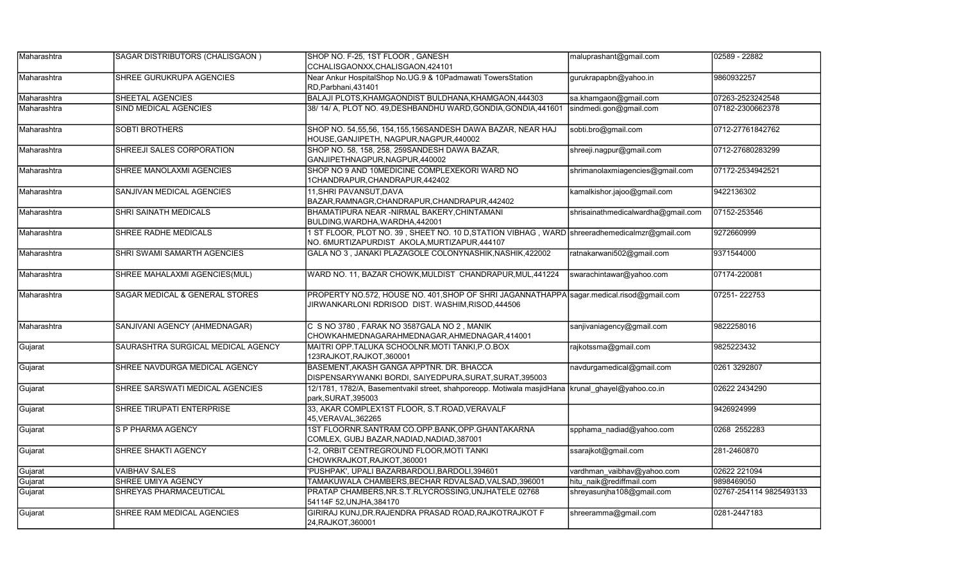| Maharashtra | SAGAR DISTRIBUTORS (CHALISGAON)    | SHOP NO. F-25, 1ST FLOOR, GANESH                                                                                                              | maluprashant@gmail.com             | 02589 - 22882           |
|-------------|------------------------------------|-----------------------------------------------------------------------------------------------------------------------------------------------|------------------------------------|-------------------------|
|             |                                    | CCHALISGAONXX, CHALISGAON, 424101                                                                                                             |                                    |                         |
| Maharashtra | SHREE GURUKRUPA AGENCIES           | Near Ankur HospitalShop No.UG.9 & 10Padmawati TowersStation<br>RD, Parbhani, 431401                                                           | gurukrapapbn@yahoo.in              | 9860932257              |
| Maharashtra | SHEETAL AGENCIES                   | BALAJI PLOTS, KHAMGAONDIST BULDHANA, KHAMGAON, 444303                                                                                         | sa.khamgaon@gmail.com              | 07263-2523242548        |
| Maharashtra | SIND MEDICAL AGENCIES              | 38/14/A, PLOT NO. 49, DESHBANDHU WARD, GONDIA, GONDIA, 441601                                                                                 | sindmedi.gon@gmail.com             | 07182-2300662378        |
| Maharashtra | <b>SOBTI BROTHERS</b>              | SHOP NO. 54,55,56, 154,155,156SANDESH DAWA BAZAR, NEAR HAJ<br>HOUSE, GANJIPETH, NAGPUR, NAGPUR, 440002                                        | sobti.bro@gmail.com                | 0712-27761842762        |
| Maharashtra | SHREEJI SALES CORPORATION          | SHOP NO. 58, 158, 258, 259SANDESH DAWA BAZAR,<br>GANJIPETHNAGPUR, NAGPUR, 440002                                                              | shreeji.nagpur@gmail.com           | 0712-27680283299        |
| Maharashtra | SHREE MANOLAXMI AGENCIES           | SHOP NO 9 AND 10MEDICINE COMPLEXEKORI WARD NO<br>1CHANDRAPUR, CHANDRAPUR, 442402                                                              | shrimanolaxmiagencies@gmail.com    | 07172-2534942521        |
| Maharashtra | SANJIVAN MEDICAL AGENCIES          | 11, SHRI PAVANSUT, DAVA<br>BAZAR, RAMNAGR, CHANDRAPUR, CHANDRAPUR, 442402                                                                     | kamalkishor.jajoo@gmail.com        | 9422136302              |
| Maharashtra | SHRI SAINATH MEDICALS              | BHAMATIPURA NEAR -NIRMAL BAKERY, CHINTAMANI<br>BULDING, WARDHA, WARDHA, 442001                                                                | shrisainathmedicalwardha@gmail.com | 07152-253546            |
| Maharashtra | SHREE RADHE MEDICALS               | 1 ST FLOOR, PLOT NO. 39, SHEET NO. 10 D, STATION VIBHAG, WARD shreeradhemedicalmzr@gmail.com<br>NO. 6MURTIZAPURDIST AKOLA, MURTIZAPUR, 444107 |                                    | 9272660999              |
| Maharashtra | SHRI SWAMI SAMARTH AGENCIES        | GALA NO 3, JANAKI PLAZAGOLE COLONYNASHIK, NASHIK, 422002                                                                                      | ratnakarwani502@gmail.com          | 9371544000              |
| Maharashtra | SHREE MAHALAXMI AGENCIES(MUL)      | WARD NO. 11, BAZAR CHOWK, MULDIST CHANDRAPUR, MUL, 441224                                                                                     | swarachintawar@yahoo.com           | 07174-220081            |
| Maharashtra | SAGAR MEDICAL & GENERAL STORES     | PROPERTY NO.572, HOUSE NO. 401, SHOP OF SHRI JAGANNATHAPPA sagar.medical.risod@gmail.com<br>JIRWANKARLONI RDRISOD DIST. WASHIM,RISOD,444506   |                                    | 07251-222753            |
| Maharashtra | SANJIVANI AGENCY (AHMEDNAGAR)      | C S NO 3780, FARAK NO 3587GALA NO 2, MANIK<br>CHOWKAHMEDNAGARAHMEDNAGAR, AHMEDNAGAR, 414001                                                   | sanjivaniagency@gmail.com          | 9822258016              |
| Gujarat     | SAURASHTRA SURGICAL MEDICAL AGENCY | MAITRI OPP.TALUKA SCHOOLNR.MOTI TANKI.P.O.BOX<br>123RAJKOT, RAJKOT, 360001                                                                    | rajkotssma@gmail.com               | 9825223432              |
| Gujarat     | SHREE NAVDURGA MEDICAL AGENCY      | BASEMENT, AKASH GANGA APPTNR. DR. BHACCA<br>DISPENSARYWANKI BORDI, SAIYEDPURA, SURAT, SURAT, 395003                                           | navdurgamedical@gmail.com          | 0261 3292807            |
| Gujarat     | SHREE SARSWATI MEDICAL AGENCIES    | 12/1781, 1782/A, Basementvakil street, shahporeopp. Motiwala masjidHana krunal ghayel@yahoo.co.in<br>park, SURAT, 395003                      |                                    | 02622 2434290           |
| Gujarat     | SHREE TIRUPATI ENTERPRISE          | 33, AKAR COMPLEX1ST FLOOR, S.T.ROAD, VERAVALF<br>45, VERAVAL, 362265                                                                          |                                    | 9426924999              |
| Gujarat     | S P PHARMA AGENCY                  | 1ST FLOORNR.SANTRAM CO.OPP.BANK, OPP.GHANTAKARNA<br>COMLEX, GUBJ BAZAR, NADIAD, NADIAD, 387001                                                | spphama nadiad@yahoo.com           | 0268 2552283            |
| Gujarat     | SHREE SHAKTI AGENCY                | 1-2, ORBIT CENTREGROUND FLOOR, MOTI TANKI<br>CHOWKRAJKOT, RAJKOT, 360001                                                                      | ssarajkot@gmail.com                | 281-2460870             |
| Gujarat     | <b>VAIBHAV SALES</b>               | 'PUSHPAK', UPALI BAZARBARDOLI, BARDOLI, 394601                                                                                                | vardhman_vaibhav@yahoo.com         | 02622 221094            |
| Gujarat     | SHREE UMIYA AGENCY                 | TAMAKUWALA CHAMBERS, BECHAR RDVALSAD, VALSAD, 396001                                                                                          | hitu naik@rediffmail.com           | 9898469050              |
| Gujarat     | SHREYAS PHARMACEUTICAL             | PRATAP CHAMBERS, NR.S.T.RLYCROSSING, UNJHATELE 02768<br>54114F 52, UNJHA, 384170                                                              | shreyasunjha108@gmail.com          | 02767-254114 9825493133 |
| Gujarat     | SHREE RAM MEDICAL AGENCIES         | GIRIRAJ KUNJ, DR. RAJENDRA PRASAD ROAD, RAJKOTRAJKOT F<br>24, RAJKOT, 360001                                                                  | shreeramma@gmail.com               | 0281-2447183            |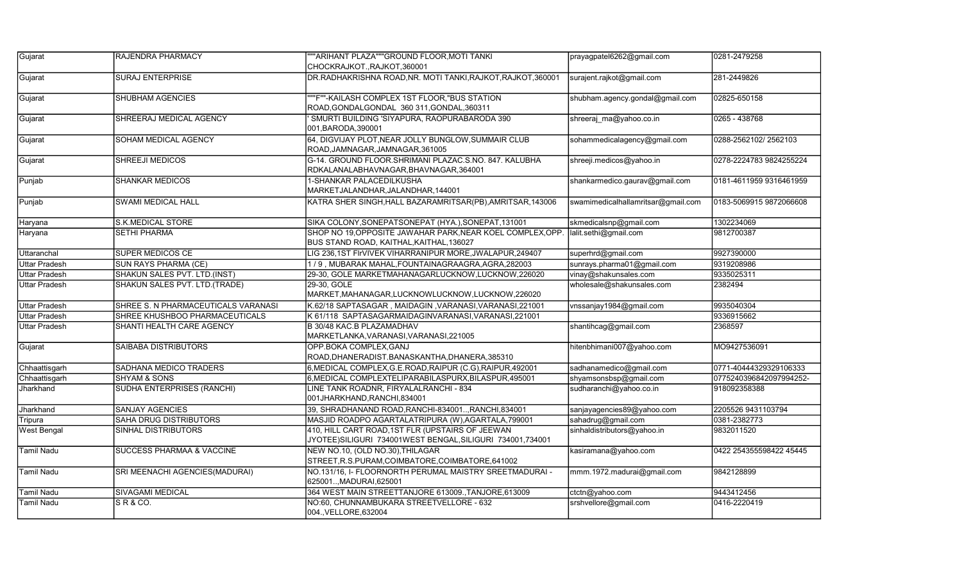| Gujarat              | RAJENDRA PHARMACY                    | ""ARIHANT PLAZA"""GROUND FLOOR, MOTI TANKI                                                                   | prayagpatel6262@gmail.com          | 0281-2479258            |
|----------------------|--------------------------------------|--------------------------------------------------------------------------------------------------------------|------------------------------------|-------------------------|
|                      |                                      | CHOCKRAJKOT., RAJKOT, 360001                                                                                 |                                    |                         |
| Gujarat              | <b>SURAJ ENTERPRISE</b>              | DR.RADHAKRISHNA ROAD,NR. MOTI TANKI,RAJKOT,RAJKOT,360001                                                     | surajent.rajkot@gmail.com          | 281-2449826             |
| Gujarat              | <b>SHUBHAM AGENCIES</b>              | ""F""-KAILASH COMPLEX 1ST FLOOR, "BUS STATION<br>ROAD.GONDALGONDAL 360 311.GONDAL.360311                     | shubham.agency.gondal@gmail.com    | 02825-650158            |
| Gujarat              | SHREERAJ MEDICAL AGENCY              | SMURTI BUILDING 'SIYAPURA, RAOPURABARODA 390<br>001, BARODA, 390001                                          | shreeraj_ma@yahoo.co.in            | 0265 - 438768           |
| Gujarat              | SOHAM MEDICAL AGENCY                 | 64, DIGVIJAY PLOT, NEAR JOLLY BUNGLOW, SUMMAIR CLUB<br>ROAD, JAMNAGAR, JAMNAGAR, 361005                      | sohammedicalagency@gmail.com       | 0288-2562102/2562103    |
| Gujarat              | <b>SHREEJI MEDICOS</b>               | G-14. GROUND FLOOR SHRIMANI PLAZAC S.NO. 847. KALUBHA<br>RDKALANALABHAVNAGAR,BHAVNAGAR,364001                | shreeji.medicos@yahoo.in           | 0278-2224783 9824255224 |
| Punjab               | <b>SHANKAR MEDICOS</b>               | 1-SHANKAR PALACEDILKUSHA<br>MARKETJALANDHAR,JALANDHAR,144001                                                 | shankarmedico.gaurav@gmail.com     | 0181-4611959 9316461959 |
| Punjab               | <b>SWAMI MEDICAL HALL</b>            | KATRA SHER SINGH, HALL BAZARAMRITSAR (PB), AMRITSAR, 143006                                                  | swamimedicalhallamritsar@gmail.com | 0183-5069915 9872066608 |
| Haryana              | <b>S.K.MEDICAL STORE</b>             | SIKA COLONY, SONEPATSONEPAT (HYA.), SONEPAT, 131001                                                          | skmedicalsnp@gmail.com             | 1302234069              |
| Haryana              | <b>SETHI PHARMA</b>                  | SHOP NO 19, OPPOSITE JAWAHAR PARK, NEAR KOEL COMPLEX, OPP.<br>BUS STAND ROAD, KAITHAL, KAITHAL, 136027       | lalit.sethi@gmail.com              | 9812700387              |
| Uttaranchal          | <b>SUPER MEDICOS CE</b>              | LIG 236,1ST FIrVIVEK VIHARRANIPUR MORE, JWALAPUR, 249407                                                     | superhrd@gmail.com                 | 9927390000              |
| Uttar Pradesh        | SUN RAYS PHARMA (CE)                 | 1/9, MUBARAK MAHAL, FOUNTAINAGRAAGRA, AGRA, 282003                                                           | sunrays.pharma01@gmail.com         | 9319208986              |
| <b>Uttar Pradesh</b> | SHAKUN SALES PVT. LTD.(INST)         | 29-30, GOLE MARKETMAHANAGARLUCKNOW,LUCKNOW,226020                                                            | vinay@shakunsales.com              | 9335025311              |
| <b>Uttar Pradesh</b> | SHAKUN SALES PVT. LTD.(TRADE)        | 29-30. GOLE<br>MARKET, MAHANAGAR, LUCKNOWLUCKNOW, LUCKNOW, 226020                                            | wholesale@shakunsales.com          | 2382494                 |
| <b>Uttar Pradesh</b> | SHREE S. N PHARMACEUTICALS VARANASI  | K.62/18 SAPTASAGAR, MAIDAGIN, VARANASI, VARANASI, 221001                                                     | vnssanjay1984@gmail.com            | 9935040304              |
| <b>Uttar Pradesh</b> | SHREE KHUSHBOO PHARMACEUTICALS       | K 61/118 SAPTASAGARMAIDAGINVARANASI, VARANASI, 221001                                                        |                                    | 9336915662              |
| Uttar Pradesh        | SHANTI HEALTH CARE AGENCY            | <b>B 30/48 KAC.B PLAZAMADHAV</b><br>MARKETLANKA, VARANASI, VARANASI, 221005                                  | shantihcag@gmail.com               | 2368597                 |
| Gujarat              | <b>SAIBABA DISTRIBUTORS</b>          | OPP.BOKA COMPLEX, GANJ<br>ROAD, DHANERADIST. BANASKANTHA, DHANERA, 385310                                    | hitenbhimani007@yahoo.com          | MO9427536091            |
| Chhaattisgarh        | SADHANA MEDICO TRADERS               | 6, MEDICAL COMPLEX, G.E.ROAD, RAIPUR (C.G), RAIPUR, 492001                                                   | sadhanamedico@gmail.com            | 0771-40444329329106333  |
| Chhaattisgarh        | <b>SHYAM &amp; SONS</b>              | 6, MEDICAL COMPLEXTELIPARABILASPURX, BILASPUR, 495001                                                        | shyamsonsbsp@gmail.com             | 0775240396842097994252- |
| <b>Jharkhand</b>     | <b>SUDHA ENTERPRISES (RANCHI)</b>    | LINE TANK ROADNR, FIRYALALRANCHI - 834<br>001JHARKHAND, RANCHI, 834001                                       | sudharanchi@yahoo.co.in            | 918092358388            |
| Jharkhand            | <b>SANJAY AGENCIES</b>               | 39, SHRADHANAND ROAD, RANCHI-834001, RANCHI, 834001                                                          | sanjayagencies89@yahoo.com         | 2205526 9431103794      |
| Tripura              | <b>SAHA DRUG DISTRIBUTORS</b>        | MASJID ROADPO AGARTALATRIPURA (W), AGARTALA, 799001                                                          | sahadrug@gmail.com                 | 0381-2382773            |
| <b>West Bengal</b>   | <b>SINHAL DISTRIBUTORS</b>           | 410, HILL CART ROAD, 1ST FLR (UPSTAIRS OF JEEWAN<br>JYOTEE)SILIGURI 734001WEST BENGAL,SILIGURI 734001,734001 | sinhaldistributors@yahoo.in        | 9832011520              |
| Tamil Nadu           | <b>SUCCESS PHARMAA &amp; VACCINE</b> | NEW NO.10, (OLD NO.30), THILAGAR<br>STREET, R.S.PURAM, COIMBATORE, COIMBATORE, 641002                        | kasiramana@yahoo.com               | 0422 254355598422 45445 |
| <b>Tamil Nadu</b>    | SRI MEENACHI AGENCIES(MADURAI)       | NO.131/16, I- FLOORNORTH PERUMAL MAISTRY SREETMADURAI -<br>625001, MADURAI, 625001                           | mmm.1972.madurai@gmail.com         | 9842128899              |
| <b>Tamil Nadu</b>    | <b>SIVAGAMI MEDICAL</b>              | 364 WEST MAIN STREETTANJORE 613009., TANJORE, 613009                                                         | ctctn@yahoo.com                    | 9443412456              |
| <b>Tamil Nadu</b>    | SR & CO.                             | NO:60, CHUNNAMBUKARA STREETVELLORE - 632<br>004., VELLORE, 632004                                            | srshvellore@gmail.com              | 0416-2220419            |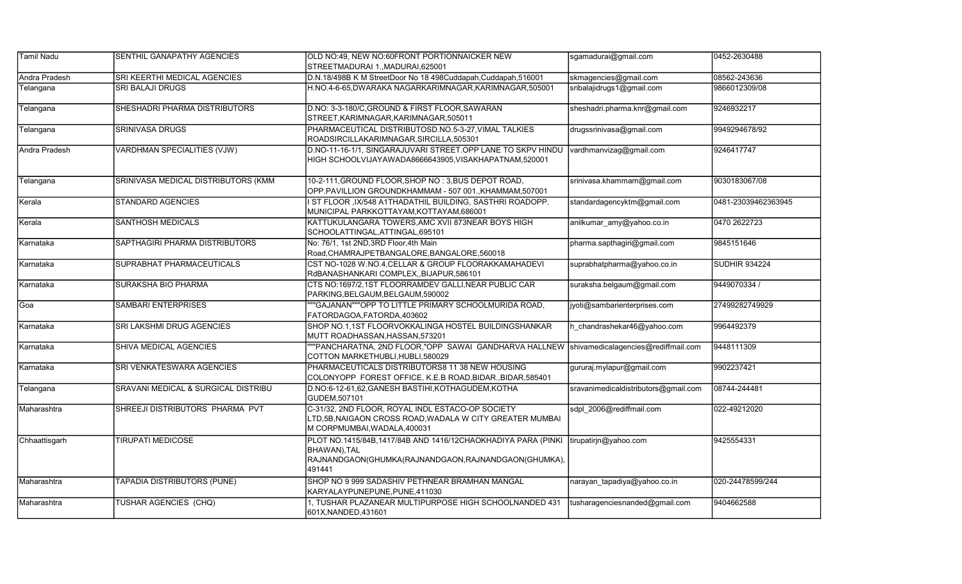| Tamil Nadu    | <b>SENTHIL GANAPATHY AGENCIES</b>   | OLD NO:49, NEW NO:60FRONT PORTIONNAICKER NEW<br>STREETMADURAI 1., MADURAI, 625001                                                             | sgamadurai@gmail.com                 | 0452-2630488         |
|---------------|-------------------------------------|-----------------------------------------------------------------------------------------------------------------------------------------------|--------------------------------------|----------------------|
| Andra Pradesh | SRI KEERTHI MEDICAL AGENCIES        | D.N.18/498B K M StreetDoor No 18 498Cuddapah, Cuddapah, 516001                                                                                | skmagencies@gmail.com                | 08562-243636         |
| Telangana     | <b>SRI BALAJI DRUGS</b>             | H.NO.4-6-65,DWARAKA NAGARKARIMNAGAR,KARIMNAGAR,505001                                                                                         | sribalajidrugs1@gmail.com            | 9866012309/08        |
| Telangana     | SHESHADRI PHARMA DISTRIBUTORS       | D.NO: 3-3-180/C, GROUND & FIRST FLOOR, SAWARAN<br>STREET, KARIMNAGAR, KARIMNAGAR, 505011                                                      | sheshadri.pharma.knr@gmail.com       | 9246932217           |
| Telangana     | <b>SRINIVASA DRUGS</b>              | PHARMACEUTICAL DISTRIBUTOSD.NO.5-3-27, VIMAL TALKIES<br>ROADSIRCILLAKARIMNAGAR, SIRCILLA, 505301                                              | drugssrinivasa@gmail.com             | 9949294678/92        |
| Andra Pradesh | <b>VARDHMAN SPECIALITIES (VJW)</b>  | D.NO-11-16-1/1, SINGARAJUVARI STREET.OPP LANE TO SKPV HINDU<br>HIGH SCHOOLVIJAYAWADA8666643905, VISAKHAPATNAM, 520001                         | vardhmanvizag@gmail.com              | 9246417747           |
| Telangana     | SRINIVASA MEDICAL DISTRIBUTORS (KMM | 10-2-111, GROUND FLOOR, SHOP NO: 3, BUS DEPOT ROAD,<br>OPP.PAVILLION GROUNDKHAMMAM - 507 001., KHAMMAM, 507001                                | srinivasa.khammam@gmail.com          | 9030183067/08        |
| Kerala        | <b>STANDARD AGENCIES</b>            | ST FLOOR , IX/548 A1THADATHIL BUILDING, SASTHRI ROADOPP.<br>MUNICIPAL PARKKOTTAYAM,KOTTAYAM,686001                                            | standardagencyktm@gmail.com          | 0481-23039462363945  |
| Kerala        | <b>SANTHOSH MEDICALS</b>            | KATTUKULANGARA TOWERS, AMC XVII 873NEAR BOYS HIGH<br>SCHOOLATTINGAL,ATTINGAL,695101                                                           | anilkumar amy@yahoo.co.in            | 0470 2622723         |
| Karnataka     | SAPTHAGIRI PHARMA DISTRIBUTORS      | No: 76/1, 1st 2ND, 3RD Floor, 4th Main<br>Road, CHAMRAJPETBANGALORE, BANGALORE, 560018                                                        | pharma.sapthagiri@gmail.com          | 9845151646           |
| Karnataka     | SUPRABHAT PHARMACEUTICALS           | CST NO-1028 W.NO.4, CELLAR & GROUP FLOORAKKAMAHADEVI<br>RdBANASHANKARI COMPLEX, BIJAPUR, 586101                                               | suprabhatpharma@yahoo.co.in          | <b>SUDHIR 934224</b> |
| Karnataka     | SURAKSHA BIO PHARMA                 | CTS NO:1697/2,1ST FLOORRAMDEV GALLI, NEAR PUBLIC CAR<br>PARKING, BELGAUM, BELGAUM, 590002                                                     | suraksha.belgaum@gmail.com           | 9449070334 /         |
| Goa           | <b>SAMBARI ENTERPRISES</b>          | ""GAJANAN"""OPP TO LITTLE PRIMARY SCHOOLMURIDA ROAD,<br>FATORDAGOA,FATORDA,403602                                                             | jyoti@sambarienterprises.com         | 27499282749929       |
| Karnataka     | SRI LAKSHMI DRUG AGENCIES           | SHOP NO.1,1ST FLOORVOKKALINGA HOSTEL BUILDINGSHANKAR<br>MUTT ROADHASSAN, HASSAN, 573201                                                       | h chandrashekar46@yahoo.com          | 9964492379           |
| Karnataka     | SHIVA MEDICAL AGENCIES              | "PANCHARATNA, 2ND FLOOR,"OPP SAWAI GANDHARVA HALLNEW<br>COTTON MARKETHUBLI, HUBLI, 580029                                                     | shivamedicalagencies@rediffmail.com  | 9448111309           |
| Karnataka     | SRI VENKATESWARA AGENCIES           | PHARMACEUTICALS DISTRIBUTORS8 11 38 NEW HOUSING<br>COLONYOPP FOREST OFFICE, K.E.B ROAD, BIDAR., BIDAR, 585401                                 | gururaj.mylapur@gmail.com            | 9902237421           |
| Telangana     | SRAVANI MEDICAL & SURGICAL DISTRIBU | D.NO:6-12-61,62, GANESH BASTIHI, KOTHAGUDEM, KOTHA<br>GUDEM, 507101                                                                           | sravanimedicaldistributors@gmail.com | 08744-244481         |
| Maharashtra   | SHREEJI DISTRIBUTORS PHARMA PVT     | C-31/32, 2ND FLOOR, ROYAL INDL ESTACO-OP SOCIETY<br>LTD,5B,NAIGAON CROSS ROAD,WADALA W CITY GREATER MUMBAI<br>M CORPMUMBAI, WADALA, 400031    | sdpl 2006@rediffmail.com             | 022-49212020         |
| Chhaattisgarh | <b>TIRUPATI MEDICOSE</b>            | PLOT NO.1415/84B,1417/84B AND 1416/12CHAOKHADIYA PARA (PINKI<br>BHAWAN), TAL<br>RAJNANDGAON(GHUMKA(RAJNANDGAON,RAJNANDGAON(GHUMKA),<br>491441 | tirupatirjn@yahoo.com                | 9425554331           |
| Maharashtra   | TAPADIA DISTRIBUTORS (PUNE)         | SHOP NO 9 999 SADASHIV PETHNEAR BRAMHAN MANGAL<br>KARYALAYPUNEPUNE,PUNE,411030                                                                | narayan_tapadiya@yahoo.co.in         | 020-24478599/244     |
| Maharashtra   | <b>TUSHAR AGENCIES (CHQ)</b>        | 1, TUSHAR PLAZANEAR MULTIPURPOSE HIGH SCHOOLNANDED 431<br>601X, NANDED, 431601                                                                | tusharagenciesnanded@gmail.com       | 9404662588           |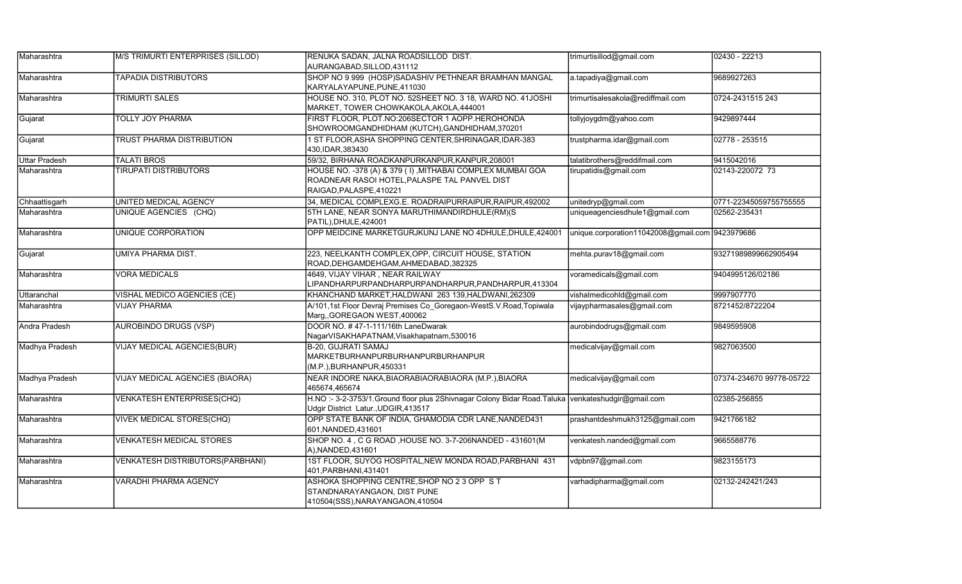| Maharashtra          | M/S TRIMURTI ENTERPRISES (SILLOD)       | RENUKA SADAN, JALNA ROADSILLOD DIST.<br>AURANGABAD, SILLOD, 431112                                                                       | trimurtisillod@gmail.com                        | 02430 - 22213            |
|----------------------|-----------------------------------------|------------------------------------------------------------------------------------------------------------------------------------------|-------------------------------------------------|--------------------------|
| Maharashtra          | <b>TAPADIA DISTRIBUTORS</b>             | SHOP NO 9 999 (HOSP)SADASHIV PETHNEAR BRAMHAN MANGAL<br>KARYALAYAPUNE, PUNE, 411030                                                      | a.tapadiya@gmail.com                            | 9689927263               |
| Maharashtra          | TRIMURTI SALES                          | HOUSE NO. 310, PLOT NO. 52SHEET NO. 3 18, WARD NO. 41JOSHI<br>MARKET, TOWER CHOWKAKOLA, AKOLA, 444001                                    | trimurtisalesakola@rediffmail.com               | 0724-2431515 243         |
| Gujarat              | TOLLY JOY PHARMA                        | FIRST FLOOR, PLOT.NO:206SECTOR 1 AOPP.HEROHONDA<br>SHOWROOMGANDHIDHAM (KUTCH), GANDHIDHAM, 370201                                        | tollyjoygdm@yahoo.com                           | 9429897444               |
| Gujarat              | TRUST PHARMA DISTRIBUTION               | 1 ST FLOOR, ASHA SHOPPING CENTER, SHRINAGAR, IDAR-383<br>430, IDAR, 383430                                                               | trustpharma.idar@gmail.com                      | 02778 - 253515           |
| <b>Uttar Pradesh</b> | <b>TALATI BROS</b>                      | 59/32, BIRHANA ROADKANPURKANPUR, KANPUR, 208001                                                                                          | talatibrothers@reddifmail.com                   | 9415042016               |
| Maharashtra          | <b>TIRUPATI DISTRIBUTORS</b>            | HOUSE NO. -378 (A) & 379 (I), MITHABAI COMPLEX MUMBAI GOA<br>ROADNEAR RASOI HOTEL, PALASPE TAL PANVEL DIST<br>RAIGAD, PALASPE, 410221    | tirupatidis@gmail.com                           | 02143-220072 73          |
| Chhaattisgarh        | UNITED MEDICAL AGENCY                   | 34, MEDICAL COMPLEXG.E. ROADRAIPURRAIPUR, RAIPUR, 492002                                                                                 | unitedryp@gmail.com                             | 0771-22345059755755555   |
| Maharashtra          | UNIQUE AGENCIES (CHQ)                   | 5TH LANE, NEAR SONYA MARUTHIMANDIRDHULE(RM)(S<br>PATIL), DHULE, 424001                                                                   | uniqueagenciesdhule1@gmail.com                  | 02562-235431             |
| Maharashtra          | <b>UNIQUE CORPORATION</b>               | OPP MEIDCINE MARKETGURJKUNJ LANE NO 4DHULE, DHULE, 424001                                                                                | unique.corporation11042008@gmail.com 9423979686 |                          |
| Gujarat              | UMIYA PHARMA DIST.                      | 223, NEELKANTH COMPLEX, OPP, CIRCUIT HOUSE, STATION<br>ROAD, DEHGAMDEHGAM, AHMEDABAD, 382325                                             | mehta.purav18@gmail.com                         | 93271989899662905494     |
| Maharashtra          | <b>VORA MEDICALS</b>                    | 4649, VIJAY VIHAR, NEAR RAILWAY<br>LIPANDHARPURPANDHARPURPANDHARPUR, PANDHARPUR, 413304                                                  | voramedicals@gmail.com                          | 9404995126/02186         |
| Uttaranchal          | VISHAL MEDICO AGENCIES (CE)             | KHANCHAND MARKET, HALDWANI 263 139, HALDWANI, 262309                                                                                     | vishalmedicohld@gmail.com                       | 9997907770               |
| Maharashtra          | <b>VIJAY PHARMA</b>                     | A/101,1st Floor Devraj Premises Co_Goregaon-WestS.V.Road,Topiwala<br>Marg,, GOREGAON WEST, 400062                                        | vijaypharmasales@gmail.com                      | 8721452/8722204          |
| Andra Pradesh        | <b>AUROBINDO DRUGS (VSP)</b>            | DOOR NO. #47-1-111/16th LaneDwarak<br>NagarVISAKHAPATNAM, Visakhapatnam, 530016                                                          | aurobindodrugs@gmail.com                        | 9849595908               |
| Madhya Pradesh       | <b>VIJAY MEDICAL AGENCIES(BUR)</b>      | B-20, GUJRATI SAMAJ<br>MARKETBURHANPURBURHANPURBURHANPUR<br>(M.P.), BURHANPUR, 450331                                                    | medicalvijay@gmail.com                          | 9827063500               |
| Madhya Pradesh       | VIJAY MEDICAL AGENCIES (BIAORA)         | NEAR INDORE NAKA, BIAORABIAORABIAORA (M.P.), BIAORA<br>465674,465674                                                                     | medicalvijay@gmail.com                          | 07374-234670 99778-05722 |
| Maharashtra          | <b>VENKATESH ENTERPRISES(CHQ)</b>       | H.NO:- 3-2-3753/1.Ground floor plus 2Shivnagar Colony Bidar Road.Taluka venkateshudgir@gmail.com<br>Udgir District Latur., UDGIR, 413517 |                                                 | 02385-256855             |
| Maharashtra          | <b>VIVEK MEDICAL STORES(CHQ)</b>        | OPP STATE BANK OF INDIA, GHAMODIA CDR LANE, NANDED431<br>601, NANDED, 431601                                                             | prashantdeshmukh3125@gmail.com                  | 9421766182               |
| Maharashtra          | <b>VENKATESH MEDICAL STORES</b>         | SHOP NO. 4, C G ROAD, HOUSE NO. 3-7-206NANDED - 431601(M<br>A), NANDED, 431601                                                           | venkatesh.nanded@gmail.com                      | 9665588776               |
| Maharashtra          | <b>VENKATESH DISTRIBUTORS(PARBHANI)</b> | 1ST FLOOR, SUYOG HOSPITAL, NEW MONDA ROAD, PARBHANI 431<br>401, PARBHANI, 431401                                                         | vdpbn97@gmail.com                               | 9823155173               |
| Maharashtra          | VARADHI PHARMA AGENCY                   | ASHOKA SHOPPING CENTRE, SHOP NO 2 3 OPP S T<br>STANDNARAYANGAON, DIST PUNE<br>410504(SSS), NARAYANGAON, 410504                           | varhadipharma@gmail.com                         | 02132-242421/243         |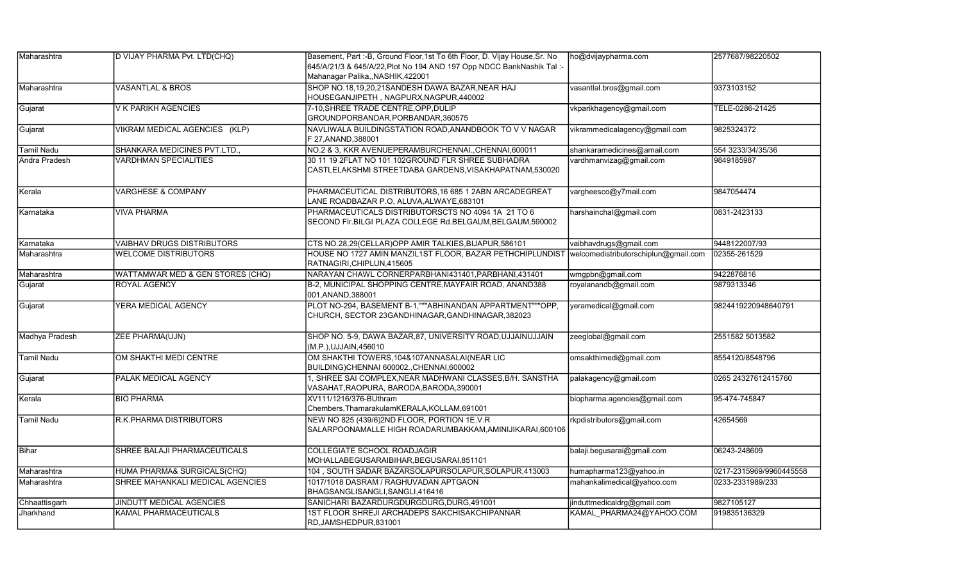| Maharashtra       | D VIJAY PHARMA Pvt. LTD(CHQ)      | Basement, Part :- B, Ground Floor, 1st To 6th Floor, D. Vijay House, Sr. No<br>645/A/21/3 & 645/A/22, Plot No 194 AND 197 Opp NDCC BankNashik Tal:-<br>Mahanagar Palika,, NASHIK, 422001 | ho@dvijaypharma.com           | 2577687/98220502        |
|-------------------|-----------------------------------|------------------------------------------------------------------------------------------------------------------------------------------------------------------------------------------|-------------------------------|-------------------------|
| Maharashtra       | <b>VASANTLAL &amp; BROS</b>       | SHOP NO.18,19,20,21SANDESH DAWA BAZAR, NEAR HAJ<br>HOUSEGANJIPETH, NAGPURX,NAGPUR,440002                                                                                                 | vasantlal.bros@gmail.com      | 9373103152              |
| Gujarat           | V K PARIKH AGENCIES               | 7-10, SHREE TRADE CENTRE, OPP, DULIP<br>GROUNDPORBANDAR, PORBANDAR, 360575                                                                                                               | vkparikhagency@gmail.com      | TELE-0286-21425         |
| Gujarat           | VIKRAM MEDICAL AGENCIES (KLP)     | NAVLIWALA BUILDINGSTATION ROAD, ANANDBOOK TO V V NAGAR<br>F 27, ANAND, 388001                                                                                                            | vikrammedicalagency@gmail.com | 9825324372              |
| <b>Tamil Nadu</b> | SHANKARA MEDICINES PVT.LTD.,      | NO.2 & 3, KKR AVENUEPERAMBURCHENNAI., CHENNAI, 600011                                                                                                                                    | shankaramedicines@amail.com   | 554 3233/34/35/36       |
| Andra Pradesh     | <b>VARDHMAN SPECIALITIES</b>      | 30 11 19 2FLAT NO 101 102GROUND FLR SHREE SUBHADRA<br>CASTLELAKSHMI STREETDABA GARDENS, VISAKHAPATNAM,530020                                                                             | vardhmanvizag@gmail.com       | 9849185987              |
| Kerala            | <b>VARGHESE &amp; COMPANY</b>     | PHARMACEUTICAL DISTRIBUTORS, 16 685 1 2ABN ARCADEGREAT<br>LANE ROADBAZAR P.O. ALUVA, ALWAYE, 683101                                                                                      | vargheesco@y7mail.com         | 9847054474              |
| Karnataka         | <b>VIVA PHARMA</b>                | PHARMACEUTICALS DISTRIBUTORSCTS NO 4094 1A 21 TO 6<br>SECOND FIr.BILGI PLAZA COLLEGE Rd.BELGAUM, BELGAUM, 590002                                                                         | harshainchal@gmail.com        | 0831-2423133            |
| Karnataka         | <b>VAIBHAV DRUGS DISTRIBUTORS</b> | CTS NO.28,29(CELLAR) OPP AMIR TALKIES, BIJAPUR, 586101                                                                                                                                   | vaibhavdrugs@gmail.com        | 9448122007/93           |
| Maharashtra       | <b>WELCOME DISTRIBUTORS</b>       | HOUSE NO 1727 AMIN MANZIL1ST FLOOR, BAZAR PETHCHIPLUNDIST  welcomedistributorschiplun@gmail.com<br>RATNAGIRI, CHIPLUN, 415605                                                            |                               | 02355-261529            |
| Maharashtra       | WATTAMWAR MED & GEN STORES (CHQ)  | NARAYAN CHAWL CORNERPARBHANI431401, PARBHANI, 431401                                                                                                                                     | wmgpbn@gmail.com              | 9422876816              |
| Gujarat           | <b>ROYAL AGENCY</b>               | B-2, MUNICIPAL SHOPPING CENTRE, MAYFAIR ROAD, ANAND388<br>001, ANAND, 388001                                                                                                             | royalanandb@gmail.com         | 9879313346              |
| Gujarat           | YERA MEDICAL AGENCY               | PLOT NO-294, BASEMENT B-1, ""ABHINANDAN APPARTMENT""OPP,<br>CHURCH, SECTOR 23GANDHINAGAR, GANDHINAGAR, 382023                                                                            | yeramedical@gmail.com         | 9824419220948640791     |
| Madhya Pradesh    | <b>ZEE PHARMA(UJN)</b>            | SHOP NO. 5-9, DAWA BAZAR, 87, UNIVERSITY ROAD, UJJAINUJJAIN<br>(M.P.), UJJAIN, 456010                                                                                                    | zeeglobal@gmail.com           | 2551582 5013582         |
| <b>Tamil Nadu</b> | OM SHAKTHI MEDI CENTRE            | OM SHAKTHI TOWERS, 104&107ANNASALAI (NEAR LIC<br>BUILDING)CHENNAI 600002.,CHENNAI,600002                                                                                                 | omsakthimedi@gmail.com        | 8554120/8548796         |
| Gujarat           | PALAK MEDICAL AGENCY              | 1. SHREE SAI COMPLEX.NEAR MADHWANI CLASSES.B/H. SANSTHA<br>VASAHAT, RAOPURA, BARODA, BARODA, 390001                                                                                      | palakagency@gmail.com         | 0265 24327612415760     |
| Kerala            | <b>BIO PHARMA</b>                 | XV111/1216/376-BUthram<br>Chembers, ThamarakulamKERALA, KOLLAM, 691001                                                                                                                   | biopharma.agencies@gmail.com  | 95-474-745847           |
| <b>Tamil Nadu</b> | R.K. PHARMA DISTRIBUTORS          | NEW NO 825 (439/6)2ND FLOOR, PORTION 1E.V.R<br>SALARPOONAMALLE HIGH ROADARUMBAKKAM,AMINIJIKARAI,600106                                                                                   | rkpdistributors@gmail.com     | 42654569                |
| Bihar             | SHREE BALAJI PHARMACEUTICALS      | <b>COLLEGIATE SCHOOL ROADJAGIR</b><br>MOHALLABEGUSARAIBIHAR, BEGUSARAI, 851101                                                                                                           | balaji.begusarai@gmail.com    | 06243-248609            |
| Maharashtra       | HUMA PHARMA& SURGICALS(CHQ)       | 104, SOUTH SADAR BAZARSOLAPURSOLAPUR, SOLAPUR, 413003                                                                                                                                    | humapharma123@yahoo.in        | 0217-2315969/9960445558 |
| Maharashtra       | SHREE MAHANKALI MEDICAL AGENCIES  | 1017/1018 DASRAM / RAGHUVADAN APTGAON<br>BHAGSANGLISANGLI, SANGLI, 416416                                                                                                                | mahankalimedical@yahoo.com    | 0233-2331989/233        |
| Chhaattisgarh     | JINDUTT MEDICAL AGENCIES          | SANICHARI BAZARDURGDURGDURG, DURG, 491001                                                                                                                                                | jinduttmedicaldrg@gmail.com   | 9827105127              |
| Jharkhand         | KAMAL PHARMACEUTICALS             | 1ST FLOOR SHREJI ARCHADEPS SAKCHISAKCHIPANNAR<br>RD, JAMSHEDPUR, 831001                                                                                                                  | KAMAL PHARMA24@YAHOO.COM      | 919835136329            |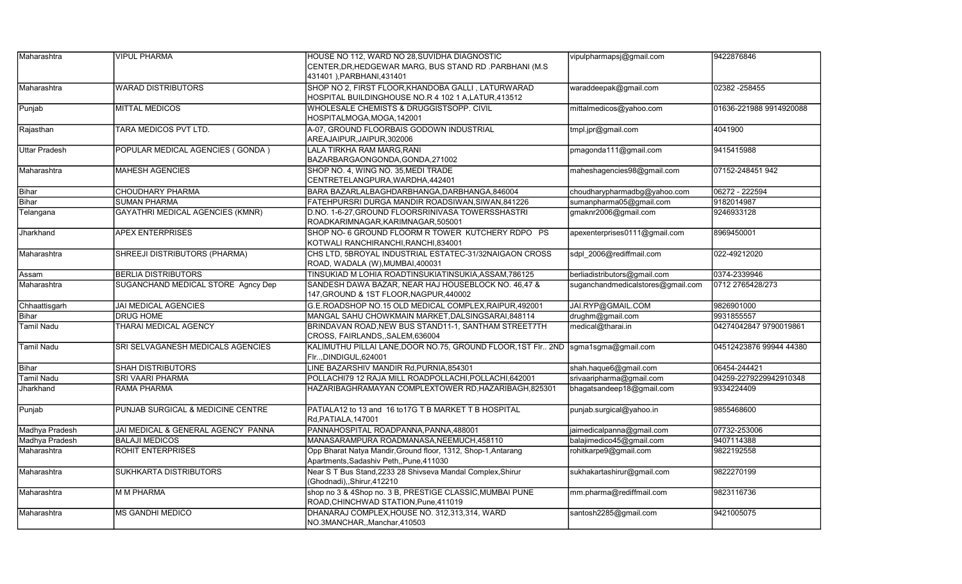| Maharashtra          | <b>VIPUL PHARMA</b>                     | HOUSE NO 112, WARD NO 28, SUVIDHA DIAGNOSTIC<br>CENTER, DR, HEDGEWAR MARG, BUS STAND RD. PARBHANI (M.S.<br>431401 ), PARBHANI, 431401 | vipulpharmapsj@gmail.com          | 9422876846              |
|----------------------|-----------------------------------------|---------------------------------------------------------------------------------------------------------------------------------------|-----------------------------------|-------------------------|
| Maharashtra          | <b>WARAD DISTRIBUTORS</b>               | SHOP NO 2, FIRST FLOOR, KHANDOBA GALLI, LATURWARAD<br>HOSPITAL BUILDINGHOUSE NO.R 4 102 1 A,LATUR,413512                              | waraddeepak@gmail.com             | 02382-258455            |
| Punjab               | <b>MITTAL MEDICOS</b>                   | WHOLESALE CHEMISTS & DRUGGISTSOPP. CIVIL<br>HOSPITALMOGA, MOGA, 142001                                                                | mittalmedicos@yahoo.com           | 01636-221988 9914920088 |
| Rajasthan            | TARA MEDICOS PVT LTD.                   | A-07, GROUND FLOORBAIS GODOWN INDUSTRIAL<br>AREAJAIPUR, JAIPUR, 302006                                                                | tmpl.jpr@gmail.com                | 4041900                 |
| <b>Uttar Pradesh</b> | POPULAR MEDICAL AGENCIES (GONDA)        | LALA TIRKHA RAM MARG,RANI<br>BAZARBARGAONGONDA,GONDA,271002                                                                           | pmagonda111@gmail.com             | 9415415988              |
| Maharashtra          | <b>MAHESH AGENCIES</b>                  | SHOP NO. 4, WING NO. 35, MEDI TRADE<br>CENTRETELANGPURA, WARDHA, 442401                                                               | maheshagencies98@gmail.com        | 07152-248451 942        |
| Bihar                | <b>CHOUDHARY PHARMA</b>                 | BARA BAZARLALBAGHDARBHANGA, DARBHANGA, 846004                                                                                         | choudharypharmadbg@yahoo.com      | 06272 - 222594          |
| Bihar                | <b>SUMAN PHARMA</b>                     | FATEHPURSRI DURGA MANDIR ROADSIWAN, SIWAN, 841226                                                                                     | sumanpharma05@gmail.com           | 9182014987              |
| Telangana            | <b>GAYATHRI MEDICAL AGENCIES (KMNR)</b> | D.NO. 1-6-27, GROUND FLOORSRINIVASA TOWERSSHASTRI<br>ROADKARIMNAGAR, KARIMNAGAR, 505001                                               | gmaknr2006@gmail.com              | 9246933128              |
| Jharkhand            | <b>APEX ENTERPRISES</b>                 | SHOP NO- 6 GROUND FLOORM R TOWER KUTCHERY RDPO PS<br>KOTWALI RANCHIRANCHI, RANCHI, 834001                                             | apexenterprises0111@gmail.com     | 8969450001              |
| Maharashtra          | SHREEJI DISTRIBUTORS (PHARMA)           | CHS LTD, 5BROYAL INDUSTRIAL ESTATEC-31/32NAIGAON CROSS<br>ROAD, WADALA (W),MUMBAI,400031                                              | sdpl 2006@rediffmail.com          | 022-49212020            |
| Assam                | <b>BERLIA DISTRIBUTORS</b>              | TINSUKIAD M LOHIA ROADTINSUKIATINSUKIA, ASSAM, 786125                                                                                 | berliadistributors@gmail.com      | 0374-2339946            |
| Maharashtra          | SUGANCHAND MEDICAL STORE Agncy Dep      | SANDESH DAWA BAZAR, NEAR HAJ HOUSEBLOCK NO. 46,47 &<br>147, GROUND & 1ST FLOOR, NAGPUR, 440002                                        | suganchandmedicalstores@gmail.com | 0712 2765428/273        |
| Chhaattisgarh        | <b>JAI MEDICAL AGENCIES</b>             | G.E.ROADSHOP NO.15 OLD MEDICAL COMPLEX, RAIPUR, 492001                                                                                | JAI.RYP@GMAIL.COM                 | 9826901000              |
| Bihar                | <b>DRUG HOME</b>                        | MANGAL SAHU CHOWKMAIN MARKET, DALSINGSARAI, 848114                                                                                    | drughm@gmail.com                  | 9931855557              |
| <b>Tamil Nadu</b>    | THARAI MEDICAL AGENCY                   | BRINDAVAN ROAD, NEW BUS STAND11-1, SANTHAM STREET7TH<br>CROSS, FAIRLANDS,, SALEM, 636004                                              | medical@tharai.in                 | 04274042847 9790019861  |
| <b>Tamil Nadu</b>    | SRI SELVAGANESH MEDICALS AGENCIES       | KALIMUTHU PILLAI LANE, DOOR NO.75, GROUND FLOOR, 1ST FIr 2ND<br>Flr, DINDIGUL, 624001                                                 | sgma1sgma@gmail.com               | 04512423876 99944 44380 |
| Bihar                | <b>SHAH DISTRIBUTORS</b>                | LINE BAZARSHIV MANDIR Rd, PURNIA, 854301                                                                                              | shah.haque6@gmail.com             | 06454-244421            |
| <b>Tamil Nadu</b>    | <b>SRI VAARI PHARMA</b>                 | POLLACHI79 12 RAJA MILL ROADPOLLACHI, POLLACHI, 642001                                                                                | srivaaripharma@gmail.com          | 04259-2279229942910348  |
| Jharkhand            | <b>RAMA PHARMA</b>                      | HAZARIBAGHRAMAYAN COMPLEXTOWER RD, HAZARIBAGH, 825301                                                                                 | bhagatsandeep18@gmail.com         | 9334224409              |
| Punjab               | PUNJAB SURGICAL & MEDICINE CENTRE       | PATIALA12 to 13 and 16 to17G T B MARKET T B HOSPITAL<br>Rd, PATIALA, 147001                                                           | punjab.surgical@yahoo.in          | 9855468600              |
| Madhya Pradesh       | JAI MEDICAL & GENERAL AGENCY PANNA      | PANNAHOSPITAL ROADPANNA, PANNA, 488001                                                                                                | jaimedicalpanna@gmail.com         | 07732-253006            |
| Madhya Pradesh       | <b>BALAJI MEDICOS</b>                   | MANASARAMPURA ROADMANASA, NEEMUCH, 458110                                                                                             | balajimedico45@gmail.com          | 9407114388              |
| Maharashtra          | ROHIT ENTERPRISES                       | Opp Bharat Natya Mandir, Ground floor, 1312, Shop-1, Antarang<br>Apartments, Sadashiv Peth,, Pune, 411030                             | rohitkarpe9@gmail.com             | 9822192558              |
| Maharashtra          | <b>SUKHKARTA DISTRIBUTORS</b>           | Near S T Bus Stand, 2233 28 Shivseva Mandal Complex, Shirur<br>(Ghodnadi),,Shirur,412210                                              | sukhakartashirur@gmail.com        | 9822270199              |
| Maharashtra          | <b>M M PHARMA</b>                       | shop no 3 & 4Shop no. 3 B, PRESTIGE CLASSIC, MUMBAI PUNE<br>ROAD, CHINCHWAD STATION, Pune, 411019                                     | mm.pharma@rediffmail.com          | 9823116736              |
| Maharashtra          | MS GANDHI MEDICO                        | DHANARAJ COMPLEX, HOUSE NO. 312,313,314, WARD<br>NO.3MANCHAR,,Manchar,410503                                                          | santosh2285@gmail.com             | 9421005075              |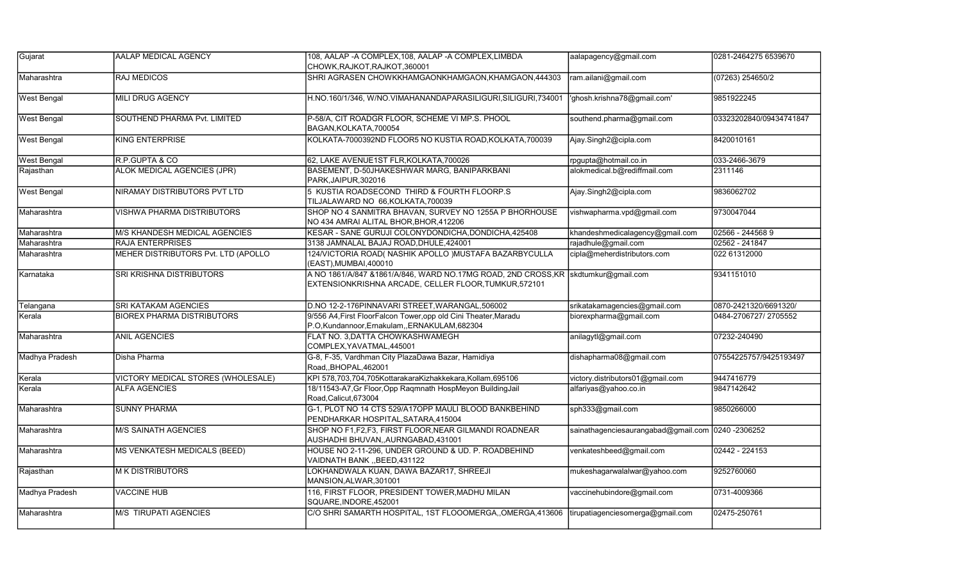| Gujarat            | AALAP MEDICAL AGENCY                | 108, AALAP - A COMPLEX, 108, AALAP - A COMPLEX, LIMBDA                                                                                     | aalapagency@gmail.com                             | 0281-2464275 6539670    |
|--------------------|-------------------------------------|--------------------------------------------------------------------------------------------------------------------------------------------|---------------------------------------------------|-------------------------|
|                    |                                     | CHOWK, RAJKOT, RAJKOT, 360001                                                                                                              |                                                   |                         |
| Maharashtra        | RAJ MEDICOS                         | SHRI AGRASEN CHOWKKHAMGAONKHAMGAON, KHAMGAON, 444303                                                                                       | ram.ailani@gmail.com                              | (07263) 254650/2        |
| <b>West Bengal</b> | <b>MILI DRUG AGENCY</b>             | H.NO.160/1/346, W/NO.VIMAHANANDAPARASILIGURI, SILIGURI, 734001                                                                             | 'ghosh.krishna78@gmail.com'                       | 9851922245              |
| <b>West Bengal</b> | SOUTHEND PHARMA Pvt. LIMITED        | P-58/A, CIT ROADGR FLOOR, SCHEME VI MP.S. PHOOL<br>BAGAN.KOLKATA.700054                                                                    | southend.pharma@gmail.com                         | 03323202840/09434741847 |
| <b>West Bengal</b> | <b>KING ENTERPRISE</b>              | KOLKATA-7000392ND FLOOR5 NO KUSTIA ROAD, KOLKATA, 700039                                                                                   | Ajay.Singh2@cipla.com                             | 8420010161              |
| <b>West Bengal</b> | R.P.GUPTA & CO                      | 62, LAKE AVENUE1ST FLR, KOLKATA, 700026                                                                                                    | rpgupta@hotmail.co.in                             | 033-2466-3679           |
| Rajasthan          | ALOK MEDICAL AGENCIES (JPR)         | BASEMENT, D-50JHAKESHWAR MARG, BANIPARKBANI<br>PARK, JAIPUR, 302016                                                                        | alokmedical.b@rediffmail.com                      | 2311146                 |
| <b>West Bengal</b> | NIRAMAY DISTRIBUTORS PVT LTD        | 5 KUSTIA ROADSECOND THIRD & FOURTH FLOORP.S<br>TILJALAWARD NO 66, KOLKATA, 700039                                                          | Ajay.Singh2@cipla.com                             | 9836062702              |
| Maharashtra        | <b>VISHWA PHARMA DISTRIBUTORS</b>   | SHOP NO 4 SANMITRA BHAVAN, SURVEY NO 1255A P BHORHOUSE<br>NO 434 AMRAI ALITAL BHOR, BHOR, 412206                                           | vishwapharma.vpd@gmail.com                        | 9730047044              |
| Maharashtra        | M/S KHANDESH MEDICAL AGENCIES       | KESAR - SANE GURUJI COLONYDONDICHA, DONDICHA, 425408                                                                                       | khandeshmedicalagency@gmail.com                   | 02566 - 244568 9        |
| Maharashtra        | RAJA ENTERPRISES                    | 3138 JAMNALAL BAJAJ ROAD, DHULE, 424001                                                                                                    | rajadhule@gmail.com                               | 02562 - 241847          |
| Maharashtra        | MEHER DISTRIBUTORS Pvt. LTD (APOLLO | 124/VICTORIA ROAD( NASHIK APOLLO )MUSTAFA BAZARBYCULLA<br>(EAST), MUMBAI, 400010                                                           | cipla@meherdistributors.com                       | 022 61312000            |
| Karnataka          | SRI KRISHNA DISTRIBUTORS            | A NO 1861/A/847 &1861/A/846, WARD NO.17MG ROAD, 2ND CROSS, KR skdtumkur@gmail.com<br>EXTENSIONKRISHNA ARCADE, CELLER FLOOR, TUMKUR, 572101 |                                                   | 9341151010              |
| Telangana          | SRI KATAKAM AGENCIES                | D.NO 12-2-176PINNAVARI STREET, WARANGAL, 506002                                                                                            | srikatakamagencies@gmail.com                      | 0870-2421320/6691320/   |
| Kerala             | <b>BIOREX PHARMA DISTRIBUTORS</b>   | 9/556 A4, First FloorFalcon Tower, opp old Cini Theater, Maradu<br>P.O,Kundannoor,Ernakulam,,ERNAKULAM,682304                              | biorexpharma@gmail.com                            | 0484-2706727/ 2705552   |
| Maharashtra        | <b>ANIL AGENCIES</b>                | FLAT NO. 3, DATTA CHOWKASHWAMEGH<br>COMPLEX, YAVATMAL, 445001                                                                              | anilagytl@gmail.com                               | 07232-240490            |
| Madhya Pradesh     | Disha Pharma                        | G-8, F-35, Vardhman City PlazaDawa Bazar, Hamidiya<br>Road,, BHOPAL, 462001                                                                | dishapharma08@gmail.com                           | 07554225757/9425193497  |
| Kerala             | VICTORY MEDICAL STORES (WHOLESALE)  | KPI 578,703,704,705KottarakaraKizhakkekara,Kollam,695106                                                                                   | victory.distributors01@gmail.com                  | 9447416779              |
| Kerala             | <b>ALFA AGENCIES</b>                | 18/11543-A7, Gr Floor, Opp Raqmnath HospMeyon BuildingJail<br>Road, Calicut, 673004                                                        | alfariyas@yahoo.co.in                             | 9847142642              |
| Maharashtra        | <b>SUNNY PHARMA</b>                 | G-1. PLOT NO 14 CTS 529/A17OPP MAULI BLOOD BANKBEHIND<br>PENDHARKAR HOSPITAL, SATARA, 415004                                               | sph333@gmail.com                                  | 9850266000              |
| Maharashtra        | <b>M/S SAINATH AGENCIES</b>         | SHOP NO F1, F2, F3, FIRST FLOOR, NEAR GILMANDI ROADNEAR<br>AUSHADHI BHUVAN,, AURNGABAD, 431001                                             | sainathagenciesaurangabad@gmail.com 0240 -2306252 |                         |
| Maharashtra        | MS VENKATESH MEDICALS (BEED)        | HOUSE NO 2-11-296, UNDER GROUND & UD. P. ROADBEHIND<br>VAIDNATH BANK "BEED,431122                                                          | venkateshbeed@gmail.com                           | 02442 - 224153          |
| Rajasthan          | <b>M K DISTRIBUTORS</b>             | LOKHANDWALA KUAN, DAWA BAZAR17, SHREEJI<br>MANSION, ALWAR, 301001                                                                          | mukeshagarwalalwar@yahoo.com                      | 9252760060              |
| Madhya Pradesh     | <b>VACCINE HUB</b>                  | 116, FIRST FLOOR, PRESIDENT TOWER, MADHU MILAN<br>SQUARE, INDORE, 452001                                                                   | vaccinehubindore@gmail.com                        | 0731-4009366            |
| Maharashtra        | <b>M/S TIRUPATI AGENCIES</b>        | C/O SHRI SAMARTH HOSPITAL, 1ST FLOOOMERGA, OMERGA, 413606                                                                                  | tirupatiagenciesomerga@gmail.com                  | 02475-250761            |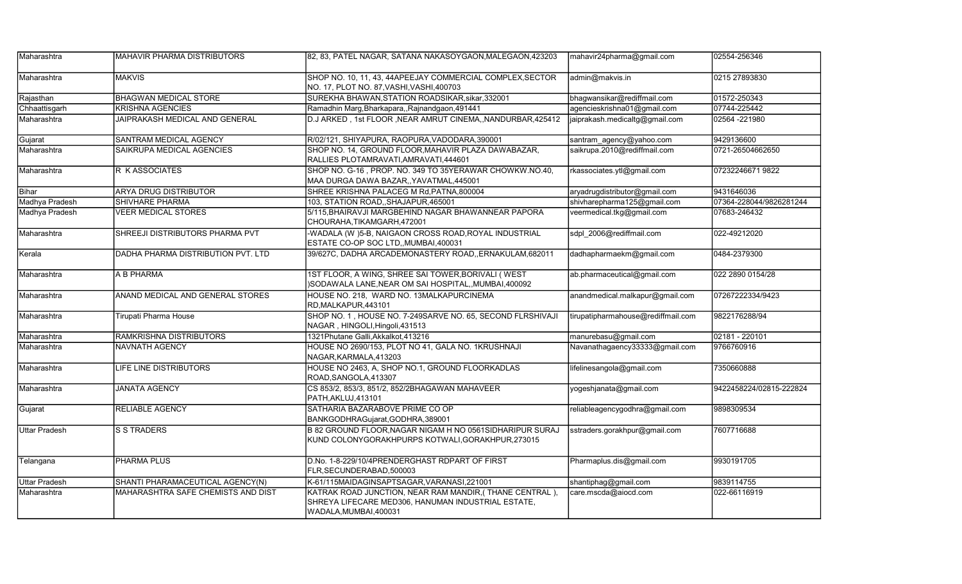| Maharashtra    | <b>MAHAVIR PHARMA DISTRIBUTORS</b>    | 82, 83, PATEL NAGAR, SATANA NAKASOYGAON,MALEGAON,423203                                                                                 | mahavir24pharma@gmail.com          | 02554-256346            |
|----------------|---------------------------------------|-----------------------------------------------------------------------------------------------------------------------------------------|------------------------------------|-------------------------|
| Maharashtra    | <b>MAKVIS</b>                         | SHOP NO. 10, 11, 43, 44APEEJAY COMMERCIAL COMPLEX, SECTOR<br>NO. 17, PLOT NO. 87, VASHI, VASHI, 400703                                  | admin@makvis.in                    | 0215 27893830           |
| Rajasthan      | <b>BHAGWAN MEDICAL STORE</b>          | SUREKHA BHAWAN, STATION ROADSIKAR, sikar, 332001                                                                                        | bhagwansikar@rediffmail.com        | 01572-250343            |
| Chhaattisgarh  | <b>KRISHNA AGENCIES</b>               | Ramadhin Marg, Bharkapara, , Rajnandgaon, 491441                                                                                        | agencieskrishna01@gmail.com        | 07744-225442            |
| Maharashtra    | <b>JAIPRAKASH MEDICAL AND GENERAL</b> | D.J ARKED, 1st FLOOR, NEAR AMRUT CINEMA, NANDURBAR, 425412                                                                              | jaiprakash.medicaltg@gmail.com     | 02564 -221980           |
| Gujarat        | SANTRAM MEDICAL AGENCY                | R/02/121, SHIYAPURA, RAOPURA, VADODARA, 390001                                                                                          | santram agency@yahoo.com           | 9429136600              |
| Maharashtra    | SAIKRUPA MEDICAL AGENCIES             | SHOP NO. 14, GROUND FLOOR, MAHAVIR PLAZA DAWABAZAR,<br>RALLIES PLOTAMRAVATI, AMRAVATI, 444601                                           | saikrupa.2010@rediffmail.com       | 0721-26504662650        |
| Maharashtra    | R K ASSOCIATES                        | SHOP NO. G-16, PROP. NO. 349 TO 35YERAWAR CHOWKW.NO.40,<br>MAA DURGA DAWA BAZAR,, YAVATMAL, 445001                                      | rkassociates.ytl@gmail.com         | 07232246671 9822        |
| Bihar          | <b>ARYA DRUG DISTRIBUTOR</b>          | SHREE KRISHNA PALACEG M Rd, PATNA, 800004                                                                                               | aryadrugdistributor@gmail.com      | 9431646036              |
| Madhya Pradesh | <b>SHIVHARE PHARMA</b>                | 103, STATION ROAD, SHAJAPUR, 465001                                                                                                     | shivharepharma125@gmail.com        | 07364-228044/9826281244 |
| Madhya Pradesh | <b>VEER MEDICAL STORES</b>            | 5/115, BHAIRAVJI MARGBEHIND NAGAR BHAWANNEAR PAPORA<br>CHOURAHA, TIKAMGARH, 472001                                                      | veermedical.tkg@gmail.com          | 07683-246432            |
| Maharashtra    | SHREEJI DISTRIBUTORS PHARMA PVT       | -WADALA (W)5-B, NAIGAON CROSS ROAD, ROYAL INDUSTRIAL<br>ESTATE CO-OP SOC LTD,, MUMBAI, 400031                                           | sdpl_2006@rediffmail.com           | 022-49212020            |
| Kerala         | DADHA PHARMA DISTRIBUTION PVT. LTD    | 39/627C, DADHA ARCADEMONASTERY ROAD,, ERNAKULAM, 682011                                                                                 | dadhapharmaekm@gmail.com           | 0484-2379300            |
| Maharashtra    | A B PHARMA                            | 1ST FLOOR, A WING, SHREE SAI TOWER, BORIVALI (WEST<br>)SODAWALA LANE, NEAR OM SAI HOSPITAL, MUMBAI, 400092                              | ab.pharmaceutical@gmail.com        | 022 2890 0154/28        |
| Maharashtra    | ANAND MEDICAL AND GENERAL STORES      | HOUSE NO. 218, WARD NO. 13MALKAPURCINEMA<br>RD, MALKAPUR, 443101                                                                        | anandmedical.malkapur@gmail.com    | 07267222334/9423        |
| Maharashtra    | <b>Tirupati Pharma House</b>          | SHOP NO. 1, HOUSE NO. 7-249SARVE NO. 65, SECOND FLRSHIVAJI<br>NAGAR, HINGOLI, Hingoli, 431513                                           | tirupatipharmahouse@rediffmail.com | 9822176288/94           |
| Maharashtra    | <b>RAMKRISHNA DISTRIBUTORS</b>        | 1321Phutane Galli, Akkalkot, 413216                                                                                                     | manurebasu@gmail.com               | 02181 - 220101          |
| Maharashtra    | <b>NAVNATH AGENCY</b>                 | HOUSE NO 2690/153, PLOT NO 41, GALA NO. 1KRUSHNAJI<br>NAGAR, KARMALA, 413203                                                            | Navanathagaency33333@gmail.com     | 9766760916              |
| Maharashtra    | LIFE LINE DISTRIBUTORS                | HOUSE NO 2463, A, SHOP NO.1, GROUND FLOORKADLAS<br>ROAD, SANGOLA, 413307                                                                | lifelinesangola@gmail.com          | 7350660888              |
| Maharashtra    | <b>JANATA AGENCY</b>                  | CS 853/2, 853/3, 851/2, 852/2BHAGAWAN MAHAVEER<br>PATH, AKLUJ, 413101                                                                   | yogeshjanata@gmail.com             | 9422458224/02815-222824 |
| Gujarat        | <b>RELIABLE AGENCY</b>                | SATHARIA BAZARABOVE PRIME CO OP<br>BANKGODHRAGujarat, GODHRA, 389001                                                                    | reliableagencygodhra@gmail.com     | 9898309534              |
| Uttar Pradesh  | S S TRADERS                           | B 82 GROUND FLOOR, NAGAR NIGAM H NO 0561SIDHARIPUR SURAJ<br>KUND COLONYGORAKHPURPS KOTWALI, GORAKHPUR, 273015                           | sstraders.gorakhpur@gmail.com      | 7607716688              |
| Telangana      | <b>PHARMA PLUS</b>                    | D.No. 1-8-229/10/4PRENDERGHAST RDPART OF FIRST<br>FLR, SECUNDERABAD, 500003                                                             | Pharmaplus.dis@gmail.com           | 9930191705              |
| Uttar Pradesh  | SHANTI PHARAMACEUTICAL AGENCY(N)      | K-61/115MAIDAGINSAPTSAGAR, VARANASI, 221001                                                                                             | shantiphag@gmail.com               | 9839114755              |
| Maharashtra    | MAHARASHTRA SAFE CHEMISTS AND DIST    | KATRAK ROAD JUNCTION, NEAR RAM MANDIR, (THANE CENTRAL),<br>SHREYA LIFECARE MED306, HANUMAN INDUSTRIAL ESTATE,<br>WADALA, MUMBAI, 400031 | care.mscda@aiocd.com               | 022-66116919            |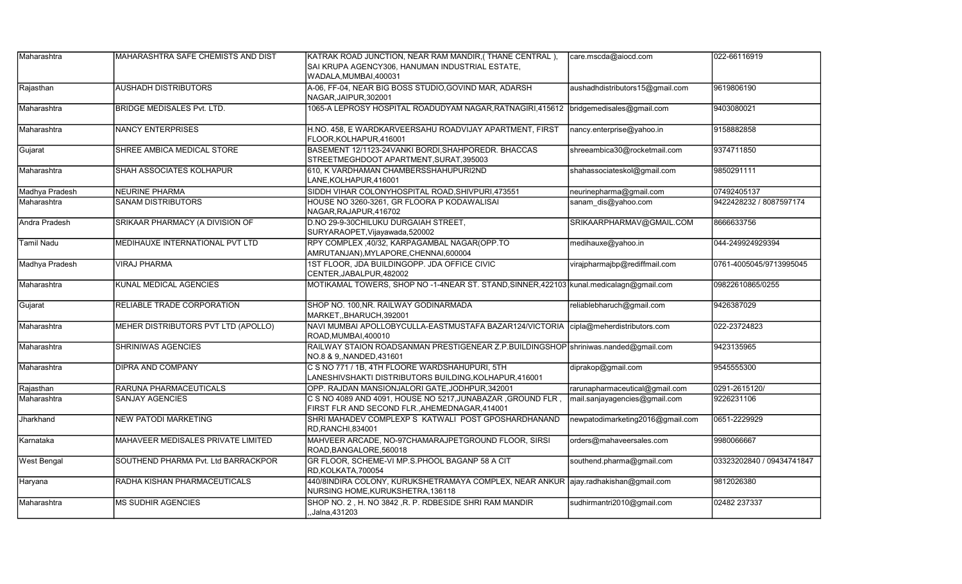| Maharashtra        | MAHARASHTRA SAFE CHEMISTS AND DIST  | KATRAK ROAD JUNCTION, NEAR RAM MANDIR, (THANE CENTRAL),<br>SAI KRUPA AGENCY306, HANUMAN INDUSTRIAL ESTATE,<br>WADALA, MUMBAI, 400031 | care.mscda@aiocd.com             | 022-66116919              |
|--------------------|-------------------------------------|--------------------------------------------------------------------------------------------------------------------------------------|----------------------------------|---------------------------|
| Rajasthan          | <b>AUSHADH DISTRIBUTORS</b>         | A-06, FF-04, NEAR BIG BOSS STUDIO, GOVIND MAR, ADARSH<br>NAGAR, JAIPUR, 302001                                                       | aushadhdistributors15@gmail.com  | 9619806190                |
| Maharashtra        | <b>BRIDGE MEDISALES Pvt. LTD.</b>   | 1065-A LEPROSY HOSPITAL ROADUDYAM NAGAR, RATNAGIRI, 415612   bridgemedisales@gmail.com                                               |                                  | 9403080021                |
| Maharashtra        | <b>NANCY ENTERPRISES</b>            | H.NO. 458, E WARDKARVEERSAHU ROADVIJAY APARTMENT, FIRST<br>FLOOR, KOLHAPUR, 416001                                                   | nancy.enterprise@yahoo.in        | 9158882858                |
| Gujarat            | SHREE AMBICA MEDICAL STORE          | BASEMENT 12/1123-24VANKI BORDI, SHAHPOREDR. BHACCAS<br>STREETMEGHDOOT APARTMENT, SURAT, 395003                                       | shreeambica30@rocketmail.com     | 9374711850                |
| Maharashtra        | SHAH ASSOCIATES KOLHAPUR            | 610. K VARDHAMAN CHAMBERSSHAHUPURI2ND<br>LANE, KOLHAPUR, 416001                                                                      | shahassociateskol@gmail.com      | 9850291111                |
| Madhya Pradesh     | <b>NEURINE PHARMA</b>               | SIDDH VIHAR COLONYHOSPITAL ROAD, SHIVPURI, 473551                                                                                    | neurinepharma@gmail.com          | 07492405137               |
| Maharashtra        | <b>SANAM DISTRIBUTORS</b>           | HOUSE NO 3260-3261, GR FLOORA P KODAWALISAI<br>NAGAR, RAJAPUR, 416702                                                                | sanam_dis@yahoo.com              | 9422428232 / 8087597174   |
| Andra Pradesh      | SRIKAAR PHARMACY (A DIVISION OF     | D.NO 29-9-30CHILUKU DURGAIAH STREET,<br>SURYARAOPET, Vijayawada, 520002                                                              | SRIKAARPHARMAV@GMAIL.COM         | 8666633756                |
| <b>Tamil Nadu</b>  | MEDIHAUXE INTERNATIONAL PVT LTD     | RPY COMPLEX ,40/32, KARPAGAMBAL NAGAR(OPP.TO<br>AMRUTANJAN), MYLAPORE, CHENNAI, 600004                                               | medihauxe@yahoo.in               | 044-249924929394          |
| Madhya Pradesh     | <b>VIRAJ PHARMA</b>                 | 1ST FLOOR, JDA BUILDINGOPP. JDA OFFICE CIVIC<br>CENTER, JABALPUR, 482002                                                             | virajpharmajbp@rediffmail.com    | 0761-4005045/9713995045   |
| Maharashtra        | <b>KUNAL MEDICAL AGENCIES</b>       | MOTIKAMAL TOWERS, SHOP NO -1-4NEAR ST. STAND, SINNER, 422103 kunal.medicalagn@gmail.com                                              |                                  | 09822610865/0255          |
| Gujarat            | RELIABLE TRADE CORPORATION          | SHOP NO. 100, NR. RAILWAY GODINARMADA<br>MARKET.,BHARUCH,392001                                                                      | reliablebharuch@gmail.com        | 9426387029                |
| Maharashtra        | MEHER DISTRIBUTORS PVT LTD (APOLLO) | NAVI MUMBAI APOLLOBYCULLA-EASTMUSTAFA BAZAR124/VICTORIA  cipla@meherdistributors.com<br>ROAD, MUMBAI, 400010                         |                                  | 022-23724823              |
| Maharashtra        | <b>SHRINIWAS AGENCIES</b>           | RAILWAY STAION ROADSANMAN PRESTIGENEAR Z.P.BUILDINGSHOP Shriniwas.nanded@gmail.com<br>NO.8 & 9, NANDED, 431601                       |                                  | 9423135965                |
| Maharashtra        | <b>DIPRA AND COMPANY</b>            | C S NO 771 / 1B, 4TH FLOORE WARDSHAHUPURI, 5TH<br>LANESHIVSHAKTI DISTRIBUTORS BUILDING,KOLHAPUR,416001                               | diprakop@gmail.com               | 9545555300                |
| Rajasthan          | RARUNA PHARMACEUTICALS              | OPP. RAJDAN MANSIONJALORI GATE, JODHPUR, 342001                                                                                      | rarunapharmaceutical@gmail.com   | 0291-2615120/             |
| Maharashtra        | <b>SANJAY AGENCIES</b>              | C S NO 4089 AND 4091, HOUSE NO 5217, JUNABAZAR, GROUND FLR,<br>FIRST FLR AND SECOND FLR., AHEMEDNAGAR, 414001                        | mail.sanjayagencies@gmail.com    | 9226231106                |
| Jharkhand          | <b>NEW PATODI MARKETING</b>         | SHRI MAHADEV COMPLEXP S KATWALI POST GPOSHARDHANAND<br>RD.RANCHI.834001                                                              | newpatodimarketing2016@gmail.com | 0651-2229929              |
| Karnataka          | MAHAVEER MEDISALES PRIVATE LIMITED  | MAHVEER ARCADE, NO-97CHAMARAJPETGROUND FLOOR, SIRSI<br>ROAD, BANGALORE, 560018                                                       | orders@mahaveersales.com         | 9980066667                |
| <b>West Bengal</b> | SOUTHEND PHARMA Pvt. Ltd BARRACKPOR | GR FLOOR, SCHEME-VI MP.S.PHOOL BAGANP 58 A CIT<br>RD,KOLKATA,700054                                                                  | southend.pharma@gmail.com        | 03323202840 / 09434741847 |
| Haryana            | RADHA KISHAN PHARMACEUTICALS        | 440/8INDIRA COLONY, KURUKSHETRAMAYA COMPLEX, NEAR ANKUR ajay.radhakishan@gmail.com<br>NURSING HOME, KURUKSHETRA, 136118              |                                  | 9812026380                |
| Maharashtra        | <b>MS SUDHIR AGENCIES</b>           | SHOP NO. 2, H. NO 3842, R. P. RDBESIDE SHRI RAM MANDIR<br>, Jalna, 431203                                                            | sudhirmantri2010@gmail.com       | 02482 237337              |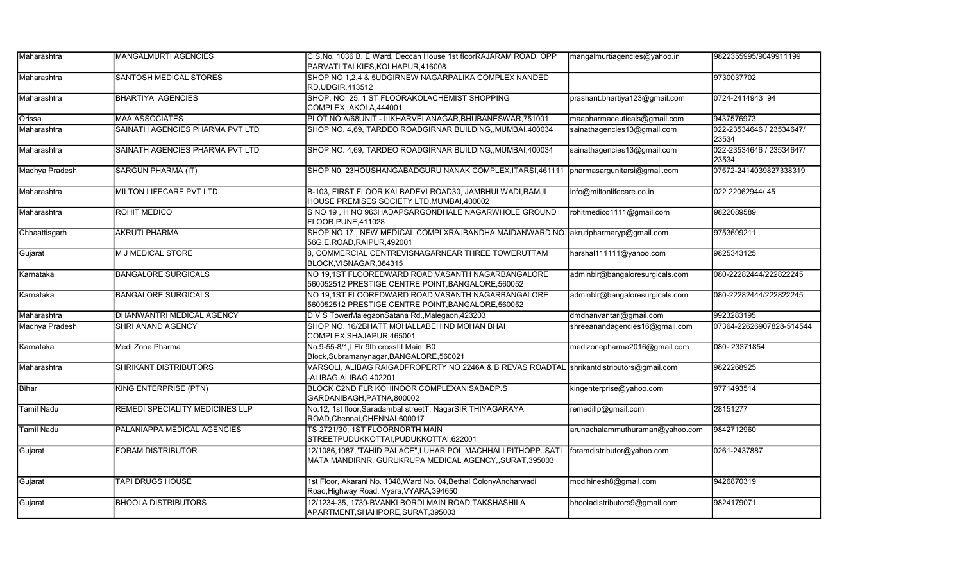| Maharashtra       | <b>MANGALMURTI AGENCIES</b>     | C.S.No. 1036 B, E Ward, Deccan House 1st floorRAJARAM ROAD, OPP                                                        | mangalmurtiagencies@yahoo.in    | 9822355995/9049911199             |
|-------------------|---------------------------------|------------------------------------------------------------------------------------------------------------------------|---------------------------------|-----------------------------------|
|                   |                                 | PARVATI TALKIES, KOLHAPUR, 416008                                                                                      |                                 |                                   |
| Maharashtra       | SANTOSH MEDICAL STORES          | SHOP NO 1,2,4 & 5UDGIRNEW NAGARPALIKA COMPLEX NANDED<br>RD, UDGIR, 413512                                              |                                 | 9730037702                        |
| Maharashtra       | <b>BHARTIYA AGENCIES</b>        | SHOP. NO. 25, 1 ST FLOORAKOLACHEMIST SHOPPING<br>COMPLEX,, AKOLA, 444001                                               | prashant.bhartiya123@gmail.com  | 0724-2414943 94                   |
| Orissa            | <b>MAA ASSOCIATES</b>           | PLOT NO:A/68UNIT - IIIKHARVELANAGAR, BHUBANESWAR, 751001                                                               | maapharmaceuticals@gmail.com    | 9437576973                        |
| Maharashtra       | SAINATH AGENCIES PHARMA PVT LTD | SHOP NO. 4,69, TARDEO ROADGIRNAR BUILDING,, MUMBAI, 400034                                                             | sainathagencies13@gmail.com     | 022-23534646 / 23534647/<br>23534 |
| Maharashtra       | SAINATH AGENCIES PHARMA PVT LTD | SHOP NO. 4,69, TARDEO ROADGIRNAR BUILDING,, MUMBAI, 400034                                                             | sainathagencies13@gmail.com     | 022-23534646 / 23534647/<br>23534 |
| Madhya Pradesh    | <b>SARGUN PHARMA (IT)</b>       | SHOP N0. 23HOUSHANGABADGURU NANAK COMPLEX, ITARSI, 461111                                                              | pharmasargunitarsi@gmail.com    | 07572-2414039827338319            |
| Maharashtra       | MILTON LIFECARE PVT LTD         | B-103, FIRST FLOOR, KALBADEVI ROAD30, JAMBHULWADI, RAMJI<br>HOUSE PREMISES SOCIETY LTD, MUMBAI, 400002                 | info@miltonlifecare.co.in       | 022 22062944/45                   |
| Maharashtra       | <b>ROHIT MEDICO</b>             | S NO 19, H NO 963HADAPSARGONDHALE NAGARWHOLE GROUND<br>FLOOR, PUNE, 411028                                             | rohitmedico1111@gmail.com       | 9822089589                        |
| Chhaattisgarh     | <b>AKRUTI PHARMA</b>            | SHOP NO 17, NEW MEDICAL COMPLXRAJBANDHA MAIDANWARD NO. akrutipharmaryp@gmail.com<br>56G.E.ROAD, RAIPUR, 492001         |                                 | 9753699211                        |
| Gujarat           | M J MEDICAL STORE               | 8, COMMERCIAL CENTREVISNAGARNEAR THREE TOWERUTTAM<br>BLOCK, VISNAGAR, 384315                                           | harshal111111@yahoo.com         | 9825343125                        |
| Karnataka         | <b>BANGALORE SURGICALS</b>      | NO 19,1ST FLOOREDWARD ROAD, VASANTH NAGARBANGALORE<br>560052512 PRESTIGE CENTRE POINT, BANGALORE, 560052               | adminblr@bangaloresurgicals.com | 080-22282444/222822245            |
| Karnataka         | <b>BANGALORE SURGICALS</b>      | NO 19,1ST FLOOREDWARD ROAD,VASANTH NAGARBANGALORE<br>560052512 PRESTIGE CENTRE POINT, BANGALORE, 560052                | adminblr@bangaloresurgicals.com | 080-22282444/222822245            |
| Maharashtra       | DHANWANTRI MEDICAL AGENCY       | D V S TowerMalegaonSatana Rd., Malegaon, 423203                                                                        | dmdhanvantari@gmail.com         | 9923283195                        |
| Madhya Pradesh    | SHRI ANAND AGENCY               | SHOP NO. 16/2BHATT MOHALLABEHIND MOHAN BHAI<br>COMPLEX, SHAJAPUR, 465001                                               | shreeanandagencies16@gmail.com  | 07364-22626907828-514544          |
| Karnataka         | Medi Zone Pharma                | No.9-55-8/1,I Flr 9th crossIII Main B0<br>Block, Subramanynagar, BANGALORE, 560021                                     | medizonepharma2016@gmail.com    | 080-23371854                      |
| Maharashtra       | <b>SHRIKANT DISTRIBUTORS</b>    | VARSOLI, ALIBAG RAIGADPROPERTY NO 2246A & B REVAS ROADTAL Shrikantdistributors@gmail.com<br>-ALIBAG, ALIBAG, 402201    |                                 | 9822268925                        |
| Bihar             | <b>KING ENTERPRISE (PTN)</b>    | BLOCK C2ND FLR KOHINOOR COMPLEXANISABADP.S<br>GARDANIBAGH, PATNA, 800002                                               | kingenterprise@yahoo.com        | 9771493514                        |
| <b>Tamil Nadu</b> | REMEDI SPECIALITY MEDICINES LLP | No.12, 1st floor, Saradambal street T. Nagar SIR THIYAGARAYA<br>ROAD, Chennai, CHENNAI, 600017                         | remedillp@gmail.com             | 28151277                          |
| Tamil Nadu        | PALANIAPPA MEDICAL AGENCIES     | TS 2721/30, 1ST FLOORNORTH MAIN<br>STREETPUDUKKOTTAI,PUDUKKOTTAI,622001                                                | arunachalammuthuraman@yahoo.com | 9842712960                        |
| Gujarat           | FORAM DISTRIBUTOR               | 12/1086,1087,"TAHID PALACE", LUHAR POL, MACHHALI PITHOPPSATI<br>MATA MANDIRNR. GURUKRUPA MEDICAL AGENCY, SURAT, 395003 | foramdistributor@yahoo.com      | 0261-2437887                      |
| Gujarat           | <b>TAPI DRUGS HOUSE</b>         | 1st Floor, Akarani No. 1348, Ward No. 04, Bethal Colony Andharwadi<br>Road, Highway Road, Vyara, VYARA, 394650         | modihinesh8@gmail.com           | 9426870319                        |
| Gujarat           | <b>BHOOLA DISTRIBUTORS</b>      | 12/1234-35, 1739-BVANKI BORDI MAIN ROAD, TAKSHASHILA<br>APARTMENT, SHAHPORE, SURAT, 395003                             | bhooladistributors9@gmail.com   | 9824179071                        |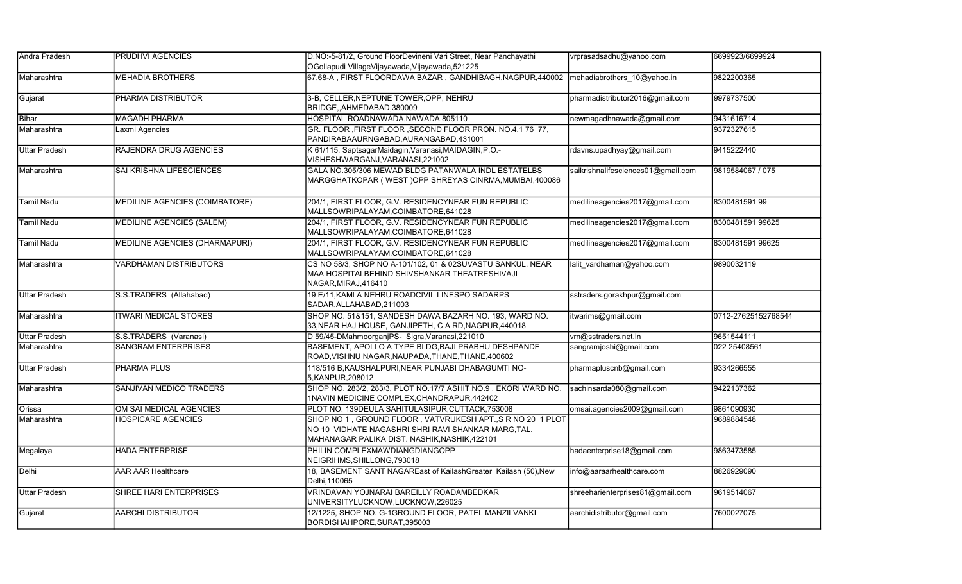| Andra Pradesh        | <b>PRUDHVI AGENCIES</b>          | D.NO:-5-81/2, Ground FloorDevineni Vari Street, Near Panchayathi                                                                                                   | vrprasadsadhu@yahoo.com            | 6699923/6699924     |
|----------------------|----------------------------------|--------------------------------------------------------------------------------------------------------------------------------------------------------------------|------------------------------------|---------------------|
|                      |                                  | OGollapudi VillageVijayawada,Vijayawada,521225                                                                                                                     |                                    |                     |
| Maharashtra          | <b>MEHADIA BROTHERS</b>          | 67,68-A, FIRST FLOORDAWA BAZAR, GANDHIBAGH, NAGPUR, 440002                                                                                                         | mehadiabrothers 10@yahoo.in        | 9822200365          |
| Gujarat              | PHARMA DISTRIBUTOR               | 3-B, CELLER, NEPTUNE TOWER, OPP, NEHRU<br>BRIDGE, AHMEDABAD, 380009                                                                                                | pharmadistributor2016@gmail.com    | 9979737500          |
| Bihar                | <b>MAGADH PHARMA</b>             | HOSPITAL ROADNAWADA, NAWADA, 805110                                                                                                                                | newmagadhnawada@gmail.com          | 9431616714          |
| Maharashtra          | Laxmi Agencies                   | GR. FLOOR , FIRST FLOOR , SECOND FLOOR PRON. NO.4.1 76 77,<br>PANDIRABAAURNGABAD, AURANGABAD, 431001                                                               |                                    | 9372327615          |
| <b>Uttar Pradesh</b> | RAJENDRA DRUG AGENCIES           | K 61/115, SaptsagarMaidagin, Varanasi, MAIDAGIN, P.O.-<br>VISHESHWARGANJ, VARANASI, 221002                                                                         | rdavns.upadhyay@gmail.com          | 9415222440          |
| Maharashtra          | SAI KRISHNA LIFESCIENCES         | GALA NO.305/306 MEWAD BLDG PATANWALA INDL ESTATELBS<br>MARGGHATKOPAR (WEST) OPP SHREYAS CINRMA, MUMBAI, 400086                                                     | saikrishnalifesciences01@gmail.com | 9819584067 / 075    |
| Tamil Nadu           | MEDILINE AGENCIES (COIMBATORE)   | 204/1, FIRST FLOOR, G.V. RESIDENCYNEAR FUN REPUBLIC<br>MALLSOWRIPALAYAM, COIMBATORE, 641028                                                                        | medilineagencies2017@gmail.com     | 8300481591 99       |
| Tamil Nadu           | <b>MEDILINE AGENCIES (SALEM)</b> | 204/1, FIRST FLOOR, G.V. RESIDENCYNEAR FUN REPUBLIC<br>MALLSOWRIPALAYAM, COIMBATORE, 641028                                                                        | medilineagencies2017@gmail.com     | 8300481591 99625    |
| Tamil Nadu           | MEDILINE AGENCIES (DHARMAPURI)   | 204/1. FIRST FLOOR, G.V. RESIDENCYNEAR FUN REPUBLIC<br>MALLSOWRIPALAYAM, COIMBATORE, 641028                                                                        | medilineagencies2017@gmail.com     | 8300481591 99625    |
| Maharashtra          | <b>VARDHAMAN DISTRIBUTORS</b>    | CS NO 58/3, SHOP NO A-101/102, 01 & 02SUVASTU SANKUL, NEAR<br>MAA HOSPITALBEHIND SHIVSHANKAR THEATRESHIVAJI<br>NAGAR, MIRAJ, 416410                                | lalit vardhaman@yahoo.com          | 9890032119          |
| <b>Uttar Pradesh</b> | S.S.TRADERS (Allahabad)          | 19 E/11, KAMLA NEHRU ROADCIVIL LINESPO SADARPS<br>SADAR, ALLAHABAD, 211003                                                                                         | sstraders.gorakhpur@gmail.com      |                     |
| Maharashtra          | <b>ITWARI MEDICAL STORES</b>     | SHOP NO. 51&151, SANDESH DAWA BAZARH NO. 193, WARD NO.<br>33, NEAR HAJ HOUSE, GANJIPETH, C A RD, NAGPUR, 440018                                                    | itwarims@gmail.com                 | 0712-27625152768544 |
| <b>Uttar Pradesh</b> | S.S.TRADERS (Varanasi)           | D 59/45-DMahmoorganjPS- Sigra, Varanasi, 221010                                                                                                                    | vrn@sstraders.net.in               | 9651544111          |
| Maharashtra          | <b>SANGRAM ENTERPRISES</b>       | BASEMENT, APOLLO A TYPE BLDG, BAJI PRABHU DESHPANDE<br>ROAD, VISHNU NAGAR, NAUPADA, THANE, THANE, 400602                                                           | sangramjoshi@gmail.com             | 022 25408561        |
| <b>Uttar Pradesh</b> | PHARMA PLUS                      | 118/516 B, KAUSHALPURI, NEAR PUNJABI DHABAGUMTI NO-<br>5, KANPUR, 208012                                                                                           | pharmapluscnb@gmail.com            | 9334266555          |
| Maharashtra          | SANJIVAN MEDICO TRADERS          | SHOP NO. 283/2, 283/3, PLOT NO.17/7 ASHIT NO.9, EKORI WARD NO.<br>1NAVIN MEDICINE COMPLEX, CHANDRAPUR, 442402                                                      | sachinsarda080@gmail.com           | 9422137362          |
| Orissa               | OM SAI MEDICAL AGENCIES          | PLOT NO: 139DEULA SAHITULASIPUR, CUTTACK, 753008                                                                                                                   | omsai.agencies2009@gmail.com       | 9861090930          |
| Maharashtra          | <b>HOSPICARE AGENCIES</b>        | SHOP NO 1, GROUND FLOOR, VATVRUKESH APT., S R NO 20 1 PLOT<br>NO 10 VIDHATE NAGASHRI SHRI RAVI SHANKAR MARG, TAL.<br>MAHANAGAR PALIKA DIST. NASHIK, NASHIK, 422101 |                                    | 9689884548          |
| Megalaya             | <b>HADA ENTERPRISE</b>           | PHILIN COMPLEXMAWDIANGDIANGOPP<br>NEIGRIHMS, SHILLONG, 793018                                                                                                      | hadaenterprise18@gmail.com         | 9863473585          |
| Delhi                | <b>AAR AAR Healthcare</b>        | 18, BASEMENT SANT NAGAREast of KailashGreater Kailash (50), New<br>Delhi, 110065                                                                                   | info@aaraarhealthcare.com          | 8826929090          |
| <b>Uttar Pradesh</b> | SHREE HARI ENTERPRISES           | VRINDAVAN YOJNARAI BAREILLY ROADAMBEDKAR<br>UNIVERSITYLUCKNOW,LUCKNOW,226025                                                                                       | shreeharienterprises81@gmail.com   | 9619514067          |
| Gujarat              | <b>AARCHI DISTRIBUTOR</b>        | 12/1225, SHOP NO. G-1GROUND FLOOR, PATEL MANZILVANKI<br>BORDISHAHPORE, SURAT, 395003                                                                               | aarchidistributor@gmail.com        | 7600027075          |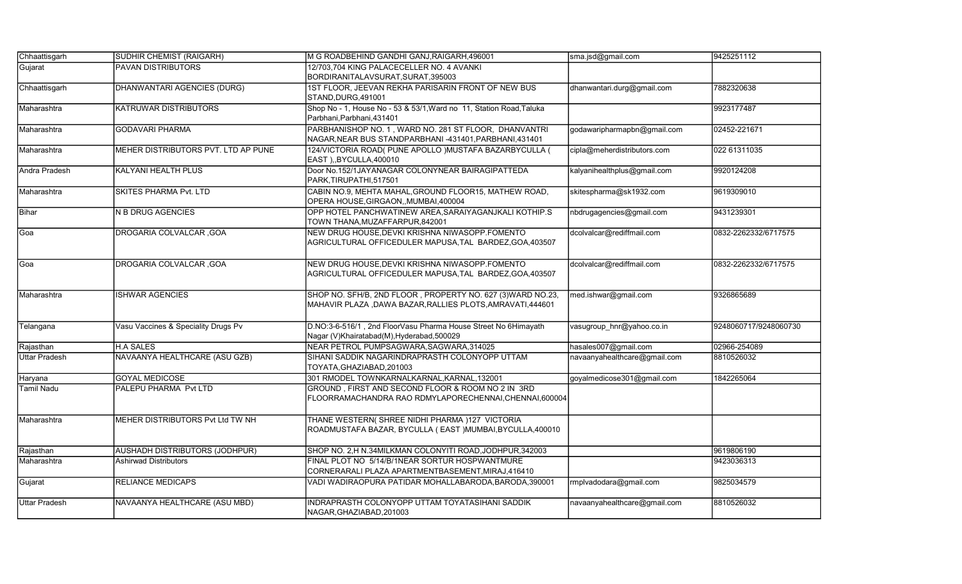| Chhaattisgarh        | <b>SUDHIR CHEMIST (RAIGARH)</b>     | M G ROADBEHIND GANDHI GANJ, RAIGARH, 496001                                                                            | sma.jsd@gmail.com            | 9425251112            |
|----------------------|-------------------------------------|------------------------------------------------------------------------------------------------------------------------|------------------------------|-----------------------|
| Gujarat              | <b>PAVAN DISTRIBUTORS</b>           | 12/703,704 KING PALACECELLER NO. 4 AVANKI<br>BORDIRANITALAVSURAT, SURAT, 395003                                        |                              |                       |
| Chhaattisgarh        | <b>DHANWANTARI AGENCIES (DURG)</b>  | 1ST FLOOR, JEEVAN REKHA PARISARIN FRONT OF NEW BUS<br>STAND, DURG, 491001                                              | dhanwantari.durg@gmail.com   | 7882320638            |
| Maharashtra          | KATRUWAR DISTRIBUTORS               | Shop No - 1, House No - 53 & 53/1, Ward no 11, Station Road, Taluka<br>Parbhani, Parbhani, 431401                      |                              | 9923177487            |
| Maharashtra          | <b>GODAVARI PHARMA</b>              | PARBHANISHOP NO. 1, WARD NO. 281 ST FLOOR, DHANVANTRI<br>NAGAR, NEAR BUS STANDPARBHANI -431401, PARBHANI, 431401       | godawaripharmapbn@gmail.com  | 02452-221671          |
| Maharashtra          | MEHER DISTRIBUTORS PVT. LTD AP PUNE | 124/VICTORIA ROAD( PUNE APOLLO )MUSTAFA BAZARBYCULLA (<br>EAST),,BYCULLA,400010                                        | cipla@meherdistributors.com  | 022 61311035          |
| Andra Pradesh        | KALYANI HEALTH PLUS                 | Door No.152/1JAYANAGAR COLONYNEAR BAIRAGIPATTEDA<br>PARK, TIRUPATHI, 517501                                            | kalyanihealthplus@gmail.com  | 9920124208            |
| Maharashtra          | <b>SKITES PHARMA Pvt. LTD</b>       | CABIN NO.9, MEHTA MAHAL, GROUND FLOOR15, MATHEW ROAD,<br>OPERA HOUSE, GIRGAON, MUMBAI, 400004                          | skitespharma@sk1932.com      | 9619309010            |
| Bihar                | <b>N B DRUG AGENCIES</b>            | OPP HOTEL PANCHWATINEW AREA, SARAIYAGANJKALI KOTHIP.S<br>TOWN THANA, MUZAFFARPUR, 842001                               | nbdrugagencies@gmail.com     | 9431239301            |
| Goa                  | DROGARIA COLVALCAR, GOA             | NEW DRUG HOUSE.DEVKI KRISHNA NIWASOPP.FOMENTO<br>AGRICULTURAL OFFICEDULER MAPUSA, TAL BARDEZ, GOA, 403507              | dcolvalcar@rediffmail.com    | 0832-2262332/6717575  |
| Goa                  | DROGARIA COLVALCAR , GOA            | NEW DRUG HOUSE.DEVKI KRISHNA NIWASOPP.FOMENTO<br>AGRICULTURAL OFFICEDULER MAPUSA, TAL BARDEZ, GOA, 403507              | dcolvalcar@rediffmail.com    | 0832-2262332/6717575  |
| Maharashtra          | <b>ISHWAR AGENCIES</b>              | SHOP NO. SFH/B, 2ND FLOOR, PROPERTY NO. 627 (3) WARD NO.23,<br>MAHAVIR PLAZA ,DAWA BAZAR,RALLIES PLOTS,AMRAVATI,444601 | med.ishwar@gmail.com         | 9326865689            |
| Telangana            | Vasu Vaccines & Speciality Drugs Pv | D.NO:3-6-516/1, 2nd FloorVasu Pharma House Street No 6Himayath<br>Nagar (V)Khairatabad(M),Hyderabad,500029             | vasugroup hnr@yahoo.co.in    | 9248060717/9248060730 |
| Rajasthan            | <b>H.A SALES</b>                    | NEAR PETROL PUMPSAGWARA, SAGWARA, 314025                                                                               | hasales007@gmail.com         | 02966-254089          |
| <b>Uttar Pradesh</b> | NAVAANYA HEALTHCARE (ASU GZB)       | SIHANI SADDIK NAGARINDRAPRASTH COLONYOPP UTTAM<br>TOYATA, GHAZIABAD, 201003                                            | navaanyahealthcare@gmail.com | 8810526032            |
| Haryana              | <b>GOYAL MEDICOSE</b>               | 301 RMODEL TOWNKARNALKARNAL, KARNAL, 132001                                                                            | goyalmedicose301@gmail.com   | 1842265064            |
| Tamil Nadu           | PALEPU PHARMA Pvt LTD               | GROUND, FIRST AND SECOND FLOOR & ROOM NO 2 IN 3RD<br>FLOORRAMACHANDRA RAO RDMYLAPORECHENNAI,CHENNAI,600004             |                              |                       |
| Maharashtra          | MEHER DISTRIBUTORS Pvt Ltd TW NH    | THANE WESTERN( SHREE NIDHI PHARMA )127 VICTORIA<br>ROADMUSTAFA BAZAR, BYCULLA (EAST) MUMBAI, BYCULLA, 400010           |                              |                       |
| Rajasthan            | AUSHADH DISTRIBUTORS (JODHPUR)      | SHOP NO. 2, H N.34MILKMAN COLONYITI ROAD, JODHPUR, 342003                                                              |                              | 9619806190            |
| Maharashtra          | <b>Ashirwad Distributors</b>        | FINAL PLOT NO 5/14/B/1NEAR SORTUR HOSPWANTMURE<br>CORNERARALI PLAZA APARTMENTBASEMENT, MIRAJ, 416410                   |                              | 9423036313            |
| Gujarat              | <b>RELIANCE MEDICAPS</b>            | VADI WADIRAOPURA PATIDAR MOHALLABARODA, BARODA, 390001                                                                 | rmplvadodara@gmail.com       | 9825034579            |
| <b>Uttar Pradesh</b> | NAVAANYA HEALTHCARE (ASU MBD)       | INDRAPRASTH COLONYOPP UTTAM TOYATASIHANI SADDIK<br>NAGAR, GHAZIABAD, 201003                                            | navaanyahealthcare@gmail.com | 8810526032            |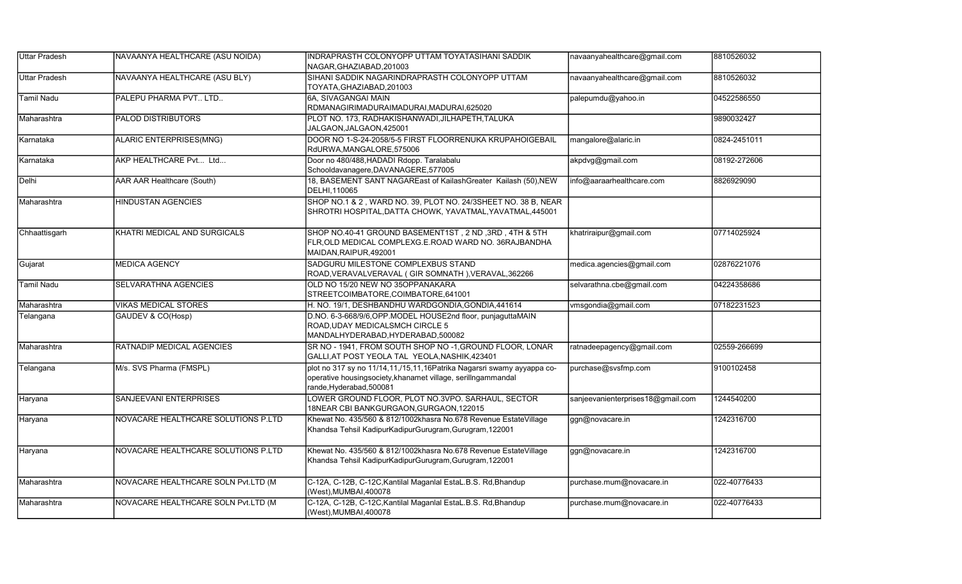| <b>Uttar Pradesh</b> | NAVAANYA HEALTHCARE (ASU NOIDA)     | INDRAPRASTH COLONYOPP UTTAM TOYATASIHANI SADDIK<br>NAGAR, GHAZIABAD, 201003                                                                                        | navaanyahealthcare@gmail.com      | 8810526032   |
|----------------------|-------------------------------------|--------------------------------------------------------------------------------------------------------------------------------------------------------------------|-----------------------------------|--------------|
| Uttar Pradesh        | NAVAANYA HEALTHCARE (ASU BLY)       | SIHANI SADDIK NAGARINDRAPRASTH COLONYOPP UTTAM<br>TOYATA, GHAZIABAD, 201003                                                                                        | navaanyahealthcare@gmail.com      | 8810526032   |
| <b>Tamil Nadu</b>    | PALEPU PHARMA PVT LTD               | 6A, SIVAGANGAI MAIN<br>RDMANAGIRIMADURAIMADURAI, MADURAI, 625020                                                                                                   | palepumdu@yahoo.in                | 04522586550  |
| Maharashtra          | <b>PALOD DISTRIBUTORS</b>           | PLOT NO. 173, RADHAKISHANWADI, JILHAPETH, TALUKA<br>JALGAON, JALGAON, 425001                                                                                       |                                   | 9890032427   |
| İKarnataka           | ALARIC ENTERPRISES(MNG)             | DOOR NO 1-S-24-2058/5-5 FIRST FLOORRENUKA KRUPAHOIGEBAIL<br>RdURWA, MANGALORE, 575006                                                                              | mangalore@alaric.in               | 0824-2451011 |
| Karnataka            | AKP HEALTHCARE Pvt Ltd              | Door no 480/488, HADADI Rdopp. Taralabalu<br>Schooldavanagere, DAVANAGERE, 577005                                                                                  | akpdvg@gmail.com                  | 08192-272606 |
| Delhi                | AAR AAR Healthcare (South)          | 18, BASEMENT SANT NAGAREast of KailashGreater Kailash (50), NEW<br>DELHI, 110065                                                                                   | info@aaraarhealthcare.com         | 8826929090   |
| Maharashtra          | HINDUSTAN AGENCIES                  | SHOP NO.1 & 2, WARD NO. 39, PLOT NO. 24/3SHEET NO. 38 B, NEAR<br>SHROTRI HOSPITAL, DATTA CHOWK, YAVATMAL, YAVATMAL, 445001                                         |                                   |              |
| Chhaattisgarh        | KHATRI MEDICAL AND SURGICALS        | SHOP NO.40-41 GROUND BASEMENT1ST, 2 ND, 3RD, 4TH & 5TH<br>FLR, OLD MEDICAL COMPLEXG.E.ROAD WARD NO. 36RAJBANDHA<br>MAIDAN, RAIPUR, 492001                          | khatriraipur@gmail.com            | 07714025924  |
| Gujarat              | <b>MEDICA AGENCY</b>                | SADGURU MILESTONE COMPLEXBUS STAND<br>ROAD, VERAVALVERAVAL (GIR SOMNATH), VERAVAL, 362266                                                                          | medica.agencies@gmail.com         | 02876221076  |
| <b>Tamil Nadu</b>    | SELVARATHNA AGENCIES                | OLD NO 15/20 NEW NO 35OPPANAKARA<br>STREETCOIMBATORE, COIMBATORE, 641001                                                                                           | selvarathna.cbe@gmail.com         | 04224358686  |
| Maharashtra          | <b>VIKAS MEDICAL STORES</b>         | H. NO. 19/1, DESHBANDHU WARDGONDIA, GONDIA, 441614                                                                                                                 | vmsgondia@gmail.com               | 07182231523  |
| Telangana            | GAUDEV & CO(Hosp)                   | D.NO. 6-3-668/9/6, OPP.MODEL HOUSE2nd floor, punjaguttaMAIN<br>ROAD, UDAY MEDICALSMCH CIRCLE 5<br>MANDALHYDERABAD, HYDERABAD, 500082                               |                                   |              |
| Maharashtra          | RATNADIP MEDICAL AGENCIES           | SR NO - 1941, FROM SOUTH SHOP NO -1, GROUND FLOOR, LONAR<br>GALLI, AT POST YEOLA TAL YEOLA, NASHIK, 423401                                                         | ratnadeepagency@gmail.com         | 02559-266699 |
| Telangana            | M/s. SVS Pharma (FMSPL)             | plot no 317 sy no 11/14,11,/15,11,16Patrika Nagarsri swamy ayyappa co-<br>operative housingsociety, khanamet village, serillngammandal<br>rande, Hyderabad, 500081 | purchase@svsfmp.com               | 9100102458   |
| Haryana              | SANJEEVANI ENTERPRISES              | LOWER GROUND FLOOR, PLOT NO.3VPO. SARHAUL, SECTOR<br>18NEAR CBI BANKGURGAON, GURGAON, 122015                                                                       | sanjeevanienterprises18@gmail.com | 1244540200   |
| Haryana              | NOVACARE HEALTHCARE SOLUTIONS P.LTD | Khewat No. 435/560 & 812/1002khasra No.678 Revenue EstateVillage<br>Khandsa Tehsil KadipurKadipurGurugram, Gurugram, 122001                                        | ggn@novacare.in                   | 1242316700   |
| Haryana              | NOVACARE HEALTHCARE SOLUTIONS P.LTD | Khewat No. 435/560 & 812/1002khasra No.678 Revenue EstateVillage<br>Khandsa Tehsil KadipurKadipurGurugram, Gurugram, 122001                                        | ggn@novacare.in                   | 1242316700   |
| Maharashtra          | NOVACARE HEALTHCARE SOLN Pvt.LTD (M | C-12A, C-12B, C-12C, Kantilal Maganlal EstaL.B.S. Rd, Bhandup<br>(West), MUMBAI, 400078                                                                            | purchase.mum@novacare.in          | 022-40776433 |
| Maharashtra          | NOVACARE HEALTHCARE SOLN Pvt.LTD (M | C-12A, C-12B, C-12C, Kantilal Maganlal EstaL.B.S. Rd, Bhandup<br>(West), MUMBAI, 400078                                                                            | purchase.mum@novacare.in          | 022-40776433 |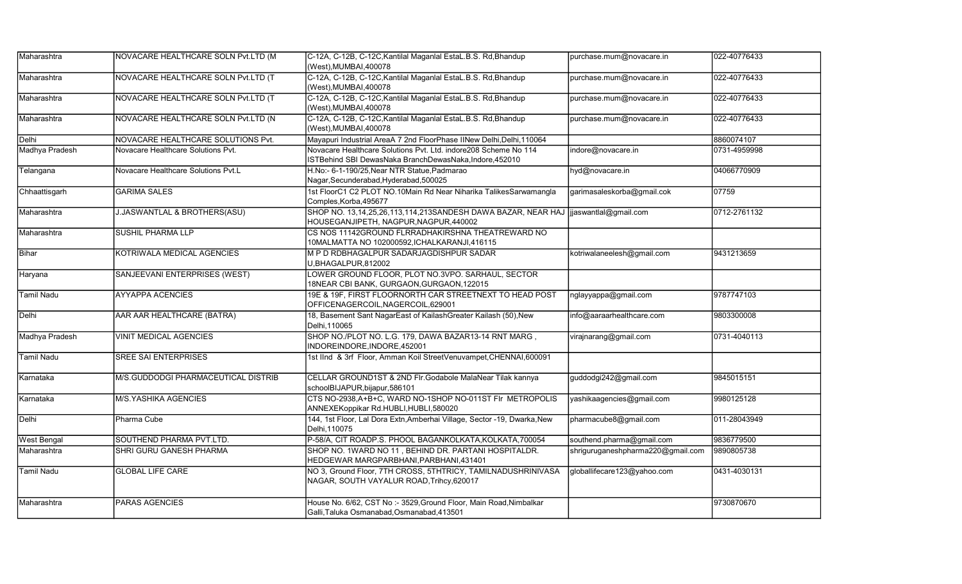| Maharashtra        | NOVACARE HEALTHCARE SOLN Pvt.LTD (M     | C-12A, C-12B, C-12C, Kantilal Maganlal EstaL.B.S. Rd, Bhandup<br>(West), MUMBAI, 400078                                       | purchase.mum@novacare.in          | 022-40776433 |
|--------------------|-----------------------------------------|-------------------------------------------------------------------------------------------------------------------------------|-----------------------------------|--------------|
| Maharashtra        | NOVACARE HEALTHCARE SOLN Pvt.LTD (T     | C-12A, C-12B, C-12C, Kantilal Maganlal EstaL.B.S. Rd, Bhandup<br>(West), MUMBAI, 400078                                       | purchase.mum@novacare.in          | 022-40776433 |
| Maharashtra        | NOVACARE HEALTHCARE SOLN Pvt.LTD (T     | C-12A, C-12B, C-12C, Kantilal Maganlal EstaL.B.S. Rd, Bhandup<br>(West), MUMBAI, 400078                                       | purchase.mum@novacare.in          | 022-40776433 |
| Maharashtra        | NOVACARE HEALTHCARE SOLN Pvt.LTD (N     | C-12A, C-12B, C-12C, Kantilal Maganlal EstaL.B.S. Rd, Bhandup<br>(West), MUMBAI, 400078                                       | purchase.mum@novacare.in          | 022-40776433 |
| Delhi              | NOVACARE HEALTHCARE SOLUTIONS Pvt.      | Mayapuri Industrial AreaA 7 2nd FloorPhase IINew Delhi, Delhi, 110064                                                         |                                   | 8860074107   |
| Madhya Pradesh     | Novacare Healthcare Solutions Pvt.      | Novacare Healthcare Solutions Pvt. Ltd. indore208 Scheme No 114<br>ISTBehind SBI DewasNaka BranchDewasNaka, Indore, 452010    | indore@novacare.in                | 0731-4959998 |
| Telangana          | Novacare Healthcare Solutions Pvt.L     | H.No:- 6-1-190/25, Near NTR Statue, Padmarao<br>Nagar, Secunderabad, Hyderabad, 500025                                        | hyd@novacare.in                   | 04066770909  |
| Chhaattisgarh      | <b>GARIMA SALES</b>                     | 1st FloorC1 C2 PLOT NO.10Main Rd Near Niharika TalikesSarwamangla<br>Comples, Korba, 495677                                   | garimasaleskorba@gmail.cok        | 07759        |
| Maharashtra        | <b>J.JASWANTLAL &amp; BROTHERS(ASU)</b> | SHOP NO. 13,14,25,26,113,114,213SANDESH DAWA BAZAR, NEAR HAJ  jjaswantlal@gmail.com<br>HOUSEGANJIPETH, NAGPUR, NAGPUR, 440002 |                                   | 0712-2761132 |
| Maharashtra        | <b>SUSHIL PHARMA LLP</b>                | CS NOS 11142GROUND FLRRADHAKIRSHNA THEATREWARD NO<br>10MALMATTA NO 102000592, ICHALKARANJI, 416115                            |                                   |              |
| Bihar              | KOTRIWALA MEDICAL AGENCIES              | M P D RDBHAGALPUR SADARJAGDISHPUR SADAR<br>U, BHAGALPUR, 812002                                                               | kotriwalaneelesh@gmail.com        | 9431213659   |
| Haryana            | SANJEEVANI ENTERPRISES (WEST)           | LOWER GROUND FLOOR, PLOT NO.3VPO. SARHAUL, SECTOR<br>18NEAR CBI BANK, GURGAON, GURGAON, 122015                                |                                   |              |
| Tamil Nadu         | <b>AYYAPPA ACENCIES</b>                 | 19E & 19F, FIRST FLOORNORTH CAR STREETNEXT TO HEAD POST<br>OFFICENAGERCOIL, NAGERCOIL, 629001                                 | nglayyappa@gmail.com              | 9787747103   |
| Delhi              | AAR AAR HEALTHCARE (BATRA)              | 18, Basement Sant NagarEast of KailashGreater Kailash (50), New<br>Delhi, 110065                                              | info@aaraarhealthcare.com         | 9803300008   |
| Madhya Pradesh     | <b>VINIT MEDICAL AGENCIES</b>           | SHOP NO./PLOT NO. L.G. 179, DAWA BAZAR13-14 RNT MARG,<br>INDOREINDORE, INDORE, 452001                                         | virajnarang@gmail.com             | 0731-4040113 |
| Tamil Nadu         | <b>SREE SAI ENTERPRISES</b>             | 1st IInd & 3rf Floor, Amman Koil StreetVenuvampet, CHENNAI, 600091                                                            |                                   |              |
| Karnataka          | M/S.GUDDODGI PHARMACEUTICAL DISTRIB     | CELLAR GROUND1ST & 2ND FIr. Godabole MalaNear Tilak kannya<br>schoolBIJAPUR, bijapur, 586101                                  | guddodgi242@gmail.com             | 9845015151   |
| Karnataka          | <b>M/S.YASHIKA AGENCIES</b>             | CTS NO-2938, A+B+C, WARD NO-1SHOP NO-011ST FIr METROPOLIS<br>ANNEXEKoppikar Rd.HUBLI,HUBLI,580020                             | yashikaagencies@gmail.com         | 9980125128   |
| Delhi              | Pharma Cube                             | 144, 1st Floor, Lal Dora Extn, Amberhai Village, Sector -19, Dwarka, New<br>Delhi.110075                                      | pharmacube8@gmail.com             | 011-28043949 |
| <b>West Bengal</b> | SOUTHEND PHARMA PVT.LTD.                | P-58/A, CIT ROADP.S. PHOOL BAGANKOLKATA, KOLKATA, 700054                                                                      | southend.pharma@gmail.com         | 9836779500   |
| Maharashtra        | SHRI GURU GANESH PHARMA                 | SHOP NO. 1WARD NO 11, BEHIND DR. PARTANI HOSPITALDR.<br>HEDGEWAR MARGPARBHANI, PARBHANI, 431401                               | shriguruganeshpharma220@gmail.com | 9890805738   |
| <b>Tamil Nadu</b>  | <b>GLOBAL LIFE CARE</b>                 | NO 3, Ground Floor, 7TH CROSS, 5THTRICY, TAMILNADUSHRINIVASA<br>NAGAR, SOUTH VAYALUR ROAD, Trihcy, 620017                     | globallifecare123@yahoo.com       | 0431-4030131 |
| Maharashtra        | <b>PARAS AGENCIES</b>                   | House No. 6/62, CST No :- 3529, Ground Floor, Main Road, Nimbalkar<br>Galli, Taluka Osmanabad, Osmanabad, 413501              |                                   | 9730870670   |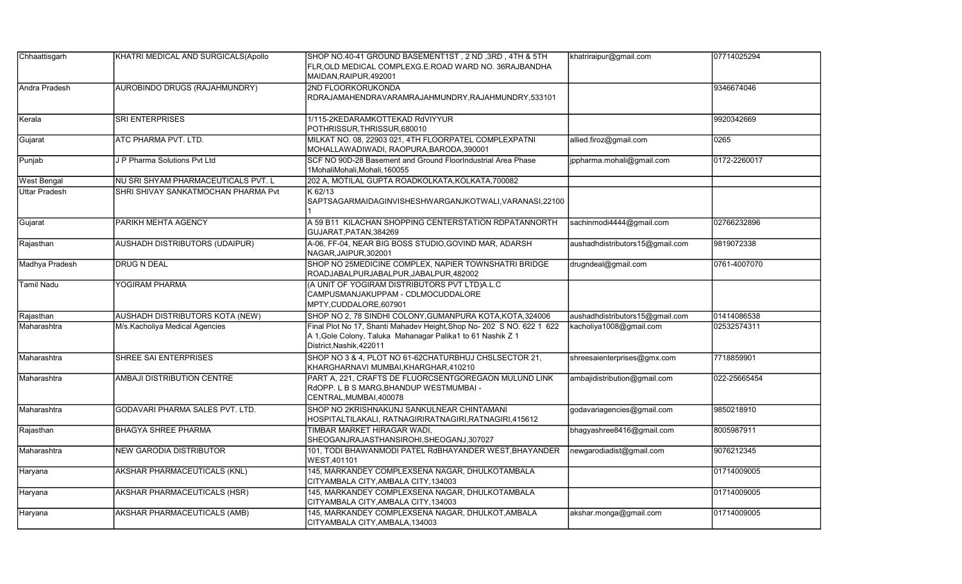| Chhaattisgarh        | KHATRI MEDICAL AND SURGICALS(Apollo | SHOP NO.40-41 GROUND BASEMENT1ST, 2 ND, 3RD, 4TH & 5TH<br>FLR, OLD MEDICAL COMPLEXG.E.ROAD WARD NO. 36RAJBANDHA<br>MAIDAN, RAIPUR, 492001                        | khatriraipur@gmail.com          | 07714025294  |
|----------------------|-------------------------------------|------------------------------------------------------------------------------------------------------------------------------------------------------------------|---------------------------------|--------------|
| <b>Andra Pradesh</b> | AUROBINDO DRUGS (RAJAHMUNDRY)       | 2ND FLOORKORUKONDA<br>RDRAJAMAHENDRAVARAMRAJAHMUNDRY, RAJAHMUNDRY, 533101                                                                                        |                                 | 9346674046   |
| Kerala               | <b>SRI ENTERPRISES</b>              | 1/115-2KEDARAMKOTTEKAD RdVIYYUR<br>POTHRISSUR, THRISSUR, 680010                                                                                                  |                                 | 9920342669   |
| Gujarat              | <b>ATC PHARMA PVT. LTD.</b>         | MILKAT NO. 08, 22903 021, 4TH FLOORPATEL COMPLEXPATNI<br>MOHALLAWADIWADI, RAOPURA, BARODA, 390001                                                                | allied.firoz@gmail.com          | 0265         |
| Punjab               | J P Pharma Solutions Pvt Ltd        | SCF NO 90D-28 Basement and Ground FloorIndustrial Area Phase<br>1MohaliMohali, Mohali, 160055                                                                    | jppharma.mohali@gmail.com       | 0172-2260017 |
| <b>West Bengal</b>   | NU SRI SHYAM PHARMACEUTICALS PVT. L | 202 A, MOTILAL GUPTA ROADKOLKATA, KOLKATA, 700082                                                                                                                |                                 |              |
| <b>Uttar Pradesh</b> | SHRI SHIVAY SANKATMOCHAN PHARMA Pvt | K 62/13<br>SAPTSAGARMAIDAGINVISHESHWARGANJKOTWALI, VARANASI, 22100                                                                                               |                                 |              |
| Gujarat              | PARIKH MEHTA AGENCY                 | A 59 B11 KILACHAN SHOPPING CENTERSTATION RDPATANNORTH<br>GUJARAT, PATAN, 384269                                                                                  | sachinmodi4444@gmail.com        | 02766232896  |
| Rajasthan            | AUSHADH DISTRIBUTORS (UDAIPUR)      | A-06, FF-04, NEAR BIG BOSS STUDIO, GOVIND MAR, ADARSH<br>NAGAR.JAIPUR.302001                                                                                     | aushadhdistributors15@gmail.com | 9819072338   |
| Madhya Pradesh       | <b>DRUG N DEAL</b>                  | SHOP NO 25MEDICINE COMPLEX, NAPIER TOWNSHATRI BRIDGE<br>ROADJABALPURJABALPUR, JABALPUR, 482002                                                                   | drugndeal@gmail.com             | 0761-4007070 |
| <b>Tamil Nadu</b>    | YOGIRAM PHARMA                      | (A UNIT OF YOGIRAM DISTRIBUTORS PVT LTD)A.L.C<br>CAMPUSMANJAKUPPAM - CDLMOCUDDALORE<br>MPTY, CUDDALORE, 607901                                                   |                                 |              |
| Rajasthan            | AUSHADH DISTRIBUTORS KOTA (NEW)     | SHOP NO 2, 78 SINDHI COLONY, GUMANPURA KOTA, KOTA, 324006                                                                                                        | aushadhdistributors15@gmail.com | 01414086538  |
| Maharashtra          | M/s. Kacholiya Medical Agencies     | Final Plot No 17, Shanti Mahadev Height, Shop No- 202 S NO. 622 1 622<br>A 1, Gole Colony, Taluka Mahanagar Palika1 to 61 Nashik Z 1<br>District, Nashik, 422011 | kacholiya1008@gmail.com         | 02532574311  |
| Maharashtra          | SHREE SAI ENTERPRISES               | SHOP NO 3 & 4, PLOT NO 61-62CHATURBHUJ CHSLSECTOR 21,<br>KHARGHARNAVI MUMBAI, KHARGHAR, 410210                                                                   | shreesaienterprises@gmx.com     | 7718859901   |
| Maharashtra          | AMBAJI DISTRIBUTION CENTRE          | PART A, 221, CRAFTS DE FLUORCSENTGOREGAON MULUND LINK<br>RdOPP. L B S MARG, BHANDUP WESTMUMBAI -<br>CENTRAL, MUMBAI, 400078                                      | ambajidistribution@gmail.com    | 022-25665454 |
| Maharashtra          | GODAVARI PHARMA SALES PVT. LTD.     | SHOP NO 2KRISHNAKUNJ SANKULNEAR CHINTAMANI<br>HOSPITALTILAKALI, RATNAGIRIRATNAGIRI, RATNAGIRI, 415612                                                            | godavariagencies@gmail.com      | 9850218910   |
| Rajasthan            | <b>BHAGYA SHREE PHARMA</b>          | TIMBAR MARKET HIRAGAR WADI,<br>SHEOGANJRAJASTHANSIROHI, SHEOGANJ, 307027                                                                                         | bhagyashree8416@gmail.com       | 8005987911   |
| Maharashtra          | <b>NEW GARODIA DISTRIBUTOR</b>      | 101, TODI BHAWANMODI PATEL RdBHAYANDER WEST, BHAYANDER<br>WEST, 401101                                                                                           | newgarodiadist@gmail.com        | 9076212345   |
| Haryana              | AKSHAR PHARMACEUTICALS (KNL)        | 145, MARKANDEY COMPLEXSENA NAGAR, DHULKOTAMBALA<br>CITYAMBALA CITY, AMBALA CITY, 134003                                                                          |                                 | 01714009005  |
| Haryana              | AKSHAR PHARMACEUTICALS (HSR)        | 145, MARKANDEY COMPLEXSENA NAGAR, DHULKOTAMBALA<br>CITYAMBALA CITY, AMBALA CITY, 134003                                                                          |                                 | 01714009005  |
| Haryana              | AKSHAR PHARMACEUTICALS (AMB)        | 145, MARKANDEY COMPLEXSENA NAGAR, DHULKOT, AMBALA<br>CITYAMBALA CITY, AMBALA, 134003                                                                             | akshar.monga@gmail.com          | 01714009005  |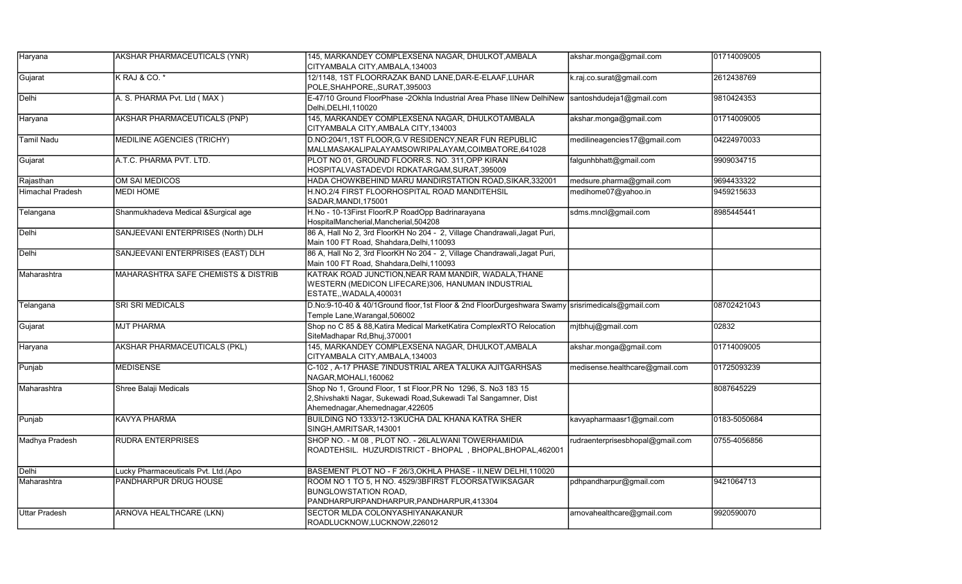| Haryana                 | AKSHAR PHARMACEUTICALS (YNR)        | 145, MARKANDEY COMPLEXSENA NAGAR, DHULKOT, AMBALA                                                                                                                      | akshar.monga@gmail.com           | 01714009005  |
|-------------------------|-------------------------------------|------------------------------------------------------------------------------------------------------------------------------------------------------------------------|----------------------------------|--------------|
|                         |                                     | CITYAMBALA CITY, AMBALA, 134003                                                                                                                                        |                                  |              |
| Gujarat                 | K RAJ & CO. *                       | 12/1148, 1ST FLOORRAZAK BAND LANE, DAR-E-ELAAF, LUHAR<br>POLE, SHAHPORE, , SURAT, 395003                                                                               | c.raj.co.surat@gmail.com         | 2612438769   |
| Delhi                   | A. S. PHARMA Pvt. Ltd (MAX)         | E-47/10 Ground FloorPhase -2Okhla Industrial Area Phase IINew DelhiNew Santoshdudeja1@gmail.com<br>Delhi, DELHI, 110020                                                |                                  | 9810424353   |
| Haryana                 | <b>AKSHAR PHARMACEUTICALS (PNP)</b> | 145, MARKANDEY COMPLEXSENA NAGAR, DHULKOTAMBALA<br>CITYAMBALA CITY, AMBALA CITY, 134003                                                                                | akshar.monga@gmail.com           | 01714009005  |
| Tamil Nadu              | MEDILINE AGENCIES (TRICHY)          | D.NO:204/1,1ST FLOOR, G.V RESIDENCY, NEAR FUN REPUBLIC<br>MALLMASAKALIPALAYAMSOWRIPALAYAM, COIMBATORE, 641028                                                          | medilineagencies17@gmail.com     | 04224970033  |
| Gujarat                 | A.T.C. PHARMA PVT. LTD.             | PLOT NO 01. GROUND FLOORR.S. NO. 311.OPP KIRAN<br>HOSPITALVASTADEVDI RDKATARGAM, SURAT, 395009                                                                         | falgunhbhatt@gmail.com           | 9909034715   |
| Rajasthan               | OM SAI MEDICOS                      | HADA CHOWKBEHIND MARU MANDIRSTATION ROAD, SIKAR, 332001                                                                                                                | medsure.pharma@gmail.com         | 9694433322   |
| <b>Himachal Pradesh</b> | MEDI HOME                           | H.NO.2/4 FIRST FLOORHOSPITAL ROAD MANDITEHSIL<br>SADAR, MANDI, 175001                                                                                                  | medihome07@yahoo.in              | 9459215633   |
| Telangana               | Shanmukhadeva Medical &Surgical age | H.No - 10-13First FloorR.P RoadOpp Badrinarayana<br>HospitalMancherial,Mancherial,504208                                                                               | sdms.mncl@gmail.com              | 8985445441   |
| Delhi                   | SANJEEVANI ENTERPRISES (North) DLH  | 86 A, Hall No 2, 3rd FloorKH No 204 - 2, Village Chandrawali, Jagat Puri,<br>Main 100 FT Road, Shahdara, Delhi, 110093                                                 |                                  |              |
| Delhi                   | SANJEEVANI ENTERPRISES (EAST) DLH   | 86 A, Hall No 2, 3rd FloorKH No 204 - 2, Village Chandrawali, Jagat Puri,<br>Main 100 FT Road, Shahdara, Delhi, 110093                                                 |                                  |              |
| Maharashtra             | MAHARASHTRA SAFE CHEMISTS & DISTRIB | KATRAK ROAD JUNCTION, NEAR RAM MANDIR, WADALA, THANE<br>WESTERN (MEDICON LIFECARE)306, HANUMAN INDUSTRIAL<br>ESTATE,, WADALA, 400031                                   |                                  |              |
| Telangana               | <b>SRI SRI MEDICALS</b>             | D.No:9-10-40 & 40/1Ground floor,1st Floor & 2nd FloorDurgeshwara Swamy srisrimedicals@gmail.com<br>Temple Lane, Warangal, 506002                                       |                                  | 08702421043  |
| Gujarat                 | <b>MJT PHARMA</b>                   | Shop no C 85 & 88, Katira Medical Market Katira ComplexRTO Relocation<br>SiteMadhapar Rd, Bhuj, 370001                                                                 | mjtbhuj@gmail.com                | 02832        |
| Haryana                 | <b>AKSHAR PHARMACEUTICALS (PKL)</b> | 145, MARKANDEY COMPLEXSENA NAGAR, DHULKOT, AMBALA<br>CITYAMBALA CITY, AMBALA, 134003                                                                                   | akshar.monga@gmail.com           | 01714009005  |
| Punjab                  | <b>MEDISENSE</b>                    | C-102, A-17 PHASE 7INDUSTRIAL AREA TALUKA AJITGARHSAS<br>NAGAR, MOHALI, 160062                                                                                         | medisense.healthcare@gmail.com   | 01725093239  |
| Maharashtra             | Shree Balaji Medicals               | Shop No 1, Ground Floor, 1 st Floor, PR No 1296, S. No3 183 15<br>2, Shivshakti Nagar, Sukewadi Road, Sukewadi Tal Sangamner, Dist<br>Ahemednagar, Ahemednagar, 422605 |                                  | 8087645229   |
| Punjab                  | KAVYA PHARMA                        | BUILDING NO 1333/12-13KUCHA DAL KHANA KATRA SHER<br>SINGH, AMRITSAR, 143001                                                                                            | kavyapharmaasr1@gmail.com        | 0183-5050684 |
| Madhya Pradesh          | <b>RUDRA ENTERPRISES</b>            | SHOP NO. - M 08, PLOT NO. - 26LALWANI TOWERHAMIDIA<br>ROADTEHSIL. HUZURDISTRICT - BHOPAL, BHOPAL, BHOPAL, 462001                                                       | rudraenterprisesbhopal@gmail.com | 0755-4056856 |
| Delhi                   | Lucky Pharmaceuticals Pvt. Ltd.(Apo | BASEMENT PLOT NO - F 26/3, OKHLA PHASE - II, NEW DELHI, 110020                                                                                                         |                                  |              |
| Maharashtra             | PANDHARPUR DRUG HOUSE               | ROOM NO 1 TO 5, H NO. 4529/3BFIRST FLOORSATWIKSAGAR<br><b>BUNGLOWSTATION ROAD,</b><br>PANDHARPURPANDHARPUR, PANDHARPUR, 413304                                         | pdhpandharpur@gmail.com          | 9421064713   |
| <b>Uttar Pradesh</b>    | <b>ARNOVA HEALTHCARE (LKN)</b>      | SECTOR MLDA COLONYASHIYANAKANUR<br>ROADLUCKNOW,LUCKNOW,226012                                                                                                          | arnovahealthcare@gmail.com       | 9920590070   |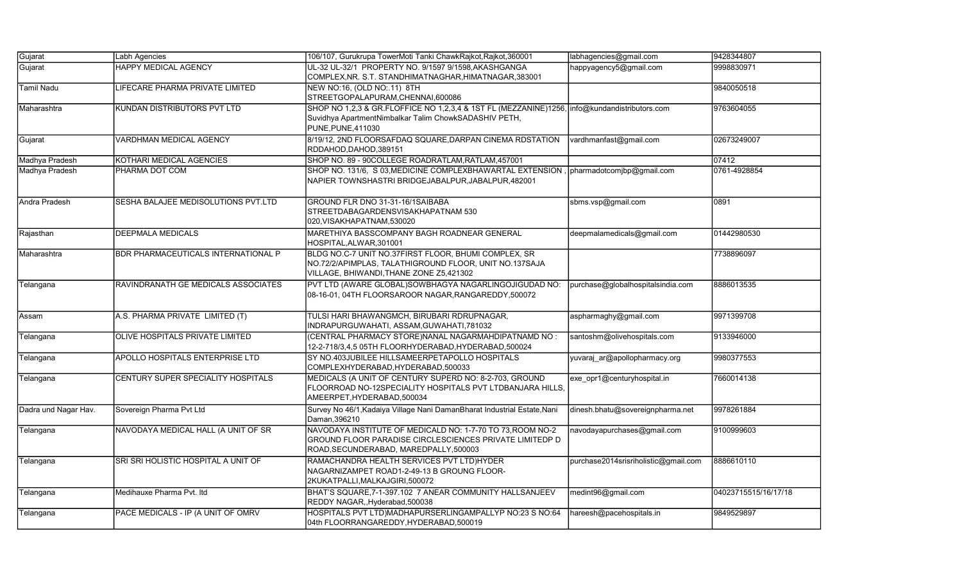| Gujarat              | Labh Agencies                              | 106/107, Gurukrupa TowerMoti Tanki ChawkRajkot, Rajkot, 360001                                                                                                              | labhagencies@gmail.com               | 9428344807           |
|----------------------|--------------------------------------------|-----------------------------------------------------------------------------------------------------------------------------------------------------------------------------|--------------------------------------|----------------------|
| Gujarat              | <b>HAPPY MEDICAL AGENCY</b>                | UL-32 UL-32/1 PROPERTY NO. 9/1597 9/1598, AKASHGANGA<br>COMPLEX, NR. S.T. STANDHIMATNAGHAR, HIMATNAGAR, 383001                                                              | happyagency5@gmail.com               | 9998830971           |
| <b>Tamil Nadu</b>    | LIFECARE PHARMA PRIVATE LIMITED            | NEW NO:16, (OLD NO:.11) 8TH<br>STREETGOPALAPURAM, CHENNAI, 600086                                                                                                           |                                      | 9840050518           |
| Maharashtra          | KUNDAN DISTRIBUTORS PVT LTD                | SHOP NO 1,2,3 & GR.FLOFFICE NO 1,2,3,4 & 1ST FL (MEZZANINE)1256, info@kundandistributors.com<br>Suvidhya ApartmentNimbalkar Talim ChowkSADASHIV PETH,<br>PUNE, PUNE, 411030 |                                      | 9763604055           |
| Gujarat              | VARDHMAN MEDICAL AGENCY                    | 8/19/12, 2ND FLOORSAFDAQ SQUARE, DARPAN CINEMA RDSTATION<br>RDDAHOD, DAHOD, 389151                                                                                          | vardhmanfast@gmail.com               | 02673249007          |
| Madhya Pradesh       | KOTHARI MEDICAL AGENCIES                   | SHOP NO. 89 - 90COLLEGE ROADRATLAM, RATLAM, 457001                                                                                                                          |                                      | 07412                |
| Madhya Pradesh       | PHARMA DOT COM                             | SHOP NO. 131/6, S 03, MEDICINE COMPLEXBHAWARTAL EXTENSION, pharmadotcomibp@gmail.com<br>NAPIER TOWNSHASTRI BRIDGEJABALPUR, JABALPUR, 482001                                 |                                      | 0761-4928854         |
| Andra Pradesh        | SESHA BALAJEE MEDISOLUTIONS PVT.LTD        | GROUND FLR DNO 31-31-16/1SAIBABA<br>STREETDABAGARDENSVISAKHAPATNAM 530<br>020, VISAKHAPATNAM, 530020                                                                        | sbms.vsp@gmail.com                   | 0891                 |
| Rajasthan            | <b>DEEPMALA MEDICALS</b>                   | MARETHIYA BASSCOMPANY BAGH ROADNEAR GENERAL<br>HOSPITAL,ALWAR,301001                                                                                                        | deepmalamedicals@gmail.com           | 01442980530          |
| Maharashtra          | <b>BDR PHARMACEUTICALS INTERNATIONAL P</b> | BLDG NO.C-7 UNIT NO.37FIRST FLOOR, BHUMI COMPLEX, SR<br>NO.72/2/APIMPLAS, TALATHIGROUND FLOOR, UNIT NO.137SAJA<br>VILLAGE, BHIWANDI, THANE ZONE Z5,421302                   |                                      | 7738896097           |
| Telangana            | RAVINDRANATH GE MEDICALS ASSOCIATES        | PVT LTD (AWARE GLOBAL)SOWBHAGYA NAGARLINGOJIGUDAD NO:<br>08-16-01, 04TH FLOORSAROOR NAGAR, RANGAREDDY, 500072                                                               | purchase@globalhospitalsindia.com    | 8886013535           |
| Assam                | A.S. PHARMA PRIVATE LIMITED (T)            | TULSI HARI BHAWANGMCH, BIRUBARI RDRUPNAGAR,<br>INDRAPURGUWAHATI, ASSAM, GUWAHATI, 781032                                                                                    | aspharmaghy@gmail.com                | 9971399708           |
| Telangana            | OLIVE HOSPITALS PRIVATE LIMITED            | (CENTRAL PHARMACY STORE)NANAL NAGARMAHDIPATNAMD NO:<br>12-2-718/3,4,5 05TH FLOORHYDERABAD, HYDERABAD, 500024                                                                | santoshm@olivehospitals.com          | 9133946000           |
| Telangana            | APOLLO HOSPITALS ENTERPRISE LTD            | SY NO.403JUBILEE HILLSAMEERPETAPOLLO HOSPITALS<br>COMPLEXHYDERABAD, HYDERABAD, 500033                                                                                       | yuvaraj ar@apollopharmacy.org        | 9980377553           |
| Telangana            | CENTURY SUPER SPECIALITY HOSPITALS         | MEDICALS (A UNIT OF CENTURY SUPERD NO: 8-2-703, GROUND<br>FLOORROAD NO-12SPECIALITY HOSPITALS PVT LTDBANJARA HILLS.<br>AMEERPET, HYDERABAD, 500034                          | exe opr1@centuryhospital.in          | 7660014138           |
| Dadra und Nagar Hav. | Sovereign Pharma Pvt Ltd                   | Survey No 46/1, Kadaiya Village Nani Daman Bharat Industrial Estate, Nani<br>Daman, 396210                                                                                  | dinesh.bhatu@sovereignpharma.net     | 9978261884           |
| Telangana            | NAVODAYA MEDICAL HALL (A UNIT OF SR        | NAVODAYA INSTITUTE OF MEDICALD NO: 1-7-70 TO 73, ROOM NO-2<br>GROUND FLOOR PARADISE CIRCLESCIENCES PRIVATE LIMITEDP D<br>ROAD, SECUNDERABAD, MAREDPALLY, 500003             | navodayapurchases@gmail.com          | 9100999603           |
| Telangana            | SRI SRI HOLISTIC HOSPITAL A UNIT OF        | RAMACHANDRA HEALTH SERVICES PVT LTD)HYDER<br>NAGARNIZAMPET ROAD1-2-49-13 B GROUNG FLOOR-<br>2KUKATPALLI, MALKAJGIRI, 500072                                                 | purchase2014srisriholistic@gmail.com | 8886610110           |
| Telangana            | Medihauxe Pharma Pvt. Itd                  | BHAT'S SQUARE, 7-1-397.102 7 ANEAR COMMUNITY HALLSANJEEV<br>REDDY NAGAR, Hyderabad, 500038                                                                                  | medint96@gmail.com                   | 04023715515/16/17/18 |
| Telangana            | PACE MEDICALS - IP (A UNIT OF OMRV         | HOSPITALS PVT LTD)MADHAPURSERLINGAMPALLYP NO:23 S NO:64<br>04th FLOORRANGAREDDY, HYDERABAD, 500019                                                                          | hareesh@pacehospitals.in             | 9849529897           |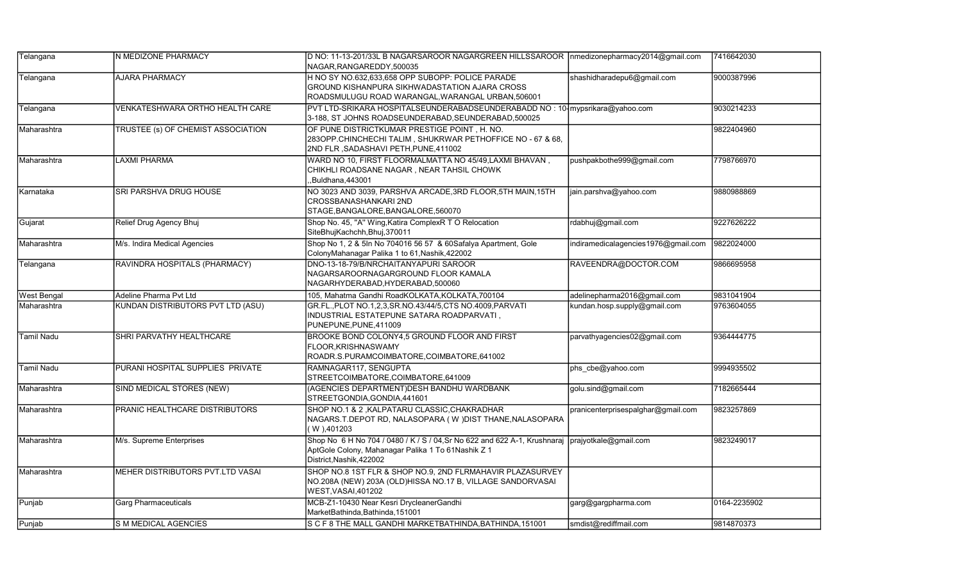| Telangana          | IN MEDIZONE PHARMACY               | D NO: 11-13-201/33L B NAGARSAROOR NAGARGREEN HILLSSAROOR   nmedizonepharmacy2014@gmail.com<br>NAGAR, RANGAREDDY, 500035                                                           |                                     | 7416642030   |
|--------------------|------------------------------------|-----------------------------------------------------------------------------------------------------------------------------------------------------------------------------------|-------------------------------------|--------------|
| Telangana          | <b>AJARA PHARMACY</b>              | H NO SY NO.632,633,658 OPP SUBOPP: POLICE PARADE<br>GROUND KISHANPURA SIKHWADASTATION AJARA CROSS<br>ROADSMULUGU ROAD WARANGAL,WARANGAL URBAN,506001                              | shashidharadepu6@gmail.com          | 9000387996   |
| Telangana          | VENKATESHWARA ORTHO HEALTH CARE    | PVT LTD-SRIKARA HOSPITALSEUNDERABADSEUNDERABADD NO: 10- mypsrikara@yahoo.com<br>3-188, ST JOHNS ROADSEUNDERABAD, SEUNDERABAD, 500025                                              |                                     | 9030214233   |
| lMaharashtra       | TRUSTEE (s) OF CHEMIST ASSOCIATION | OF PUNE DISTRICTKUMAR PRESTIGE POINT, H. NO.<br>283OPP.CHINCHECHI TALIM, SHUKRWAR PETHOFFICE NO - 67 & 68,<br>2ND FLR, SADASHAVI PETH, PUNE, 411002                               |                                     | 9822404960   |
| Maharashtra        | <b>LAXMI PHARMA</b>                | WARD NO 10, FIRST FLOORMALMATTA NO 45/49,LAXMI BHAVAN,<br>CHIKHLI ROADSANE NAGAR, NEAR TAHSIL CHOWK<br>Buldhana, 443001                                                           | pushpakbothe999@gmail.com           | 7798766970   |
| Karnataka          | SRI PARSHVA DRUG HOUSE             | NO 3023 AND 3039, PARSHVA ARCADE,3RD FLOOR,5TH MAIN,15TH<br>CROSSBANASHANKARI 2ND<br>STAGE, BANGALORE, BANGALORE, 560070                                                          | jain.parshva@yahoo.com              | 9880988869   |
| Gujarat            | Relief Drug Agency Bhuj            | Shop No. 45, "A" Wing, Katira ComplexR T O Relocation<br>SiteBhujKachchh, Bhuj, 370011                                                                                            | rdabhuj@gmail.com                   | 9227626222   |
| Maharashtra        | M/s. Indira Medical Agencies       | Shop No 1, 2 & 5In No 704016 56 57 & 60Safalya Apartment, Gole<br>ColonyMahanagar Palika 1 to 61, Nashik, 422002                                                                  | indiramedicalagencies1976@gmail.com | 9822024000   |
| Telangana          | RAVINDRA HOSPITALS (PHARMACY)      | DNO-13-18-79/B/NRCHAITANYAPURI SAROOR<br>NAGARSAROORNAGARGROUND FLOOR KAMALA<br>NAGARHYDERABAD, HYDERABAD, 500060                                                                 | RAVEENDRA@DOCTOR.COM                | 9866695958   |
| <b>West Bengal</b> | Adeline Pharma Pvt Ltd             | 105, Mahatma Gandhi RoadKOLKATA, KOLKATA, 700104                                                                                                                                  | adelinepharma2016@gmail.com         | 9831041904   |
| Maharashtra        | KUNDAN DISTRIBUTORS PVT LTD (ASU)  | GR.FL., PLOT NO.1,2,3, SR.NO.43/44/5, CTS NO.4009, PARVATI<br>INDUSTRIAL ESTATEPUNE SATARA ROADPARVATI,<br>PUNEPUNE, PUNE, 411009                                                 | kundan.hosp.supply@gmail.com        | 9763604055   |
| <b>Tamil Nadu</b>  | SHRI PARVATHY HEALTHCARE           | BROOKE BOND COLONY4,5 GROUND FLOOR AND FIRST<br>FLOOR, KRISHNASWAMY<br>ROADR.S.PURAMCOIMBATORE,COIMBATORE,641002                                                                  | parvathyagencies02@gmail.com        | 9364444775   |
| Tamil Nadu         | PURANI HOSPITAL SUPPLIES PRIVATE   | RAMNAGAR117, SENGUPTA<br>STREETCOIMBATORE,COIMBATORE,641009                                                                                                                       | phs cbe@yahoo.com                   | 9994935502   |
| Maharashtra        | SIND MEDICAL STORES (NEW)          | (AGENCIES DEPARTMENT)DESH BANDHU WARDBANK<br>STREETGONDIA, GONDIA, 441601                                                                                                         | golu.sind@gmail.com                 | 7182665444   |
| Maharashtra        | PRANIC HEALTHCARE DISTRIBUTORS     | SHOP NO.1 & 2 ,KALPATARU CLASSIC,CHAKRADHAR<br>NAGARS.T.DEPOT RD, NALASOPARA (W) DIST THANE, NALASOPARA<br>W ),401203                                                             | pranicenterprisespalghar@gmail.com  | 9823257869   |
| lMaharashtra       | M/s. Supreme Enterprises           | Shop No 6 H No 704 / 0480 / K / S / 04, Sr No 622 and 622 A-1, Krushnaraj prajyotkale@gmail.com<br>AptGole Colony, Mahanagar Palika 1 To 61Nashik Z 1<br>District, Nashik, 422002 |                                     | 9823249017   |
| Maharashtra        | MEHER DISTRIBUTORS PVT.LTD VASAI   | SHOP NO.8 1ST FLR & SHOP NO.9, 2ND FLRMAHAVIR PLAZASURVEY<br>NO.208A (NEW) 203A (OLD)HISSA NO.17 B, VILLAGE SANDORVASAI<br>WEST, VASAI, 401202                                    |                                     |              |
| Punjab             | <b>Garg Pharmaceuticals</b>        | MCB-Z1-10430 Near Kesri DrycleanerGandhi<br>MarketBathinda, Bathinda, 151001                                                                                                      | garg@gargpharma.com                 | 0164-2235902 |
| Punjab             | S M MEDICAL AGENCIES               | SCF8 THE MALL GANDHI MARKETBATHINDA, BATHINDA, 151001                                                                                                                             | smdist@rediffmail.com               | 9814870373   |